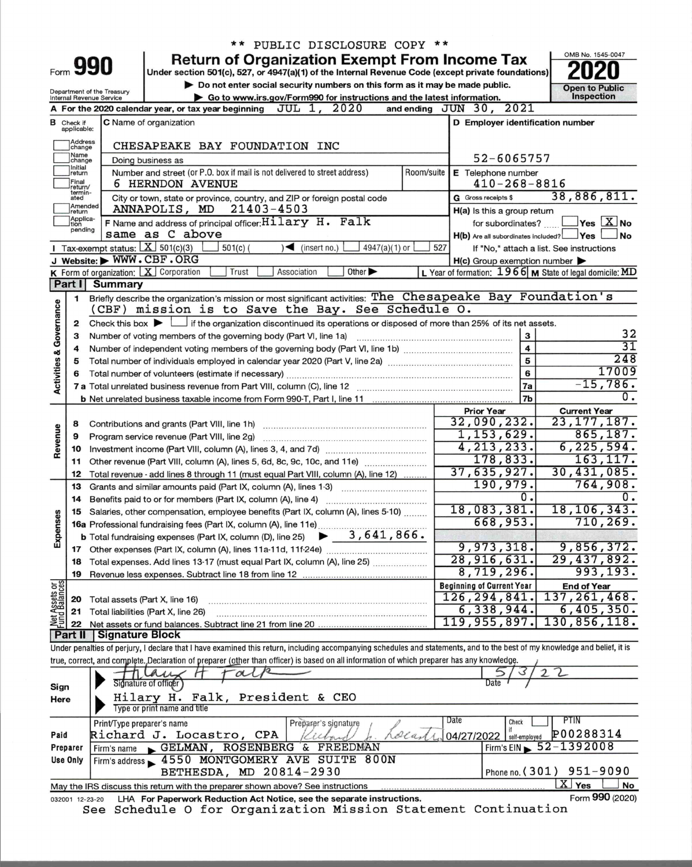|                                    |                              |                                                        | ** PUBLIC DISCLOSURE COPY **                                                                                                                                               |            |                                                     |                                                           |
|------------------------------------|------------------------------|--------------------------------------------------------|----------------------------------------------------------------------------------------------------------------------------------------------------------------------------|------------|-----------------------------------------------------|-----------------------------------------------------------|
|                                    |                              |                                                        | <b>Return of Organization Exempt From Income Tax</b>                                                                                                                       |            |                                                     | OMB No. 1545-0047                                         |
|                                    | Form 990                     |                                                        | Under section 501(c), 527, or 4947(a)(1) of the Internal Revenue Code (except private foundations)                                                                         |            |                                                     |                                                           |
|                                    |                              |                                                        | Do not enter social security numbers on this form as it may be made public.                                                                                                |            |                                                     | <b>Open to Public</b>                                     |
|                                    |                              | Department of the Treasury<br>Internal Revenue Service | ► Go to www.irs.gov/Form990 for instructions and the latest information.                                                                                                   |            |                                                     | <b>Inspection</b>                                         |
|                                    |                              |                                                        | 2020<br>A For the 2020 calendar year, or tax year beginning<br>JUL 1,                                                                                                      |            | 2021<br>and ending $JUN$ 30,                        |                                                           |
| в                                  | Check if<br>applicable:      |                                                        | <b>C</b> Name of organization                                                                                                                                              |            | D Employer identification number                    |                                                           |
|                                    |                              |                                                        |                                                                                                                                                                            |            |                                                     |                                                           |
|                                    | <b>Address</b><br>change     |                                                        | CHESAPEAKE BAY FOUNDATION INC                                                                                                                                              |            |                                                     |                                                           |
|                                    | Name<br>change               |                                                        | Doing business as                                                                                                                                                          |            | 52-6065757                                          |                                                           |
|                                    | Initial<br>return            |                                                        | Number and street (or P.O. box if mail is not delivered to street address)                                                                                                 | Room/suite | E Telephone number                                  |                                                           |
|                                    | Final<br>return/             |                                                        | <b>6 HERNDON AVENUE</b>                                                                                                                                                    |            | $410 - 268 - 8816$                                  |                                                           |
|                                    | termin-<br>ated              |                                                        | City or town, state or province, country, and ZIP or foreign postal code                                                                                                   |            | G Gross receipts \$                                 | 38,886,811.                                               |
|                                    | Amended<br>return            |                                                        | ANNAPOLIS, MD<br>$21403 - 4503$                                                                                                                                            |            | H(a) Is this a group return                         |                                                           |
|                                    | Applica-<br>Ition<br>pending |                                                        | <b>F</b> Name and address of principal officer: $Hilary$ $H.$ $Falk$                                                                                                       |            | for subordinates?                                   | $\sqrt{}$ Yes $\sqrt{X}$ No                               |
|                                    |                              |                                                        | same as C above                                                                                                                                                            |            | H(b) Are all subordinates included? Ves             | ∫No                                                       |
|                                    |                              |                                                        | Tax-exempt status: $X \ 501(c)(3)$<br>$\sum$ (insert no.)<br>$4947(a)(1)$ or<br>$501(c)$ (                                                                                 | 527        |                                                     | If "No," attach a list. See instructions                  |
|                                    |                              |                                                        | J Website: WWW.CBF.ORG                                                                                                                                                     |            | $H(c)$ Group exemption number $\blacktriangleright$ |                                                           |
|                                    |                              |                                                        | K Form of organization: X Corporation<br>Other $\blacktriangleright$<br>Trust<br>Association                                                                               |            |                                                     | L Year of formation: $1966$ M State of legal domicile: MD |
|                                    | Part I                       | <b>Summary</b>                                         |                                                                                                                                                                            |            |                                                     |                                                           |
|                                    | 1                            |                                                        | Briefly describe the organization's mission or most significant activities: The Chesapeake Bay Foundation's<br>(CBF) mission is to Save the Bay. See Schedule O.           |            |                                                     |                                                           |
|                                    |                              |                                                        | Check this box $\blacktriangleright$ $\Box$ if the organization discontinued its operations or disposed of more than 25% of its net assets.                                |            |                                                     |                                                           |
|                                    | 2<br>з                       |                                                        | Number of voting members of the governing body (Part VI, line 1a)                                                                                                          |            | з                                                   | 32                                                        |
|                                    | 4                            |                                                        | Number of independent voting members of the governing body (Part VI, line 1b) [11] [12] [12] [12] [12] [12] [1                                                             |            | 4                                                   | 31                                                        |
|                                    | 5                            |                                                        |                                                                                                                                                                            |            | 5                                                   | 248                                                       |
|                                    |                              |                                                        |                                                                                                                                                                            |            | 6                                                   | 17009                                                     |
| <b>Activities &amp; Governance</b> |                              |                                                        |                                                                                                                                                                            |            | 7a                                                  | $-15,786.$                                                |
|                                    |                              |                                                        |                                                                                                                                                                            |            | 7b                                                  | Ο.                                                        |
|                                    |                              |                                                        |                                                                                                                                                                            |            | <b>Prior Year</b>                                   | <b>Current Year</b>                                       |
|                                    | 8                            |                                                        | Contributions and grants (Part VIII, line 1h)                                                                                                                              |            | 32,090,232.                                         | 23,177,187.                                               |
| Revenue                            | 9                            |                                                        | Program service revenue (Part VIII, line 2g)                                                                                                                               |            | 1,153,629.                                          | 865, 187.                                                 |
|                                    | 10                           |                                                        |                                                                                                                                                                            |            | 4, 213, 233.                                        | 6, 225, 594.                                              |
|                                    | 11                           |                                                        | Other revenue (Part VIII, column (A), lines 5, 6d, 8c, 9c, 10c, and 11e) <i></i>                                                                                           |            | 178,833.                                            | 163, 117.                                                 |
|                                    | 12                           |                                                        | Total revenue - add lines 8 through 11 (must equal Part VIII, column (A), line 12)                                                                                         |            | 37,635,927.                                         | 30,431,085.                                               |
|                                    | 13                           |                                                        | Grants and similar amounts paid (Part IX, column (A), lines 1-3)                                                                                                           |            | 190,979.                                            | 764,908.                                                  |
|                                    | 14                           |                                                        | Benefits paid to or for members (Part IX, column (A), line 4)<br>                                                                                                          |            | Ο.                                                  |                                                           |
|                                    | 15                           |                                                        | Salaries, other compensation, employee benefits (Part IX, column (A), lines 5-10)                                                                                          |            | 18,083,381.                                         | 18, 106, 343.                                             |
| Expenses                           |                              |                                                        |                                                                                                                                                                            |            | 668,953.                                            | 710, 269.                                                 |
|                                    |                              |                                                        | $-3,641,866.$<br><b>b</b> Total fundraising expenses (Part IX, column (D), line 25)                                                                                        |            |                                                     |                                                           |
|                                    |                              |                                                        |                                                                                                                                                                            |            | 9,973,318.<br>28,916,631.                           | 9,856,372.<br>29,437,892.                                 |
|                                    | 18                           |                                                        | Total expenses. Add lines 13-17 (must equal Part IX, column (A), line 25)                                                                                                  |            | 8,719,296.                                          | 993,193.                                                  |
|                                    | 19                           |                                                        |                                                                                                                                                                            |            |                                                     |                                                           |
| Net Assets or                      |                              |                                                        |                                                                                                                                                                            |            | <b>Beginning of Current Year</b><br>126, 294, 841.  | <b>End of Year</b><br>137,261,468.                        |
|                                    | 20                           |                                                        | Total assets (Part X, line 16)                                                                                                                                             |            | 6,338,944.                                          | 6,405,350.                                                |
|                                    | 21<br>22                     |                                                        | Total liabilities (Part X, line 26)                                                                                                                                        |            | 119,955,897.                                        | 130,856,118.                                              |
|                                    | Part II                      | Signature Block                                        |                                                                                                                                                                            |            |                                                     |                                                           |
|                                    |                              |                                                        | Under penalties of perjury, I declare that I have examined this return, including accompanying schedules and statements, and to the best of my knowledge and belief, it is |            |                                                     |                                                           |
|                                    |                              |                                                        | true, correct, and complete. Declaration of preparer (other than officer) is based on all information of which preparer has any knowledge.                                 |            |                                                     |                                                           |
|                                    |                              |                                                        |                                                                                                                                                                            |            |                                                     |                                                           |
| Sign                               |                              |                                                        | Signature of officer                                                                                                                                                       |            | Date                                                |                                                           |
| Here                               |                              |                                                        | Hilary H. Falk, President & CEO                                                                                                                                            |            |                                                     |                                                           |
|                                    |                              |                                                        | Type or print name and title                                                                                                                                               |            |                                                     |                                                           |
|                                    |                              | Print/Type preparer's name                             | Preparer's signature                                                                                                                                                       |            | Date<br>Check                                       | PTIN                                                      |
| Paid                               |                              |                                                        | Richard J. Locastro, CPA                                                                                                                                                   | ola        | 04/27/2022<br>self-employed                         | P00288314                                                 |
|                                    | Preparer                     | Firm's name                                            | GELMAN, ROSENBERG & FREEDMAN                                                                                                                                               |            |                                                     | Firm's EIN $\triangleright$ 52-1392008                    |
|                                    |                              |                                                        |                                                                                                                                                                            |            |                                                     |                                                           |
|                                    | <b>Use Only</b>              |                                                        | Firm's address > 4550 MONTGOMERY AVE SUITE 800N<br>BETHESDA. MD 20814-2930                                                                                                 |            |                                                     | Phone no. $(301)$ 951-9090                                |

|                                                                                        |  |  | BETHESDA, MD 20814-2930                                                         |  |  | I Phone no. (301) 951-9090 |                   |
|----------------------------------------------------------------------------------------|--|--|---------------------------------------------------------------------------------|--|--|----------------------------|-------------------|
|                                                                                        |  |  | May the IRS discuss this return with the preparer shown above? See instructions |  |  |                            | $X$ Yes $\Box$ No |
| 032001 12-23-20 LHA For Paperwork Reduction Act Notice, see the separate instructions. |  |  |                                                                                 |  |  |                            | Form 990 (2020)   |
|                                                                                        |  |  | See Schedule O for Organization Mission Statement Continuation                  |  |  |                            |                   |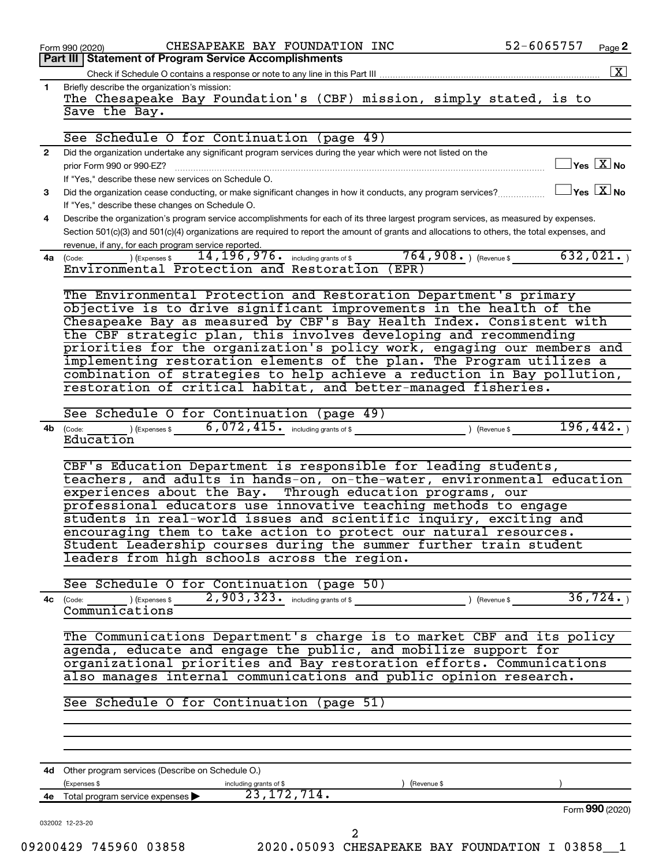|              | CHESAPEAKE BAY FOUNDATION INC<br>Form 990 (2020)<br>Part III Statement of Program Service Accomplishments                                                                                                                                  | 52-6065757 |                                                                    | Page 2 |
|--------------|--------------------------------------------------------------------------------------------------------------------------------------------------------------------------------------------------------------------------------------------|------------|--------------------------------------------------------------------|--------|
|              |                                                                                                                                                                                                                                            |            |                                                                    |        |
|              |                                                                                                                                                                                                                                            |            |                                                                    |        |
| 1.           | Briefly describe the organization's mission:<br>The Chesapeake Bay Foundation's (CBF) mission, simply stated, is to                                                                                                                        |            |                                                                    |        |
|              | Save the Bay.                                                                                                                                                                                                                              |            |                                                                    |        |
|              |                                                                                                                                                                                                                                            |            |                                                                    |        |
|              | See Schedule O for Continuation (page 49)                                                                                                                                                                                                  |            |                                                                    |        |
| $\mathbf{2}$ | Did the organization undertake any significant program services during the year which were not listed on the                                                                                                                               |            |                                                                    |        |
|              | prior Form 990 or 990-EZ?                                                                                                                                                                                                                  |            | $\sqrt{\mathsf{Yes}\ \mathbf{X}}$ No                               |        |
|              | If "Yes," describe these new services on Schedule O.                                                                                                                                                                                       |            |                                                                    |        |
| 3            | Did the organization cease conducting, or make significant changes in how it conducts, any program services?                                                                                                                               |            | $\sqrt{\mathsf{Yes}\mathord{\;\mathbb{X}}\mathord{\;\mathsf{No}}}$ |        |
|              | If "Yes," describe these changes on Schedule O.                                                                                                                                                                                            |            |                                                                    |        |
| 4            | Describe the organization's program service accomplishments for each of its three largest program services, as measured by expenses.                                                                                                       |            |                                                                    |        |
|              | Section 501(c)(3) and 501(c)(4) organizations are required to report the amount of grants and allocations to others, the total expenses, and                                                                                               |            |                                                                    |        |
|              | revenue, if any, for each program service reported.                                                                                                                                                                                        |            |                                                                    |        |
| 4a           | $764,908.$ ) (Revenue \$<br>$14, 196, 976$ $\cdot$ including grants of \$<br>$\left(\text{Code:}\n\begin{array}{c}\n\text{Code:}\n\end{array}\n\right)$ $\left(\text{Expenses $}\n\begin{array}{c}\n\text{Expenses}\n\end{array}\n\right)$ |            | 632,021.                                                           |        |
|              | Environmental Protection and Restoration<br>(EPR)                                                                                                                                                                                          |            |                                                                    |        |
|              |                                                                                                                                                                                                                                            |            |                                                                    |        |
|              | The Environmental Protection and Restoration Department's primary                                                                                                                                                                          |            |                                                                    |        |
|              | objective is to drive significant improvements in the health of the                                                                                                                                                                        |            |                                                                    |        |
|              | Chesapeake Bay as measured by CBF's Bay Health Index. Consistent with                                                                                                                                                                      |            |                                                                    |        |
|              | the CBF strategic plan, this involves developing and recommending                                                                                                                                                                          |            |                                                                    |        |
|              | priorities for the organization's policy work, engaging our members and                                                                                                                                                                    |            |                                                                    |        |
|              | implementing restoration elements of the plan. The Program utilizes a                                                                                                                                                                      |            |                                                                    |        |
|              | combination of strategies to help achieve a reduction in Bay pollution,                                                                                                                                                                    |            |                                                                    |        |
|              | restoration of critical habitat, and better-managed fisheries.                                                                                                                                                                             |            |                                                                    |        |
|              |                                                                                                                                                                                                                                            |            |                                                                    |        |
|              | See Schedule O for Continuation (page 49)                                                                                                                                                                                                  |            | 196,442.                                                           |        |
| 4b           | $6,072,415$ $\cdot$ including grants of \$<br>) (Expenses \$<br>(Code:<br>) (Revenue \$<br>Education                                                                                                                                       |            |                                                                    |        |
|              |                                                                                                                                                                                                                                            |            |                                                                    |        |
|              | CBF's Education Department is responsible for leading students,                                                                                                                                                                            |            |                                                                    |        |
|              | teachers, and adults in hands-on, on-the-water, environmental education                                                                                                                                                                    |            |                                                                    |        |
|              | experiences about the Bay. Through education programs, our                                                                                                                                                                                 |            |                                                                    |        |
|              | professional educators use innovative teaching methods to engage                                                                                                                                                                           |            |                                                                    |        |
|              | students in real-world issues and scientific inquiry, exciting and                                                                                                                                                                         |            |                                                                    |        |
|              | encouraging them to take action to protect our natural resources.                                                                                                                                                                          |            |                                                                    |        |
|              | Student Leadership courses during the summer further train student                                                                                                                                                                         |            |                                                                    |        |
|              | leaders from high schools across the region.                                                                                                                                                                                               |            |                                                                    |        |
|              |                                                                                                                                                                                                                                            |            |                                                                    |        |
|              | See Schedule O for Continuation (page 50)                                                                                                                                                                                                  |            |                                                                    |        |
| 4c           | 2,903,323. including grants of \$<br>) (Revenue \$<br>$\left(\text{Code:}\n\begin{array}{c}\n\text{Code:}\n\end{array}\n\right)$ $\left(\text{Expenses $}\n\right)$                                                                        |            | 36, 724.                                                           |        |
|              | Communications                                                                                                                                                                                                                             |            |                                                                    |        |
|              |                                                                                                                                                                                                                                            |            |                                                                    |        |
|              | The Communications Department's charge is to market CBF and its policy                                                                                                                                                                     |            |                                                                    |        |
|              | agenda, educate and engage the public, and mobilize support for                                                                                                                                                                            |            |                                                                    |        |
|              | organizational priorities and Bay restoration efforts. Communications                                                                                                                                                                      |            |                                                                    |        |
|              | also manages internal communications and public opinion research.                                                                                                                                                                          |            |                                                                    |        |
|              |                                                                                                                                                                                                                                            |            |                                                                    |        |
|              | See Schedule O for Continuation (page 51)                                                                                                                                                                                                  |            |                                                                    |        |
|              |                                                                                                                                                                                                                                            |            |                                                                    |        |
|              |                                                                                                                                                                                                                                            |            |                                                                    |        |
|              |                                                                                                                                                                                                                                            |            |                                                                    |        |
|              | 4d Other program services (Describe on Schedule O.)                                                                                                                                                                                        |            |                                                                    |        |
|              | (Expenses \$<br>including grants of \$<br>) (Revenue \$                                                                                                                                                                                    |            |                                                                    |        |
|              | 23, 172, 714.<br>4e Total program service expenses >                                                                                                                                                                                       |            |                                                                    |        |
|              |                                                                                                                                                                                                                                            |            | Form 990 (2020)                                                    |        |
|              | 032002 12-23-20                                                                                                                                                                                                                            |            |                                                                    |        |
|              | 2                                                                                                                                                                                                                                          |            |                                                                    |        |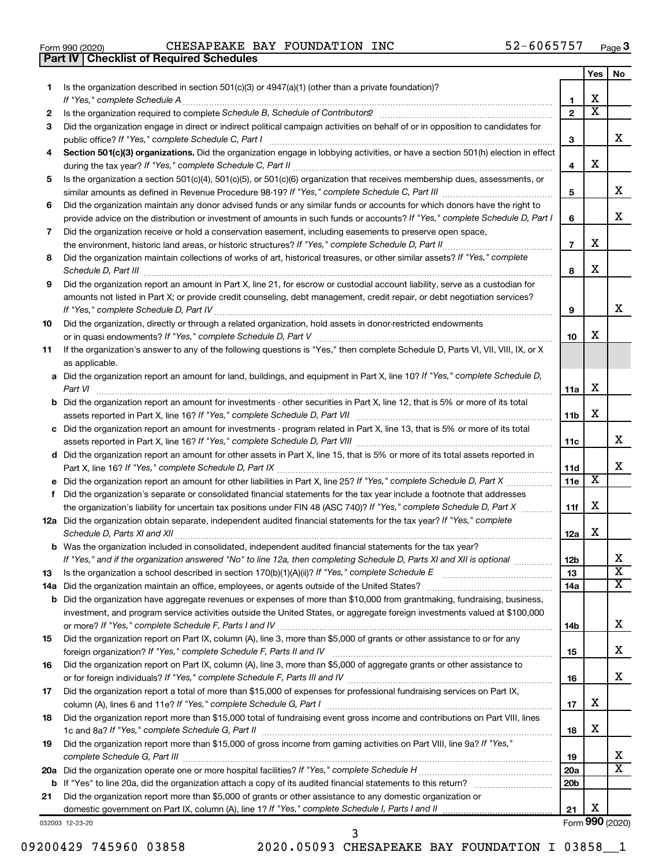|  | Form 990 (2020) |
|--|-----------------|

**Part IV Checklist of Required Schedules**

Form 990 (2020) Page CHESAPEAKE BAY FOUNDATION INC 52-6065757

|     |                                                                                                                                       |                 | Yes                     | No                    |
|-----|---------------------------------------------------------------------------------------------------------------------------------------|-----------------|-------------------------|-----------------------|
| 1   | Is the organization described in section 501(c)(3) or 4947(a)(1) (other than a private foundation)?                                   |                 |                         |                       |
|     | If "Yes," complete Schedule A                                                                                                         | 1               | x                       |                       |
| 2   |                                                                                                                                       | $\mathbf{2}$    | $\overline{\textbf{x}}$ |                       |
| 3   | Did the organization engage in direct or indirect political campaign activities on behalf of or in opposition to candidates for       |                 |                         |                       |
|     | public office? If "Yes," complete Schedule C, Part I                                                                                  | 3               |                         | x                     |
| 4   | Section 501(c)(3) organizations. Did the organization engage in lobbying activities, or have a section 501(h) election in effect      |                 |                         |                       |
|     |                                                                                                                                       | 4               | х                       |                       |
| 5   | Is the organization a section 501(c)(4), 501(c)(5), or 501(c)(6) organization that receives membership dues, assessments, or          |                 |                         |                       |
|     |                                                                                                                                       | 5               |                         | x                     |
| 6   | Did the organization maintain any donor advised funds or any similar funds or accounts for which donors have the right to             |                 |                         |                       |
|     | provide advice on the distribution or investment of amounts in such funds or accounts? If "Yes," complete Schedule D, Part I          | 6               |                         | x                     |
| 7   | Did the organization receive or hold a conservation easement, including easements to preserve open space,                             |                 |                         |                       |
|     | the environment, historic land areas, or historic structures? If "Yes," complete Schedule D, Part II                                  | $\overline{7}$  | х                       |                       |
| 8   | Did the organization maintain collections of works of art, historical treasures, or other similar assets? If "Yes," complete          |                 |                         |                       |
|     | Schedule D, Part III                                                                                                                  | 8               | х                       |                       |
| 9   | Did the organization report an amount in Part X, line 21, for escrow or custodial account liability, serve as a custodian for         |                 |                         |                       |
|     | amounts not listed in Part X; or provide credit counseling, debt management, credit repair, or debt negotiation services?             |                 |                         |                       |
|     |                                                                                                                                       | 9               |                         | x                     |
| 10  | Did the organization, directly or through a related organization, hold assets in donor-restricted endowments                          |                 |                         |                       |
|     |                                                                                                                                       | 10              | х                       |                       |
| 11  | If the organization's answer to any of the following questions is "Yes," then complete Schedule D, Parts VI, VII, VIII, IX, or X      |                 |                         |                       |
|     | as applicable.                                                                                                                        |                 |                         |                       |
|     | a Did the organization report an amount for land, buildings, and equipment in Part X, line 10? If "Yes," complete Schedule D,         |                 |                         |                       |
|     | Part VI                                                                                                                               | 11a             | х                       |                       |
|     | <b>b</b> Did the organization report an amount for investments - other securities in Part X, line 12, that is 5% or more of its total |                 |                         |                       |
|     |                                                                                                                                       | 11b             | х                       |                       |
|     | assets reported in Part X, line 16? If "Yes," complete Schedule D, Part VII [11] [11] [12] [12] [12] [12] [12] [                      |                 |                         |                       |
|     | c Did the organization report an amount for investments - program related in Part X, line 13, that is 5% or more of its total         |                 |                         | х                     |
|     |                                                                                                                                       | 11c             |                         |                       |
|     | d Did the organization report an amount for other assets in Part X, line 15, that is 5% or more of its total assets reported in       |                 |                         | x                     |
|     |                                                                                                                                       | 11d             | X                       |                       |
|     |                                                                                                                                       | 11e             |                         |                       |
| f.  | Did the organization's separate or consolidated financial statements for the tax year include a footnote that addresses               |                 |                         |                       |
|     | the organization's liability for uncertain tax positions under FIN 48 (ASC 740)? If "Yes," complete Schedule D, Part X                | 11f             | х                       |                       |
|     | 12a Did the organization obtain separate, independent audited financial statements for the tax year? If "Yes," complete               |                 |                         |                       |
|     | Schedule D, Parts XI and XII                                                                                                          | 12a             | х                       |                       |
|     | b Was the organization included in consolidated, independent audited financial statements for the tax year?                           |                 |                         |                       |
|     | If "Yes," and if the organization answered "No" to line 12a, then completing Schedule D, Parts XI and XII is optional <i>www</i>      | 12 <sub>b</sub> |                         | х                     |
| 13  |                                                                                                                                       | 13              |                         | $\overline{\text{x}}$ |
| 14a |                                                                                                                                       | 14a             |                         | x                     |
| b   | Did the organization have aggregate revenues or expenses of more than \$10,000 from grantmaking, fundraising, business,               |                 |                         |                       |
|     | investment, and program service activities outside the United States, or aggregate foreign investments valued at \$100,000            |                 |                         |                       |
|     |                                                                                                                                       | 14b             |                         | х                     |
| 15  | Did the organization report on Part IX, column (A), line 3, more than \$5,000 of grants or other assistance to or for any             |                 |                         |                       |
|     |                                                                                                                                       | 15              |                         | х                     |
| 16  | Did the organization report on Part IX, column (A), line 3, more than \$5,000 of aggregate grants or other assistance to              |                 |                         |                       |
|     |                                                                                                                                       | 16              |                         | х                     |
| 17  | Did the organization report a total of more than \$15,000 of expenses for professional fundraising services on Part IX,               |                 |                         |                       |
|     |                                                                                                                                       | 17              | x                       |                       |
| 18  | Did the organization report more than \$15,000 total of fundraising event gross income and contributions on Part VIII, lines          |                 |                         |                       |
|     |                                                                                                                                       | 18              | x                       |                       |
| 19  | Did the organization report more than \$15,000 of gross income from gaming activities on Part VIII, line 9a? If "Yes,"                |                 |                         |                       |
|     |                                                                                                                                       | 19              |                         | x                     |
| 20a |                                                                                                                                       | 20a             |                         | х                     |
| b   |                                                                                                                                       | 20 <sub>b</sub> |                         |                       |
| 21  | Did the organization report more than \$5,000 of grants or other assistance to any domestic organization or                           |                 |                         |                       |
|     |                                                                                                                                       | 21              | х                       |                       |
|     | 032003 12-23-20                                                                                                                       |                 |                         | Form 990 (2020)       |

09200429 745960 03858 2020.05093 CHESAPEAKE BAY FOUNDATION I 03858\_1 3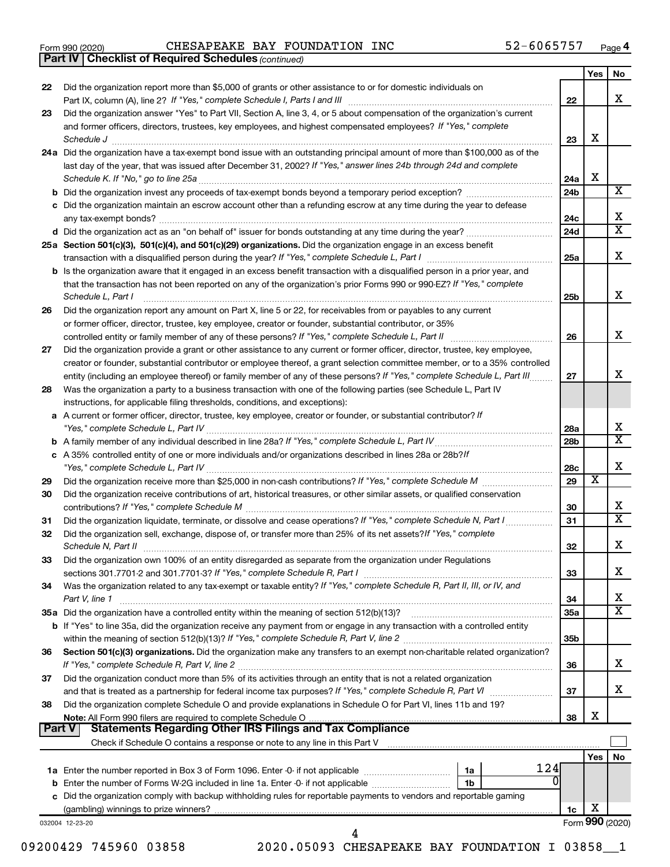|  | Form 990 (2020) |  |
|--|-----------------|--|
|  |                 |  |

Form 990 (2020) Page CHESAPEAKE BAY FOUNDATION INC 52-6065757

*(continued)* **Part IV Checklist of Required Schedules**

|               |                                                                                                                                                                                                                                    |                 | Yes | No.                     |
|---------------|------------------------------------------------------------------------------------------------------------------------------------------------------------------------------------------------------------------------------------|-----------------|-----|-------------------------|
| 22            | Did the organization report more than \$5,000 of grants or other assistance to or for domestic individuals on                                                                                                                      |                 |     |                         |
|               |                                                                                                                                                                                                                                    |                 |     | х                       |
|               |                                                                                                                                                                                                                                    | 22              |     |                         |
| 23            | Did the organization answer "Yes" to Part VII, Section A, line 3, 4, or 5 about compensation of the organization's current                                                                                                         |                 |     |                         |
|               | and former officers, directors, trustees, key employees, and highest compensated employees? If "Yes," complete                                                                                                                     |                 |     |                         |
|               | Schedule J <b>Execute Schedule Schedule Schedule Schedule</b> J <b>Execute Schedule J Execute Schedule J</b>                                                                                                                       | 23              | X   |                         |
|               | 24a Did the organization have a tax-exempt bond issue with an outstanding principal amount of more than \$100,000 as of the                                                                                                        |                 |     |                         |
|               | last day of the year, that was issued after December 31, 2002? If "Yes," answer lines 24b through 24d and complete                                                                                                                 |                 |     |                         |
|               |                                                                                                                                                                                                                                    | 24a             | X   |                         |
|               |                                                                                                                                                                                                                                    | 24 <sub>b</sub> |     | x                       |
|               | c Did the organization maintain an escrow account other than a refunding escrow at any time during the year to defease                                                                                                             |                 |     |                         |
|               |                                                                                                                                                                                                                                    | 24c             |     | х                       |
|               |                                                                                                                                                                                                                                    | 24d             |     | $\overline{\textbf{X}}$ |
|               | 25a Section 501(c)(3), 501(c)(4), and 501(c)(29) organizations. Did the organization engage in an excess benefit                                                                                                                   |                 |     |                         |
|               |                                                                                                                                                                                                                                    | 25a             |     | х                       |
|               | <b>b</b> Is the organization aware that it engaged in an excess benefit transaction with a disqualified person in a prior year, and                                                                                                |                 |     |                         |
|               | that the transaction has not been reported on any of the organization's prior Forms 990 or 990-EZ? If "Yes," complete                                                                                                              |                 |     |                         |
|               | Schedule L, Part I                                                                                                                                                                                                                 | 25b             |     | х                       |
| 26            | Did the organization report any amount on Part X, line 5 or 22, for receivables from or payables to any current                                                                                                                    |                 |     |                         |
|               | or former officer, director, trustee, key employee, creator or founder, substantial contributor, or 35%                                                                                                                            |                 |     |                         |
|               |                                                                                                                                                                                                                                    | 26              |     | х                       |
| 27            | Did the organization provide a grant or other assistance to any current or former officer, director, trustee, key employee,                                                                                                        |                 |     |                         |
|               | creator or founder, substantial contributor or employee thereof, a grant selection committee member, or to a 35% controlled                                                                                                        |                 |     |                         |
|               | entity (including an employee thereof) or family member of any of these persons? If "Yes," complete Schedule L, Part III                                                                                                           | 27              |     | x                       |
| 28            | Was the organization a party to a business transaction with one of the following parties (see Schedule L, Part IV                                                                                                                  |                 |     |                         |
|               |                                                                                                                                                                                                                                    |                 |     |                         |
|               | instructions, for applicable filing thresholds, conditions, and exceptions):                                                                                                                                                       |                 |     |                         |
| а             | A current or former officer, director, trustee, key employee, creator or founder, or substantial contributor? If                                                                                                                   |                 |     | х                       |
|               | "Yes," complete Schedule L, Part IV [111] [12] www.marrows.communications.communications.com/                                                                                                                                      | 28a             |     | $\overline{\text{X}}$   |
|               |                                                                                                                                                                                                                                    | 28b             |     |                         |
|               | c A 35% controlled entity of one or more individuals and/or organizations described in lines 28a or 28b?If                                                                                                                         |                 |     |                         |
|               |                                                                                                                                                                                                                                    | 28c             |     | х                       |
| 29            |                                                                                                                                                                                                                                    | 29              | х   |                         |
| 30            | Did the organization receive contributions of art, historical treasures, or other similar assets, or qualified conservation                                                                                                        |                 |     |                         |
|               |                                                                                                                                                                                                                                    | 30              |     | х                       |
| 31            | Did the organization liquidate, terminate, or dissolve and cease operations? If "Yes," complete Schedule N, Part I                                                                                                                 | 31              |     | X                       |
| 32            | Did the organization sell, exchange, dispose of, or transfer more than 25% of its net assets? If "Yes," complete                                                                                                                   |                 |     |                         |
|               | Schedule N, Part II <b>Markov Markov Schedule N, Part II Markov Markov Markov Markov Markov Markov Markov Markov Markov Markov Markov Markov Markov Markov Markov Markov Markov Markov Markov Markov Markov Markov Markov Mark</b> | 32              |     | х                       |
| 33            | Did the organization own 100% of an entity disregarded as separate from the organization under Regulations                                                                                                                         |                 |     |                         |
|               |                                                                                                                                                                                                                                    | 33              |     | x                       |
| 34            | Was the organization related to any tax-exempt or taxable entity? If "Yes," complete Schedule R, Part II, III, or IV, and                                                                                                          |                 |     |                         |
|               | Part V, line 1                                                                                                                                                                                                                     | 34              |     | х                       |
|               | 35a Did the organization have a controlled entity within the meaning of section 512(b)(13)?                                                                                                                                        | 35a             |     | $\overline{\textbf{X}}$ |
|               | b If "Yes" to line 35a, did the organization receive any payment from or engage in any transaction with a controlled entity                                                                                                        |                 |     |                         |
|               |                                                                                                                                                                                                                                    | 35 <sub>b</sub> |     |                         |
| 36            | Section 501(c)(3) organizations. Did the organization make any transfers to an exempt non-charitable related organization?                                                                                                         |                 |     |                         |
|               |                                                                                                                                                                                                                                    | 36              |     | x                       |
| 37            | Did the organization conduct more than 5% of its activities through an entity that is not a related organization                                                                                                                   |                 |     |                         |
|               |                                                                                                                                                                                                                                    | 37              |     | x                       |
| 38            | Did the organization complete Schedule O and provide explanations in Schedule O for Part VI, lines 11b and 19?                                                                                                                     |                 |     |                         |
|               |                                                                                                                                                                                                                                    | 38              | X   |                         |
| <b>Part V</b> |                                                                                                                                                                                                                                    |                 |     |                         |
|               |                                                                                                                                                                                                                                    |                 |     |                         |
|               |                                                                                                                                                                                                                                    |                 | Yes | No                      |
|               | 124<br>1a                                                                                                                                                                                                                          |                 |     |                         |
|               | b Enter the number of Forms W-2G included in line 1a. Enter -0- if not applicable<br>1b                                                                                                                                            |                 |     |                         |
|               | c Did the organization comply with backup withholding rules for reportable payments to vendors and reportable gaming                                                                                                               |                 |     |                         |
|               |                                                                                                                                                                                                                                    | 1c              | X   |                         |
|               | 032004 12-23-20                                                                                                                                                                                                                    |                 |     | Form 990 (2020)         |
|               | 4                                                                                                                                                                                                                                  |                 |     |                         |

09200429 745960 03858 2020.05093 CHESAPEAKE BAY FOUNDATION I 03858 1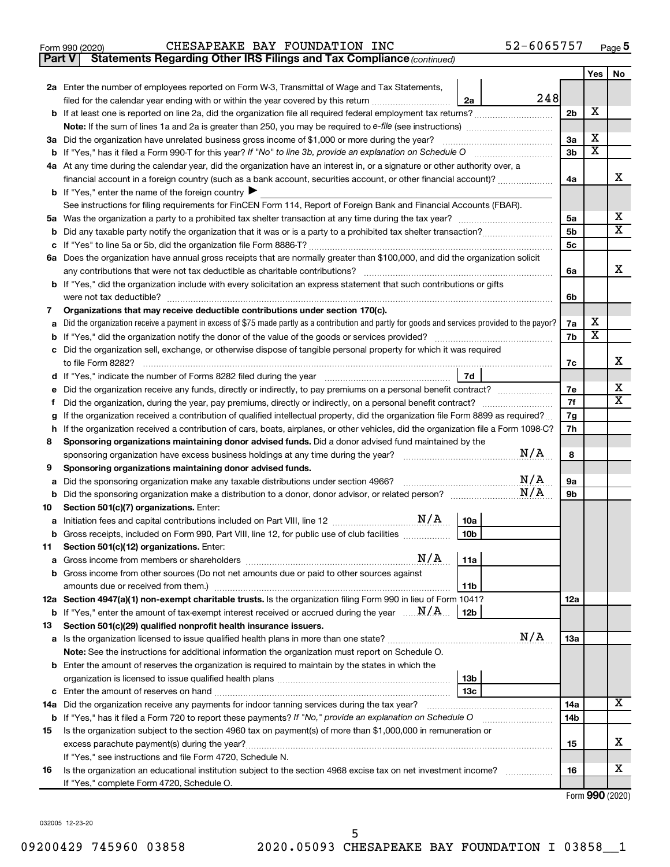| Form 990 (2020) | CHESAPEAKE BAY FOUNDATION INC |  |                                                                                     | 52-6065757 | Page |
|-----------------|-------------------------------|--|-------------------------------------------------------------------------------------|------------|------|
|                 |                               |  | <b>Part V</b> Statements Regarding Other IRS Filings and Tax Compliance (continued) |            |      |

|    |                                                                                                                                                                                                               |                | Yes                   | No                           |
|----|---------------------------------------------------------------------------------------------------------------------------------------------------------------------------------------------------------------|----------------|-----------------------|------------------------------|
|    | 2a Enter the number of employees reported on Form W-3, Transmittal of Wage and Tax Statements,                                                                                                                |                |                       |                              |
|    | 248<br>filed for the calendar year ending with or within the year covered by this return <i>[[[[[[[[[[[[[[]]]]</i> ]]<br>2a                                                                                   |                |                       |                              |
|    |                                                                                                                                                                                                               | 2 <sub>b</sub> | X                     |                              |
|    |                                                                                                                                                                                                               |                |                       |                              |
|    | 3a Did the organization have unrelated business gross income of \$1,000 or more during the year?                                                                                                              | 3a             | X                     |                              |
|    |                                                                                                                                                                                                               | 3b             | $\overline{\text{x}}$ |                              |
|    | 4a At any time during the calendar year, did the organization have an interest in, or a signature or other authority over, a                                                                                  |                |                       |                              |
|    | financial account in a foreign country (such as a bank account, securities account, or other financial account)?                                                                                              | 4a             |                       | х                            |
|    | <b>b</b> If "Yes," enter the name of the foreign country                                                                                                                                                      |                |                       |                              |
|    | See instructions for filing requirements for FinCEN Form 114, Report of Foreign Bank and Financial Accounts (FBAR).                                                                                           |                |                       |                              |
|    |                                                                                                                                                                                                               | 5a             |                       | х<br>$\overline{\mathbf{X}}$ |
| b  |                                                                                                                                                                                                               | 5b             |                       |                              |
| с  |                                                                                                                                                                                                               | 5 <sub>c</sub> |                       |                              |
|    | 6a Does the organization have annual gross receipts that are normally greater than \$100,000, and did the organization solicit<br>any contributions that were not tax deductible as charitable contributions? | 6a             |                       | х                            |
|    | b If "Yes," did the organization include with every solicitation an express statement that such contributions or gifts                                                                                        |                |                       |                              |
|    | were not tax deductible?                                                                                                                                                                                      | 6b             |                       |                              |
| 7  | Organizations that may receive deductible contributions under section 170(c).                                                                                                                                 |                |                       |                              |
|    | Did the organization receive a payment in excess of \$75 made partly as a contribution and partly for goods and services provided to the payor?                                                               | 7a             | х                     |                              |
|    |                                                                                                                                                                                                               | 7b             | $\overline{\text{x}}$ |                              |
| с  | Did the organization sell, exchange, or otherwise dispose of tangible personal property for which it was required                                                                                             |                |                       |                              |
|    | to file Form 8282?                                                                                                                                                                                            | 7c             |                       | х                            |
| d  | 7d<br>If "Yes," indicate the number of Forms 8282 filed during the year <i>manual content of the set</i>                                                                                                      |                |                       |                              |
|    |                                                                                                                                                                                                               | 7e             |                       | х                            |
| Ť. |                                                                                                                                                                                                               | 7f             |                       | х                            |
| g  | If the organization received a contribution of qualified intellectual property, did the organization file Form 8899 as required?                                                                              | 7g             |                       |                              |
| h  | If the organization received a contribution of cars, boats, airplanes, or other vehicles, did the organization file a Form 1098-C?                                                                            | 7h             |                       |                              |
| 8  | Sponsoring organizations maintaining donor advised funds. Did a donor advised fund maintained by the                                                                                                          |                |                       |                              |
|    | N/A<br>sponsoring organization have excess business holdings at any time during the year?                                                                                                                     | 8              |                       |                              |
| 9  | Sponsoring organizations maintaining donor advised funds.                                                                                                                                                     |                |                       |                              |
| а  | N/A<br>Did the sponsoring organization make any taxable distributions under section 4966?                                                                                                                     | 9а             |                       |                              |
| b  | N/A                                                                                                                                                                                                           | 9b             |                       |                              |
| 10 | Section 501(c)(7) organizations. Enter:                                                                                                                                                                       |                |                       |                              |
| а  | 10a                                                                                                                                                                                                           |                |                       |                              |
| b  | 10 <sub>b</sub><br>Gross receipts, included on Form 990, Part VIII, line 12, for public use of club facilities<br>Section 501(c)(12) organizations. Enter:                                                    |                |                       |                              |
| 11 |                                                                                                                                                                                                               |                |                       |                              |
|    | b Gross income from other sources (Do not net amounts due or paid to other sources against                                                                                                                    |                |                       |                              |
|    | 11b                                                                                                                                                                                                           |                |                       |                              |
|    | 12a Section 4947(a)(1) non-exempt charitable trusts. Is the organization filing Form 990 in lieu of Form 1041?                                                                                                | 12a            |                       |                              |
|    | <b>b</b> If "Yes," enter the amount of tax-exempt interest received or accrued during the year $\ldots \mathbf{N}/\mathbf{A}$ .<br><b>12b</b>                                                                 |                |                       |                              |
| 13 | Section 501(c)(29) qualified nonprofit health insurance issuers.                                                                                                                                              |                |                       |                              |
|    | N/A                                                                                                                                                                                                           | 1За            |                       |                              |
|    | Note: See the instructions for additional information the organization must report on Schedule O.                                                                                                             |                |                       |                              |
|    | <b>b</b> Enter the amount of reserves the organization is required to maintain by the states in which the                                                                                                     |                |                       |                              |
|    | 13 <sub>b</sub>                                                                                                                                                                                               |                |                       |                              |
|    | 13 <sub>c</sub>                                                                                                                                                                                               |                |                       |                              |
|    | 14a Did the organization receive any payments for indoor tanning services during the tax year?                                                                                                                | 14a            |                       | х                            |
|    | b If "Yes," has it filed a Form 720 to report these payments? If "No," provide an explanation on Schedule O                                                                                                   | 14b            |                       |                              |
| 15 | Is the organization subject to the section 4960 tax on payment(s) of more than \$1,000,000 in remuneration or                                                                                                 |                |                       |                              |
|    | excess parachute payment(s) during the year?                                                                                                                                                                  | 15             |                       | x                            |
|    | If "Yes," see instructions and file Form 4720, Schedule N.                                                                                                                                                    |                |                       |                              |
| 16 | Is the organization an educational institution subject to the section 4968 excise tax on net investment income?                                                                                               | 16             |                       | x                            |
|    | If "Yes," complete Form 4720, Schedule O.                                                                                                                                                                     |                |                       |                              |

Form (2020) **990**

032005 12-23-20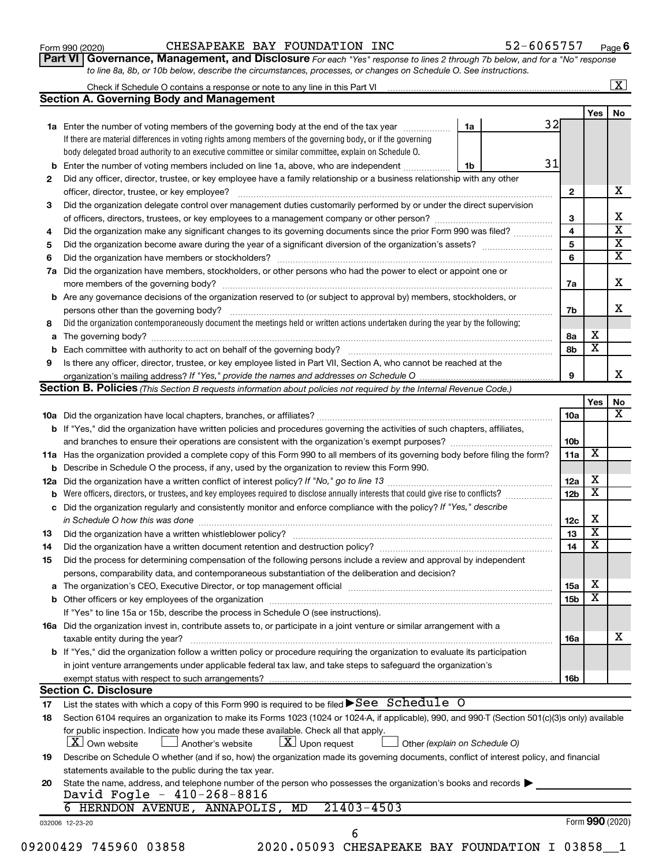| Form 990 (2020) |  |
|-----------------|--|
|-----------------|--|

#### Form 990 (2020) Page CHESAPEAKE BAY FOUNDATION INC 52-6065757

**Part VI** Governance, Management, and Disclosure For each "Yes" response to lines 2 through 7b below, and for a "No" response *to line 8a, 8b, or 10b below, describe the circumstances, processes, or changes on Schedule O. See instructions.*

|     |                                                                                                                                                  |    |    |                 |     | $\mathbf{X}$            |
|-----|--------------------------------------------------------------------------------------------------------------------------------------------------|----|----|-----------------|-----|-------------------------|
|     | <b>Section A. Governing Body and Management</b>                                                                                                  |    |    |                 |     |                         |
|     |                                                                                                                                                  |    |    |                 | Yes | No                      |
|     | <b>1a</b> Enter the number of voting members of the governing body at the end of the tax year                                                    | 1a | 32 |                 |     |                         |
|     | If there are material differences in voting rights among members of the governing body, or if the governing                                      |    |    |                 |     |                         |
|     | body delegated broad authority to an executive committee or similar committee, explain on Schedule O.                                            |    |    |                 |     |                         |
| b   | Enter the number of voting members included on line 1a, above, who are independent                                                               | 1b | 31 |                 |     |                         |
| 2   | Did any officer, director, trustee, or key employee have a family relationship or a business relationship with any other                         |    |    |                 |     |                         |
|     | officer, director, trustee, or key employee?                                                                                                     |    |    | $\mathbf{2}$    |     | х                       |
| 3   | Did the organization delegate control over management duties customarily performed by or under the direct supervision                            |    |    |                 |     |                         |
|     |                                                                                                                                                  |    |    | З               |     | x                       |
| 4   | Did the organization make any significant changes to its governing documents since the prior Form 990 was filed?                                 |    |    | 4               |     | $\overline{\textbf{x}}$ |
| 5   |                                                                                                                                                  |    |    | 5               |     | $\overline{\textbf{X}}$ |
| 6   |                                                                                                                                                  |    |    | 6               |     | $\overline{\textbf{X}}$ |
| 7a  | Did the organization have members, stockholders, or other persons who had the power to elect or appoint one or                                   |    |    |                 |     |                         |
|     |                                                                                                                                                  |    |    | 7a              |     | х                       |
|     | <b>b</b> Are any governance decisions of the organization reserved to (or subject to approval by) members, stockholders, or                      |    |    |                 |     |                         |
|     | persons other than the governing body?                                                                                                           |    |    | 7b              |     | x                       |
| 8   | Did the organization contemporaneously document the meetings held or written actions undertaken during the year by the following:                |    |    |                 |     |                         |
| а   |                                                                                                                                                  |    |    | 8а              | х   |                         |
| b   |                                                                                                                                                  |    |    | 8b              | х   |                         |
| 9   | Is there any officer, director, trustee, or key employee listed in Part VII, Section A, who cannot be reached at the                             |    |    |                 |     |                         |
|     |                                                                                                                                                  |    |    | 9               |     | x.                      |
|     | <b>Section B. Policies</b> (This Section B requests information about policies not required by the Internal Revenue Code.)                       |    |    |                 |     |                         |
|     |                                                                                                                                                  |    |    |                 | Yes | No                      |
|     |                                                                                                                                                  |    |    | 10a             |     | х                       |
|     | b If "Yes," did the organization have written policies and procedures governing the activities of such chapters, affiliates,                     |    |    |                 |     |                         |
|     |                                                                                                                                                  |    |    | 10 <sub>b</sub> |     |                         |
|     | 11a Has the organization provided a complete copy of this Form 990 to all members of its governing body before filing the form?                  |    |    | 11a             | X   |                         |
| b   | Describe in Schedule O the process, if any, used by the organization to review this Form 990.                                                    |    |    |                 |     |                         |
| 12a |                                                                                                                                                  |    |    | 12a             | X   |                         |
| b   | Were officers, directors, or trustees, and key employees required to disclose annually interests that could give rise to conflicts?              |    |    | 12 <sub>b</sub> | х   |                         |
| с   | Did the organization regularly and consistently monitor and enforce compliance with the policy? If "Yes," describe                               |    |    |                 |     |                         |
|     |                                                                                                                                                  |    |    | 12c             | х   |                         |
| 13  |                                                                                                                                                  |    |    | 13              | х   |                         |
| 14  |                                                                                                                                                  |    |    | 14              | х   |                         |
| 15  | Did the process for determining compensation of the following persons include a review and approval by independent                               |    |    |                 |     |                         |
|     | persons, comparability data, and contemporaneous substantiation of the deliberation and decision?                                                |    |    |                 |     |                         |
| а   |                                                                                                                                                  |    |    | <b>15a</b>      | х   |                         |
|     |                                                                                                                                                  |    |    | 15 <sub>b</sub> | х   |                         |
|     | If "Yes" to line 15a or 15b, describe the process in Schedule O (see instructions).                                                              |    |    |                 |     |                         |
|     | 16a Did the organization invest in, contribute assets to, or participate in a joint venture or similar arrangement with a                        |    |    |                 |     |                         |
|     | taxable entity during the year?                                                                                                                  |    |    | 16a             |     | х                       |
|     | b If "Yes," did the organization follow a written policy or procedure requiring the organization to evaluate its participation                   |    |    |                 |     |                         |
|     | in joint venture arrangements under applicable federal tax law, and take steps to safequard the organization's                                   |    |    |                 |     |                         |
|     | exempt status with respect to such arrangements?                                                                                                 |    |    | 16 <sub>b</sub> |     |                         |
|     | <b>Section C. Disclosure</b>                                                                                                                     |    |    |                 |     |                         |
| 17  | List the states with which a copy of this Form 990 is required to be filed $\blacktriangleright$ See Schedule O                                  |    |    |                 |     |                         |
| 18  | Section 6104 requires an organization to make its Forms 1023 (1024 or 1024-A, if applicable), 990, and 990-T (Section 501(c)(3)s only) available |    |    |                 |     |                         |
|     | for public inspection. Indicate how you made these available. Check all that apply.                                                              |    |    |                 |     |                         |
|     | $\lfloor x \rfloor$ Upon request<br><b>X</b> Own website<br>Another's website<br>Other (explain on Schedule O)                                   |    |    |                 |     |                         |
| 19  | Describe on Schedule O whether (and if so, how) the organization made its governing documents, conflict of interest policy, and financial        |    |    |                 |     |                         |
|     | statements available to the public during the tax year.                                                                                          |    |    |                 |     |                         |
| 20  | State the name, address, and telephone number of the person who possesses the organization's books and records                                   |    |    |                 |     |                         |
|     | David Fogle - 410-268-8816                                                                                                                       |    |    |                 |     |                         |
|     | $21403 - 4503$<br>HERNDON AVENUE, ANNAPOLIS,<br>6<br>MD                                                                                          |    |    |                 |     |                         |
|     | 032006 12-23-20                                                                                                                                  |    |    |                 |     | Form 990 (2020)         |
|     | 6                                                                                                                                                |    |    |                 |     |                         |

09200429 745960 03858 2020.05093 CHESAPEAKE BAY FOUNDATION I 03858\_1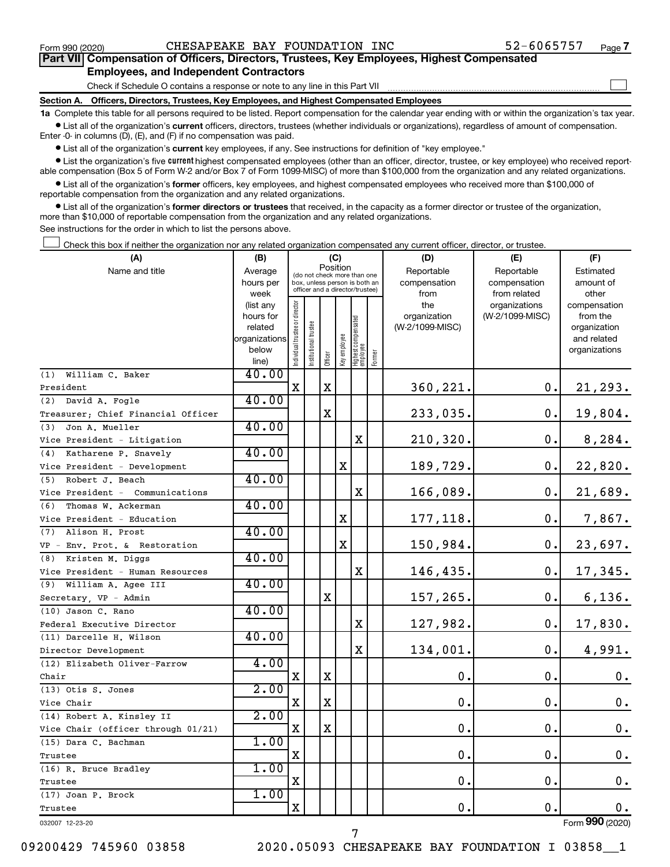$\Box$ 

| Part VII Compensation of Officers, Directors, Trustees, Key Employees, Highest Compensated |  |  |  |  |
|--------------------------------------------------------------------------------------------|--|--|--|--|
| <b>Employees, and Independent Contractors</b>                                              |  |  |  |  |

Check if Schedule O contains a response or note to any line in this Part VII

**Section A. Officers, Directors, Trustees, Key Employees, and Highest Compensated Employees**

**1a**  Complete this table for all persons required to be listed. Report compensation for the calendar year ending with or within the organization's tax year.  $\bullet$  List all of the organization's current officers, directors, trustees (whether individuals or organizations), regardless of amount of compensation.

Enter -0- in columns (D), (E), and (F) if no compensation was paid.

**•** List all of the organization's current key employees, if any. See instructions for definition of "key employee."

• List the organization's five *current* highest compensated employees (other than an officer, director, trustee, or key employee) who received reportable compensation (Box 5 of Form W-2 and/or Box 7 of Form 1099-MISC) of more than \$100,000 from the organization and any related organizations.

 $\bullet$  List all of the organization's former officers, key employees, and highest compensated employees who received more than \$100,000 of reportable compensation from the organization and any related organizations.

**•** List all of the organization's former directors or trustees that received, in the capacity as a former director or trustee of the organization, more than \$10,000 of reportable compensation from the organization and any related organizations.

See instructions for the order in which to list the persons above.

Check this box if neither the organization nor any related organization compensated any current officer, director, or trustee.  $\Box$ 

| (A)                                | (B)                      |                                |                                         | (C)         |              |                                   |        | (D)             | (E)             | (F)                         |
|------------------------------------|--------------------------|--------------------------------|-----------------------------------------|-------------|--------------|-----------------------------------|--------|-----------------|-----------------|-----------------------------|
| Name and title                     | Average                  |                                | Position<br>(do not check more than one |             |              |                                   |        | Reportable      | Reportable      | Estimated                   |
|                                    | hours per                |                                | box, unless person is both an           |             |              |                                   |        | compensation    | compensation    | amount of                   |
|                                    | week                     |                                | officer and a director/trustee)         |             |              |                                   |        | from            | from related    | other                       |
|                                    | (list any                |                                |                                         |             |              |                                   |        | the             | organizations   | compensation                |
|                                    | hours for                |                                |                                         |             |              |                                   |        | organization    | (W-2/1099-MISC) | from the                    |
|                                    | related<br>organizations |                                |                                         |             |              |                                   |        | (W-2/1099-MISC) |                 | organization<br>and related |
|                                    | below                    |                                |                                         |             |              |                                   |        |                 |                 | organizations               |
|                                    | line)                    | Individual trustee or director | nstitutional trustee                    | Officer     | Key employee | Highest compensated<br>  employee | Former |                 |                 |                             |
| William C. Baker<br>(1)            | 40.00                    |                                |                                         |             |              |                                   |        |                 |                 |                             |
| President                          |                          | х                              |                                         | X           |              |                                   |        | 360,221.        | 0.              | 21,293.                     |
| (2) David A. Fogle                 | 40.00                    |                                |                                         |             |              |                                   |        |                 |                 |                             |
| Treasurer; Chief Financial Officer |                          |                                |                                         | $\mathbf X$ |              |                                   |        | 233,035.        | 0.              | 19,804.                     |
| Jon A. Mueller<br>(3)              | 40.00                    |                                |                                         |             |              |                                   |        |                 |                 |                             |
| Vice President - Litigation        |                          |                                |                                         |             |              | $\mathbf X$                       |        | 210,320.        | о.              | 8,284.                      |
| Katharene P. Snavely<br>(4)        | 40.00                    |                                |                                         |             |              |                                   |        |                 |                 |                             |
| Vice President - Development       |                          |                                |                                         |             | X            |                                   |        | 189,729.        | 0.              | 22,820.                     |
| (5) Robert J. Beach                | 40.00                    |                                |                                         |             |              |                                   |        |                 |                 |                             |
| Vice President - Communications    |                          |                                |                                         |             |              | $\mathbf X$                       |        | 166,089.        | 0.              | 21,689.                     |
| Thomas W. Ackerman<br>(6)          | 40.00                    |                                |                                         |             |              |                                   |        |                 |                 |                             |
| Vice President - Education         |                          |                                |                                         |             | X            |                                   |        | 177,118.        | о.              | 7,867.                      |
| (7) Alison H. Prost                | 40.00                    |                                |                                         |             |              |                                   |        |                 |                 |                             |
| VP - Env. Prot. & Restoration      |                          |                                |                                         |             | X            |                                   |        | 150,984.        | 0.              | 23,697.                     |
| Kristen M. Diggs<br>(8)            | 40.00                    |                                |                                         |             |              |                                   |        |                 |                 |                             |
| Vice President - Human Resources   |                          |                                |                                         |             |              | X                                 |        | 146,435.        | 0.              | 17,345.                     |
| William A. Agee III<br>(9)         | 40.00                    |                                |                                         |             |              |                                   |        |                 |                 |                             |
| Secretary, VP - Admin              |                          |                                |                                         | $\mathbf X$ |              |                                   |        | 157,265.        | 0.              | 6,136.                      |
| (10) Jason C. Rano                 | 40.00                    |                                |                                         |             |              |                                   |        |                 |                 |                             |
| Federal Executive Director         |                          |                                |                                         |             |              | $\mathbf X$                       |        | 127,982.        | 0.              | 17,830.                     |
| (11) Darcelle H. Wilson            | 40.00                    |                                |                                         |             |              |                                   |        |                 |                 |                             |
| Director Development               |                          |                                |                                         |             |              | $\mathbf X$                       |        | 134,001.        | 0.              | 4,991.                      |
| (12) Elizabeth Oliver-Farrow       | 4.00                     |                                |                                         |             |              |                                   |        |                 |                 |                             |
| Chair                              |                          | $\mathbf X$                    |                                         | $\mathbf X$ |              |                                   |        | 0.              | 0.              | 0.                          |
| (13) Otis S. Jones                 | 2.00                     |                                |                                         |             |              |                                   |        |                 |                 |                             |
| Vice Chair                         |                          | х                              |                                         | $\mathbf X$ |              |                                   |        | $\mathbf 0$ .   | $\mathbf 0$ .   | $\mathbf 0$ .               |
| (14) Robert A. Kinsley II          | 2.00                     |                                |                                         |             |              |                                   |        |                 |                 |                             |
| Vice Chair (officer through 01/21) |                          | $\mathbf X$                    |                                         | $\mathbf X$ |              |                                   |        | $\mathbf 0$ .   | О.              | 0.                          |
| (15) Dara C. Bachman               | 1.00                     |                                |                                         |             |              |                                   |        |                 |                 |                             |
| Trustee                            |                          | X                              |                                         |             |              |                                   |        | $\mathbf 0$ .   | О.              | $0$ .                       |
| (16) R. Bruce Bradley              | 1.00                     | $\mathbf X$                    |                                         |             |              |                                   |        | 0.              | $\mathbf 0$ .   | 0.                          |
| Trustee                            | 1.00                     |                                |                                         |             |              |                                   |        |                 |                 |                             |
| (17) Joan P. Brock                 |                          | X                              |                                         |             |              |                                   |        | 0.              | О.              | $0$ .                       |
| Trustee                            |                          |                                |                                         |             |              |                                   |        |                 |                 | Form 990 (2020)             |
| 032007 12-23-20                    |                          |                                |                                         |             |              |                                   |        |                 |                 |                             |

7

09200429 745960 03858 2020.05093 CHESAPEAKE BAY FOUNDATION I 03858\_\_1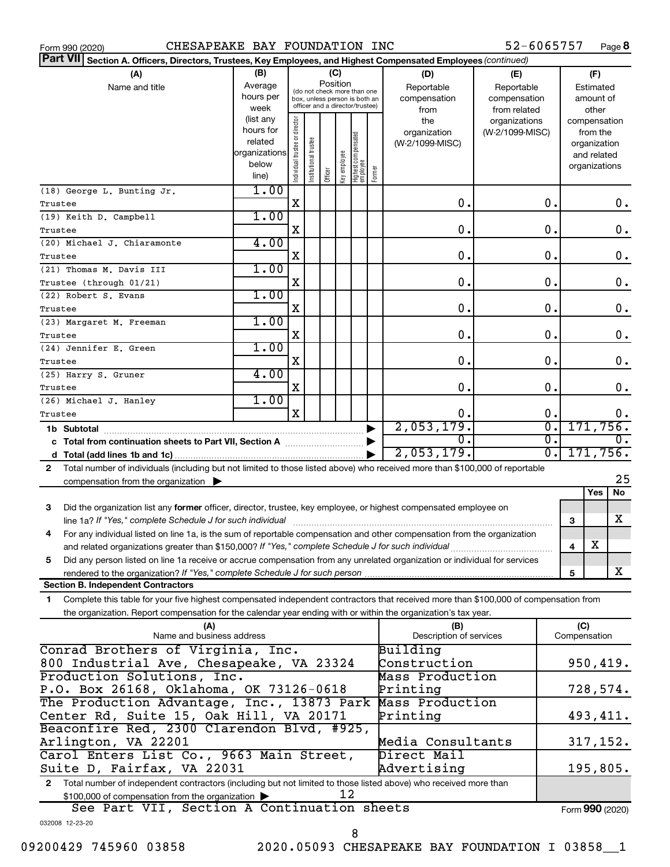| 52-6065757<br>CHESAPEAKE BAY FOUNDATION INC<br>Page 8<br>Form 990 (2020)                                                                                                                                                             |                                                         |                                |                       |                 |              |                                                                                                 |        |                                                  |                                                                    |                                                                          |       |  |
|--------------------------------------------------------------------------------------------------------------------------------------------------------------------------------------------------------------------------------------|---------------------------------------------------------|--------------------------------|-----------------------|-----------------|--------------|-------------------------------------------------------------------------------------------------|--------|--------------------------------------------------|--------------------------------------------------------------------|--------------------------------------------------------------------------|-------|--|
| ∣Part VII<br>Section A. Officers, Directors, Trustees, Key Employees, and Highest Compensated Employees (continued)                                                                                                                  |                                                         |                                |                       |                 |              |                                                                                                 |        |                                                  |                                                                    |                                                                          |       |  |
| (A)<br>Name and title                                                                                                                                                                                                                | (B)<br>Average<br>hours per<br>week<br>(list any        |                                |                       | (C)<br>Position |              | (do not check more than one<br>box, unless person is both an<br>officer and a director/trustee) |        | (D)<br>Reportable<br>compensation<br>from<br>the | (E)<br>Reportable<br>compensation<br>from related<br>organizations | (F)<br>Estimated<br>amount of<br>other                                   |       |  |
|                                                                                                                                                                                                                                      | hours for<br>related<br>organizations<br>below<br>line) | Individual trustee or director | Institutional trustee | Officer         | key employee | Highest compensated<br> employee                                                                | Former | organization<br>(W-2/1099-MISC)                  | (W-2/1099-MISC)                                                    | compensation<br>from the<br>organization<br>and related<br>organizations |       |  |
| (18) George L. Bunting Jr.<br>Trustee                                                                                                                                                                                                | 1.00                                                    | Χ                              |                       |                 |              |                                                                                                 |        | О.                                               | о.                                                                 |                                                                          | 0.    |  |
| (19) Keith D. Campbell<br>Trustee                                                                                                                                                                                                    | 1.00                                                    | Χ                              |                       |                 |              |                                                                                                 |        | О.                                               | 0.                                                                 |                                                                          | 0.    |  |
| (20) Michael J. Chiaramonte<br>Trustee                                                                                                                                                                                               | 4.00                                                    | Χ                              |                       |                 |              |                                                                                                 |        | О.                                               | о.                                                                 |                                                                          | 0.    |  |
| (21) Thomas M. Davis III<br>Trustee (through 01/21)                                                                                                                                                                                  | 1.00                                                    | Χ                              |                       |                 |              |                                                                                                 |        | О.                                               | 0.                                                                 |                                                                          | 0.    |  |
| (22) Robert S. Evans                                                                                                                                                                                                                 | 1.00                                                    |                                |                       |                 |              |                                                                                                 |        |                                                  |                                                                    |                                                                          |       |  |
| Trustee<br>(23) Margaret M. Freeman                                                                                                                                                                                                  | 1.00                                                    | X                              |                       |                 |              |                                                                                                 |        | О.                                               | 0.                                                                 |                                                                          | $0$ . |  |
| Trustee                                                                                                                                                                                                                              |                                                         | Χ                              |                       |                 |              |                                                                                                 |        | О.                                               | 0.                                                                 |                                                                          | 0.    |  |
| (24) Jennifer E. Green<br>Trustee                                                                                                                                                                                                    | 1.00                                                    | Χ                              |                       |                 |              |                                                                                                 |        | О.                                               | 0.                                                                 |                                                                          | 0.    |  |
| (25) Harry S. Gruner<br>Trustee                                                                                                                                                                                                      | 4.00                                                    | X                              |                       |                 |              |                                                                                                 |        | О.                                               | 0.                                                                 |                                                                          | 0.    |  |
| (26) Michael J. Hanley<br>Trustee                                                                                                                                                                                                    | 1.00                                                    | X                              |                       |                 |              |                                                                                                 |        | О.                                               | Ο.                                                                 |                                                                          | 0.    |  |
|                                                                                                                                                                                                                                      |                                                         |                                |                       |                 |              |                                                                                                 |        | 2,053,179.                                       | σ.                                                                 | 171,756.                                                                 |       |  |
| c Total from continuation sheets to Part VII, Section A manufactured by                                                                                                                                                              |                                                         |                                |                       |                 |              |                                                                                                 |        | Ο.                                               | σ.                                                                 |                                                                          |       |  |
|                                                                                                                                                                                                                                      |                                                         |                                |                       |                 |              |                                                                                                 |        | 2,053,179.                                       | $\overline{0}$ .                                                   | 171,756.                                                                 |       |  |
| Total number of individuals (including but not limited to those listed above) who received more than \$100,000 of reportable<br>$\mathbf{2}$<br>compensation from the organization $\blacktriangleright$                             |                                                         |                                |                       |                 |              |                                                                                                 |        |                                                  |                                                                    |                                                                          | 25    |  |
|                                                                                                                                                                                                                                      |                                                         |                                |                       |                 |              |                                                                                                 |        |                                                  |                                                                    | Yes                                                                      | No    |  |
| Did the organization list any former officer, director, trustee, key employee, or highest compensated employee on<br>3                                                                                                               |                                                         |                                |                       |                 |              |                                                                                                 |        |                                                  |                                                                    | 3                                                                        | x     |  |
| For any individual listed on line 1a, is the sum of reportable compensation and other compensation from the organization<br>4<br>and related organizations greater than \$150,000? If "Yes," complete Schedule J for such individual |                                                         |                                |                       |                 |              |                                                                                                 |        |                                                  |                                                                    | X<br>$\overline{\mathbf{4}}$                                             |       |  |
| Did any person listed on line 1a receive or accrue compensation from any unrelated organization or individual for services<br>5                                                                                                      |                                                         |                                |                       |                 |              |                                                                                                 |        |                                                  |                                                                    |                                                                          |       |  |
| rendered to the organization? If "Yes," complete Schedule J for such person<br><b>Section B. Independent Contractors</b>                                                                                                             |                                                         |                                |                       |                 |              |                                                                                                 |        |                                                  |                                                                    | 5                                                                        | X     |  |
| Complete this table for your five highest compensated independent contractors that received more than \$100,000 of compensation from<br>1                                                                                            |                                                         |                                |                       |                 |              |                                                                                                 |        |                                                  |                                                                    |                                                                          |       |  |
| the organization. Report compensation for the calendar year ending with or within the organization's tax year.                                                                                                                       |                                                         |                                |                       |                 |              |                                                                                                 |        |                                                  |                                                                    |                                                                          |       |  |
| (A)<br>Name and business address                                                                                                                                                                                                     |                                                         |                                |                       |                 |              |                                                                                                 |        | (B)<br>Description of services                   |                                                                    | (C)<br>Compensation                                                      |       |  |
| Conrad Brothers of Virginia, Inc.                                                                                                                                                                                                    |                                                         |                                |                       |                 |              |                                                                                                 |        | Building                                         |                                                                    |                                                                          |       |  |
| 800 Industrial Ave, Chesapeake, VA 23324<br>Production Solutions, Inc.                                                                                                                                                               |                                                         |                                |                       |                 |              |                                                                                                 |        | Construction<br>Mass Production                  |                                                                    | 950, 419.                                                                |       |  |
| P.O. Box 26168, Oklahoma, OK 73126-0618                                                                                                                                                                                              |                                                         |                                |                       |                 |              |                                                                                                 |        | Printing<br>Mass Production                      |                                                                    | 728,574.                                                                 |       |  |
| The Production Advantage, Inc., 13873 Park<br>Center Rd, Suite 15, Oak Hill, VA 20171<br>Printing                                                                                                                                    |                                                         |                                |                       |                 |              |                                                                                                 |        |                                                  |                                                                    | 493,411.                                                                 |       |  |
| Beaconfire Red, 2300 Clarendon Blvd, #925,<br>Arlington, VA 22201                                                                                                                                                                    |                                                         |                                |                       |                 |              |                                                                                                 |        | Media Consultants                                |                                                                    | 317, 152.                                                                |       |  |
| Carol Enters List Co., 9663 Main Street,<br>Suite D, Fairfax, VA 22031                                                                                                                                                               |                                                         |                                |                       |                 |              |                                                                                                 |        | Direct Mail<br>Advertising                       |                                                                    | 195,805.                                                                 |       |  |
| Total number of independent contractors (including but not limited to those listed above) who received more than<br>$\mathbf{2}$                                                                                                     |                                                         |                                |                       |                 |              |                                                                                                 |        |                                                  |                                                                    |                                                                          |       |  |
| \$100,000 of compensation from the organization                                                                                                                                                                                      |                                                         |                                |                       |                 | 12           |                                                                                                 |        |                                                  |                                                                    |                                                                          |       |  |
| See Part VII, Section A Continuation sheets<br>032008 12-23-20                                                                                                                                                                       |                                                         |                                |                       |                 |              |                                                                                                 |        |                                                  |                                                                    | Form 990 (2020)                                                          |       |  |
|                                                                                                                                                                                                                                      |                                                         |                                |                       |                 |              |                                                                                                 |        |                                                  |                                                                    |                                                                          |       |  |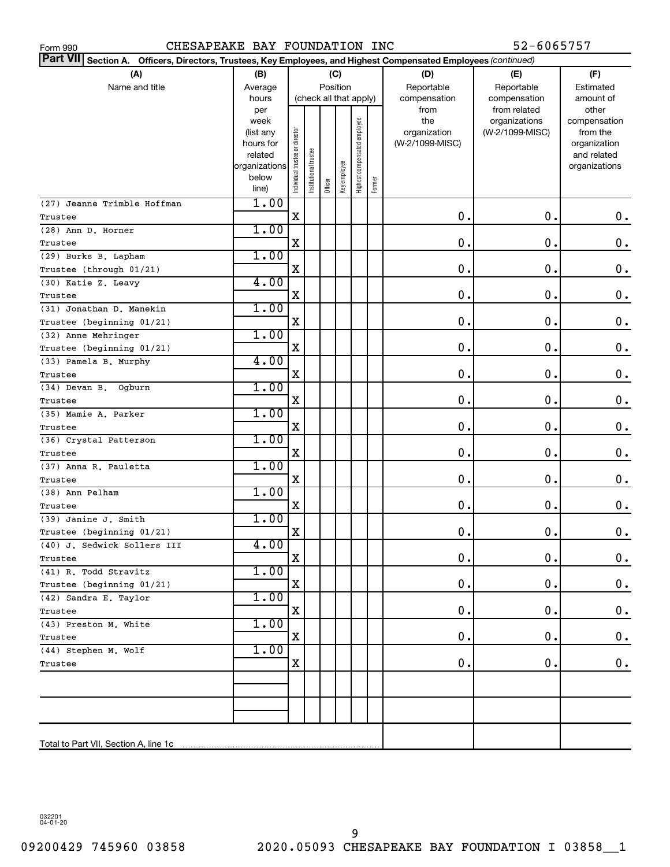| 52-6065757<br>CHESAPEAKE BAY FOUNDATION INC<br>Form 990                                                                      |                   |                                |                       |         |              |                              |        |                     |                                  |                          |  |  |
|------------------------------------------------------------------------------------------------------------------------------|-------------------|--------------------------------|-----------------------|---------|--------------|------------------------------|--------|---------------------|----------------------------------|--------------------------|--|--|
| <b>Part VII</b><br>Officers, Directors, Trustees, Key Employees, and Highest Compensated Employees (continued)<br>Section A. |                   |                                |                       |         |              |                              |        |                     |                                  |                          |  |  |
| (A)                                                                                                                          | (B)               |                                |                       | (C)     |              |                              |        | (D)                 | (E)                              | (F)                      |  |  |
| Name and title                                                                                                               | Average           |                                | Position              |         |              |                              |        | Reportable          | Reportable                       | Estimated                |  |  |
|                                                                                                                              | hours             |                                |                       |         |              | (check all that apply)       |        | compensation        | compensation                     | amount of                |  |  |
|                                                                                                                              | per               |                                |                       |         |              |                              |        | from                | from related                     | other                    |  |  |
|                                                                                                                              | week<br>(list any |                                |                       |         |              | Highest compensated employee |        | the<br>organization | organizations<br>(W-2/1099-MISC) | compensation<br>from the |  |  |
|                                                                                                                              | hours for         |                                |                       |         |              |                              |        | (W-2/1099-MISC)     |                                  | organization             |  |  |
|                                                                                                                              | related           |                                |                       |         |              |                              |        |                     |                                  | and related              |  |  |
|                                                                                                                              | organizations     |                                |                       |         |              |                              |        |                     |                                  | organizations            |  |  |
|                                                                                                                              | below             | Individual trustee or director | Institutional trustee | Officer | Key employee |                              | Former |                     |                                  |                          |  |  |
|                                                                                                                              | line)             |                                |                       |         |              |                              |        |                     |                                  |                          |  |  |
| (27) Jeanne Trimble Hoffman                                                                                                  | 1.00              | X                              |                       |         |              |                              |        | $\mathbf 0$ .       | 0.                               | 0.                       |  |  |
| Trustee                                                                                                                      | 1.00              |                                |                       |         |              |                              |        |                     |                                  |                          |  |  |
| (28) Ann D. Horner<br>Trustee                                                                                                |                   | X                              |                       |         |              |                              |        | 0.                  | 0.                               | 0.                       |  |  |
| (29) Burks B. Lapham                                                                                                         | 1.00              |                                |                       |         |              |                              |        |                     |                                  |                          |  |  |
| Trustee (through 01/21)                                                                                                      |                   | X                              |                       |         |              |                              |        | 0.                  | 0.                               | 0.                       |  |  |
| (30) Katie Z. Leavy                                                                                                          | 4.00              |                                |                       |         |              |                              |        |                     |                                  |                          |  |  |
| Trustee                                                                                                                      |                   | Χ                              |                       |         |              |                              |        | 0.                  | О.                               | 0.                       |  |  |
| (31) Jonathan D. Manekin                                                                                                     | 1.00              |                                |                       |         |              |                              |        |                     |                                  |                          |  |  |
| Trustee (beginning 01/21)                                                                                                    |                   | Χ                              |                       |         |              |                              |        | 0.                  | 0.                               | 0.                       |  |  |
| (32) Anne Mehringer                                                                                                          | 1.00              |                                |                       |         |              |                              |        |                     |                                  |                          |  |  |
| Trustee (beginning 01/21)                                                                                                    |                   | X                              |                       |         |              |                              |        | 0.                  | 0.                               | 0.                       |  |  |
| (33) Pamela B. Murphy                                                                                                        | 4.00              |                                |                       |         |              |                              |        |                     |                                  |                          |  |  |
| Trustee                                                                                                                      |                   | X                              |                       |         |              |                              |        | 0.                  | 0.                               | 0.                       |  |  |
| $(34)$ Devan B.<br>Ogburn                                                                                                    | 1.00              |                                |                       |         |              |                              |        |                     |                                  |                          |  |  |
| Trustee                                                                                                                      |                   | Χ                              |                       |         |              |                              |        | 0.                  | О.                               | 0.                       |  |  |
| (35) Mamie A. Parker                                                                                                         | 1.00              |                                |                       |         |              |                              |        |                     |                                  |                          |  |  |
| Trustee                                                                                                                      |                   | X                              |                       |         |              |                              |        | 0.                  | 0.                               | 0.                       |  |  |
| (36) Crystal Patterson                                                                                                       | 1.00              |                                |                       |         |              |                              |        |                     |                                  |                          |  |  |
| Trustee                                                                                                                      |                   | X                              |                       |         |              |                              |        | 0.                  | 0.                               | 0.                       |  |  |
| (37) Anna R. Pauletta                                                                                                        | 1.00              |                                |                       |         |              |                              |        |                     |                                  |                          |  |  |
| Trustee                                                                                                                      |                   | X                              |                       |         |              |                              |        | 0.                  | 0.                               | 0.                       |  |  |
| (38) Ann Pelham                                                                                                              | 1.00              |                                |                       |         |              |                              |        |                     |                                  |                          |  |  |
| Trustee                                                                                                                      |                   | Χ                              |                       |         |              |                              |        | 0.                  | 0.                               | 0.                       |  |  |
| (39) Janine J. Smith                                                                                                         | 1.00              |                                |                       |         |              |                              |        |                     |                                  |                          |  |  |
| Trustee (beginning 01/21)                                                                                                    | 4.00              | X                              |                       |         |              |                              |        | $0$ .               | $0$ .                            | 0.                       |  |  |
| (40) J. Sedwick Sollers III                                                                                                  |                   | X                              |                       |         |              |                              |        | 0.                  | 0.                               | 0.                       |  |  |
| Trustee<br>(41) R. Todd Stravitz                                                                                             | 1.00              |                                |                       |         |              |                              |        |                     |                                  |                          |  |  |
| Trustee (beginning 01/21)                                                                                                    |                   | X                              |                       |         |              |                              |        | 0.                  | 0.                               | 0.                       |  |  |
| (42) Sandra E. Taylor                                                                                                        | 1.00              |                                |                       |         |              |                              |        |                     |                                  |                          |  |  |
| Trustee                                                                                                                      |                   | X                              |                       |         |              |                              |        | 0.                  | 0.                               | 0.                       |  |  |
| (43) Preston M. White                                                                                                        | 1.00              |                                |                       |         |              |                              |        |                     |                                  |                          |  |  |
| Trustee                                                                                                                      |                   | X                              |                       |         |              |                              |        | 0.                  | 0.                               | 0.                       |  |  |
| (44) Stephen M. Wolf                                                                                                         | 1.00              |                                |                       |         |              |                              |        |                     |                                  |                          |  |  |
| Trustee                                                                                                                      |                   | X                              |                       |         |              |                              |        | 0.                  | 0.                               | 0.                       |  |  |
|                                                                                                                              |                   |                                |                       |         |              |                              |        |                     |                                  |                          |  |  |
|                                                                                                                              |                   |                                |                       |         |              |                              |        |                     |                                  |                          |  |  |
|                                                                                                                              |                   |                                |                       |         |              |                              |        |                     |                                  |                          |  |  |
|                                                                                                                              |                   |                                |                       |         |              |                              |        |                     |                                  |                          |  |  |
|                                                                                                                              |                   |                                |                       |         |              |                              |        |                     |                                  |                          |  |  |
|                                                                                                                              |                   |                                |                       |         |              |                              |        |                     |                                  |                          |  |  |

032201 04-01-20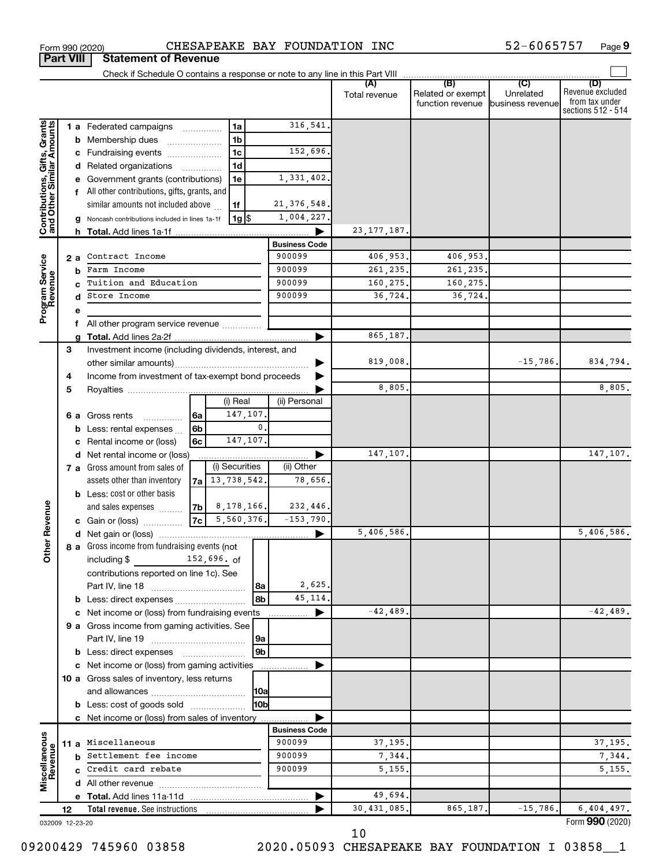|                                                           |    |    |                                                        |                |                     |              |                      | Total revenue | Related or exempt<br>function revenue | (C)<br>Unrelated<br>business revenue | (D)<br>Revenue excluded<br>from tax under<br>sections 512 - 514 |
|-----------------------------------------------------------|----|----|--------------------------------------------------------|----------------|---------------------|--------------|----------------------|---------------|---------------------------------------|--------------------------------------|-----------------------------------------------------------------|
|                                                           |    |    | 1 a Federated campaigns                                |                | 1a                  |              | 316,541              |               |                                       |                                      |                                                                 |
| Contributions, Gifts, Grants<br>and Other Similar Amounts |    |    | <b>b</b> Membership dues                               |                | 1 <sub>b</sub>      |              |                      |               |                                       |                                      |                                                                 |
|                                                           |    |    | c Fundraising events                                   |                | 1 <sub>c</sub>      |              | 152,696.             |               |                                       |                                      |                                                                 |
|                                                           |    |    | d Related organizations                                |                | 1 <sub>d</sub><br>. |              |                      |               |                                       |                                      |                                                                 |
|                                                           |    |    | e Government grants (contributions)                    |                | 1e                  |              | 1,331,402.           |               |                                       |                                      |                                                                 |
|                                                           |    |    | f All other contributions, gifts, grants, and          |                |                     |              |                      |               |                                       |                                      |                                                                 |
|                                                           |    |    | similar amounts not included above                     |                | 1f                  |              | 21, 376, 548.        |               |                                       |                                      |                                                                 |
|                                                           |    |    | <b>g</b> Noncash contributions included in lines 1a-1f |                | $1g$ $\frac{1}{3}$  |              | 1,004,227.           |               |                                       |                                      |                                                                 |
|                                                           |    |    |                                                        |                |                     |              |                      | 23, 177, 187, |                                       |                                      |                                                                 |
|                                                           |    |    |                                                        |                |                     |              | <b>Business Code</b> |               |                                       |                                      |                                                                 |
|                                                           |    | 2а | Contract Income                                        |                |                     |              | 900099               | 406,953.      | 406,953.                              |                                      |                                                                 |
| Program Service                                           |    |    | <b>b</b> Farm Income                                   |                |                     |              | 900099               | 261, 235.     | 261,235.                              |                                      |                                                                 |
|                                                           |    |    | Tuition and Education                                  |                |                     |              | 900099               | 160,275.      | 160,275.                              |                                      |                                                                 |
|                                                           |    |    | d Store Income                                         |                |                     |              | 900099               | 36,724.       | 36,724.                               |                                      |                                                                 |
|                                                           |    | e  |                                                        |                |                     |              |                      |               |                                       |                                      |                                                                 |
|                                                           |    |    | f All other program service revenue                    |                |                     |              |                      |               |                                       |                                      |                                                                 |
|                                                           |    |    |                                                        |                |                     |              |                      | 865,187.      |                                       |                                      |                                                                 |
|                                                           | 3  |    | Investment income (including dividends, interest, and  |                |                     |              |                      |               |                                       |                                      |                                                                 |
|                                                           |    |    |                                                        |                |                     |              |                      | 819,008.      |                                       | $-15,786.$                           | 834,794.                                                        |
|                                                           | 4  |    | Income from investment of tax-exempt bond proceeds     |                |                     |              |                      |               |                                       |                                      |                                                                 |
|                                                           | 5  |    |                                                        |                |                     |              |                      | 8,805         |                                       |                                      | 8,805.                                                          |
|                                                           |    |    |                                                        |                | (i) Real            |              | (ii) Personal        |               |                                       |                                      |                                                                 |
|                                                           |    |    | 6 a Gross rents<br>.                                   | 6a             | 147,107.            |              |                      |               |                                       |                                      |                                                                 |
|                                                           |    |    | <b>b</b> Less: rental expenses $\ldots$                | 6 <sub>b</sub> |                     | $\mathbf{0}$ |                      |               |                                       |                                      |                                                                 |
|                                                           |    |    | c Rental income or (loss)                              | 6с             | 147,107.            |              |                      |               |                                       |                                      |                                                                 |
|                                                           |    |    | d Net rental income or (loss)                          |                |                     |              |                      | 147,107.      |                                       |                                      | 147,107.                                                        |
|                                                           |    |    | 7 a Gross amount from sales of                         |                | (i) Securities      |              | (ii) Other           |               |                                       |                                      |                                                                 |
|                                                           |    |    | assets other than inventory                            |                | $7a$ 13, 738, 542.  |              | 78,656.              |               |                                       |                                      |                                                                 |
|                                                           |    |    | <b>b</b> Less: cost or other basis                     |                |                     |              |                      |               |                                       |                                      |                                                                 |
|                                                           |    |    | and sales expenses                                     |                | $ 7b $ 8, 178, 166. |              | 232,446.             |               |                                       |                                      |                                                                 |
|                                                           |    |    | c Gain or (loss)                                       | 7c             | 5,560,376.          |              | $-153,790.$          |               |                                       |                                      |                                                                 |
| <b>Other Revenue</b>                                      |    |    |                                                        |                |                     |              |                      | 5,406,586.    |                                       |                                      | 5,406,586.                                                      |
|                                                           |    |    | 8 a Gross income from fundraising events (not          |                |                     |              |                      |               |                                       |                                      |                                                                 |
|                                                           |    |    | including \$ 152,696. of                               |                |                     |              |                      |               |                                       |                                      |                                                                 |
|                                                           |    |    | contributions reported on line 1c). See                |                |                     |              |                      |               |                                       |                                      |                                                                 |
|                                                           |    |    |                                                        |                |                     | 8a           | 2,625.               |               |                                       |                                      |                                                                 |
|                                                           |    |    |                                                        |                |                     | 8b           | 45, 114.             |               |                                       |                                      |                                                                 |
|                                                           |    |    | c Net income or (loss) from fundraising events         |                |                     |              | ▶                    | $-42, 489.$   |                                       |                                      | $-42,489.$                                                      |
|                                                           |    |    | 9 a Gross income from gaming activities. See           |                |                     |              |                      |               |                                       |                                      |                                                                 |
|                                                           |    |    |                                                        |                |                     | 9a           |                      |               |                                       |                                      |                                                                 |
|                                                           |    |    | <b>b</b> Less: direct expenses                         |                |                     | 9b           |                      |               |                                       |                                      |                                                                 |
|                                                           |    |    | c Net income or (loss) from gaming activities          |                |                     |              |                      |               |                                       |                                      |                                                                 |
|                                                           |    |    | 10 a Gross sales of inventory, less returns            |                |                     |              |                      |               |                                       |                                      |                                                                 |
|                                                           |    |    |                                                        |                |                     | 10a          |                      |               |                                       |                                      |                                                                 |
|                                                           |    |    | <b>b</b> Less: cost of goods sold                      |                |                     | 10b          |                      |               |                                       |                                      |                                                                 |
|                                                           |    |    | c Net income or (loss) from sales of inventory         |                |                     |              | <b>Business Code</b> |               |                                       |                                      |                                                                 |
|                                                           |    |    | 11 a Miscellaneous                                     |                |                     |              | 900099               | 37,195.       |                                       |                                      | 37, 195.                                                        |
| Miscellaneous<br>Revenue                                  |    |    | <b>b</b> Settlement fee income                         |                |                     |              | 900099               | 7,344.        |                                       |                                      | 7,344.                                                          |
|                                                           |    |    | c Credit card rebate                                   |                |                     |              | 900099               | 5, 155.       |                                       |                                      | 5,155.                                                          |
|                                                           |    |    |                                                        |                |                     |              |                      |               |                                       |                                      |                                                                 |
|                                                           |    |    |                                                        |                |                     |              |                      | 49,694.       |                                       |                                      |                                                                 |
|                                                           | 12 |    | <b>Total revenue.</b> See instructions                 |                |                     |              |                      | 30,431,085.   | 865,187.                              | $-15,786$ .                          | 6,404,497.                                                      |
| 032009 12-23-20                                           |    |    |                                                        |                |                     |              |                      |               |                                       |                                      | Form 990 (2020)                                                 |

Form 990 (2020) CHESAPEAKE BAY FOUNDATION INC 52-6065757 Page

**9**

**Part VIII Statement of Revenue**

10

09200429 745960 03858 2020.05093 CHESAPEAKE BAY FOUNDATION I 03858\_1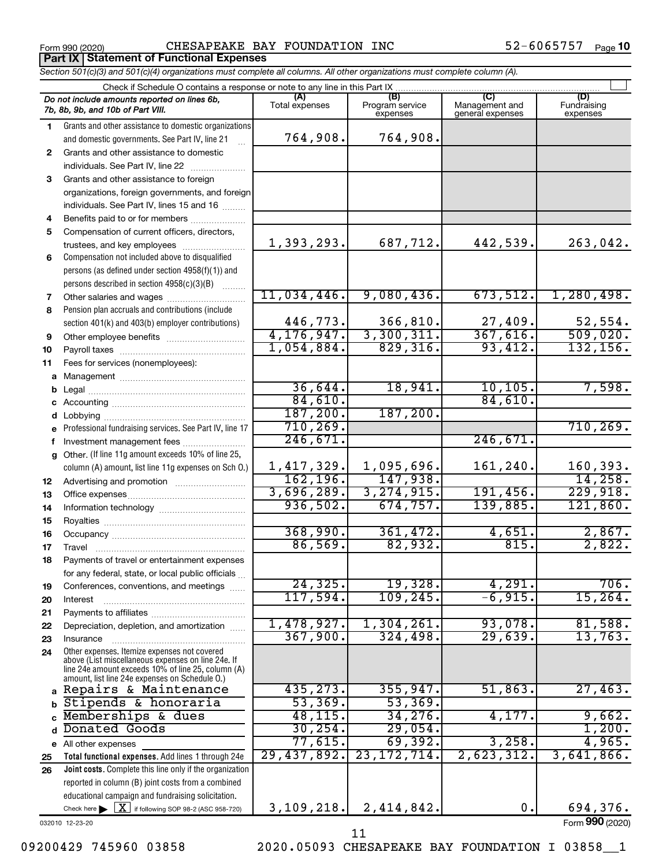**Part IX Statement of Functional Expenses**

Form 990 (2020)  $\qquad \qquad \qquad \qquad \text{CHESAPERKE BAY FOUNDATION INC}$  52-6065757  $\qquad \qquad \text{Page}$ 

52-6065757 Page 10

|    | Section 501(c)(3) and 501(c)(4) organizations must complete all columns. All other organizations must complete column (A).<br>Check if Schedule O contains a response or note to any line in this Part IX  |                |                             |                                    |                         |
|----|------------------------------------------------------------------------------------------------------------------------------------------------------------------------------------------------------------|----------------|-----------------------------|------------------------------------|-------------------------|
|    | Do not include amounts reported on lines 6b,                                                                                                                                                               | (A)            | (B)                         | (C)                                | (D)                     |
|    | 7b, 8b, 9b, and 10b of Part VIII.                                                                                                                                                                          | Total expenses | Program service<br>expenses | Management and<br>general expenses | Fundraising<br>expenses |
| 1  | Grants and other assistance to domestic organizations                                                                                                                                                      |                |                             |                                    |                         |
|    | and domestic governments. See Part IV, line 21                                                                                                                                                             | 764,908.       | 764,908.                    |                                    |                         |
| 2  | Grants and other assistance to domestic                                                                                                                                                                    |                |                             |                                    |                         |
|    | individuals. See Part IV, line 22                                                                                                                                                                          |                |                             |                                    |                         |
| 3  | Grants and other assistance to foreign                                                                                                                                                                     |                |                             |                                    |                         |
|    | organizations, foreign governments, and foreign                                                                                                                                                            |                |                             |                                    |                         |
|    | individuals. See Part IV, lines 15 and 16                                                                                                                                                                  |                |                             |                                    |                         |
| 4  | Benefits paid to or for members                                                                                                                                                                            |                |                             |                                    |                         |
| 5  | Compensation of current officers, directors,                                                                                                                                                               |                |                             |                                    |                         |
|    | trustees, and key employees                                                                                                                                                                                | 1,393,293.     | 687,712.                    | 442,539.                           | 263,042.                |
| 6  | Compensation not included above to disqualified                                                                                                                                                            |                |                             |                                    |                         |
|    | persons (as defined under section 4958(f)(1)) and                                                                                                                                                          |                |                             |                                    |                         |
|    | persons described in section 4958(c)(3)(B)                                                                                                                                                                 |                |                             |                                    |                         |
| 7  |                                                                                                                                                                                                            | 11,034,446.    | 9,080,436.                  | 673,512.                           | 1,280,498.              |
| 8  | Pension plan accruals and contributions (include                                                                                                                                                           |                |                             |                                    |                         |
|    | section 401(k) and 403(b) employer contributions)                                                                                                                                                          | 446,773.       | 366,810.                    | 27,409.                            | 52,554.                 |
| 9  |                                                                                                                                                                                                            | 4, 176, 947.   | 3,300,311.                  | 367,616.                           | 509,020.                |
| 10 |                                                                                                                                                                                                            | 1,054,884.     | 829,316.                    | 93,412.                            | 132, 156.               |
| 11 | Fees for services (nonemployees):                                                                                                                                                                          |                |                             |                                    |                         |
| a  |                                                                                                                                                                                                            |                |                             |                                    |                         |
| b  |                                                                                                                                                                                                            | 36,644.        | 18,941.                     | 10, 105.                           | 7,598.                  |
|    |                                                                                                                                                                                                            | 84,610.        |                             | 84,610.                            |                         |
|    |                                                                                                                                                                                                            | 187, 200.      | 187, 200.                   |                                    |                         |
| е  | Professional fundraising services. See Part IV, line 17                                                                                                                                                    | 710, 269.      |                             |                                    | 710, 269.               |
| f  | Investment management fees                                                                                                                                                                                 | 246,671.       |                             | 246,671.                           |                         |
|    | g Other. (If line 11g amount exceeds 10% of line 25,                                                                                                                                                       |                |                             |                                    |                         |
|    | column (A) amount, list line 11g expenses on Sch 0.)                                                                                                                                                       | 1,417,329.     | 1,095,696.                  | 161,240.                           | 160, 393.               |
| 12 |                                                                                                                                                                                                            | 162, 196.      | 147,938.                    |                                    | 14,258.                 |
| 13 |                                                                                                                                                                                                            | 3,696,289.     | 3, 274, 915.                | 191,456.                           | 229,918.                |
| 14 |                                                                                                                                                                                                            | 936,502.       | 674,757.                    | 139,885.                           | 121,860.                |
| 15 |                                                                                                                                                                                                            |                |                             |                                    |                         |
| 16 |                                                                                                                                                                                                            | 368,990.       | 361,472.                    | 4,651.                             | 2,867.                  |
| 17 |                                                                                                                                                                                                            | 86,569.        | 82,932.                     | 815.                               | 2,822.                  |
| 18 | Payments of travel or entertainment expenses                                                                                                                                                               |                |                             |                                    |                         |
|    | for any federal, state, or local public officials                                                                                                                                                          |                |                             |                                    |                         |
| 19 | Conferences, conventions, and meetings                                                                                                                                                                     | 24, 325.       | 19,328.                     | 4,291.                             | 706.                    |
| 20 | Interest                                                                                                                                                                                                   | 117,594.       | 109, 245.                   | $-6,915.$                          | 15,264.                 |
| 21 |                                                                                                                                                                                                            |                |                             |                                    |                         |
| 22 | Depreciation, depletion, and amortization                                                                                                                                                                  | 1,478,927.     | 1,304,261.                  | 93,078.                            | 81,588.                 |
| 23 | Insurance                                                                                                                                                                                                  | 367,900.       | 324,498.                    | 29,639.                            | 13,763.                 |
| 24 | Other expenses. Itemize expenses not covered<br>above (List miscellaneous expenses on line 24e. If<br>line 24e amount exceeds 10% of line 25, column (A)<br>amount, list line 24e expenses on Schedule 0.) |                |                             |                                    |                         |
|    | a Repairs & Maintenance                                                                                                                                                                                    | 435, 273.      | 355, 947.                   | 51,863.                            | 27,463.                 |
| b  | Stipends & honoraria                                                                                                                                                                                       | 53,369.        | 53,369.                     |                                    |                         |
| C  | Memberships & dues                                                                                                                                                                                         | 48, 115.       | 34, 276.                    | 4,177.                             | 9,662.                  |
| d  | Donated Goods                                                                                                                                                                                              | 30, 254.       | 29,054.                     |                                    | 1,200.                  |
|    | e All other expenses                                                                                                                                                                                       | 77,615.        | 69,392.                     | 3,258.                             | 4,965.                  |
| 25 | Total functional expenses. Add lines 1 through 24e                                                                                                                                                         | 29,437,892.    | 23, 172, 714.               | 2,623,312.                         | 3,641,866.              |
| 26 | Joint costs. Complete this line only if the organization                                                                                                                                                   |                |                             |                                    |                         |
|    | reported in column (B) joint costs from a combined                                                                                                                                                         |                |                             |                                    |                         |
|    | educational campaign and fundraising solicitation.                                                                                                                                                         |                |                             |                                    |                         |
|    | Check here $\triangleright \lfloor \underline{X} \rfloor$ if following SOP 98-2 (ASC 958-720)                                                                                                              | 3,109,218.     | 2,414,842.                  | $\mathbf 0$ .                      | 694,376.                |

032010 12-23-20

Form (2020) **990**

09200429 745960 03858 2020.05093 CHESAPEAKE BAY FOUNDATION I 03858\_1 11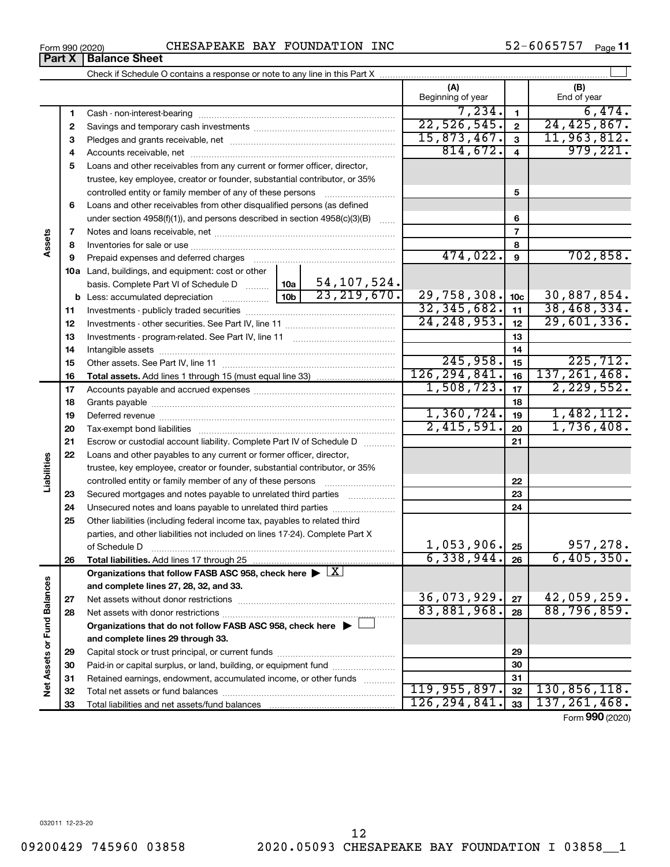Form 990 (2020) **Page** CHESAPEAKE BAY FOUNDATION INC  $52-6065757$  Page **Part X Balance Sheet**

52-6065757 Page 11

|                             |    |                                                                                                        |                 |                                | (A)<br>Beginning of year   |                         | (B)<br>End of year         |
|-----------------------------|----|--------------------------------------------------------------------------------------------------------|-----------------|--------------------------------|----------------------------|-------------------------|----------------------------|
|                             | 1  |                                                                                                        |                 |                                | 7,234.                     | $\mathbf{1}$            | 6,474.                     |
|                             | 2  |                                                                                                        |                 |                                | 22,526,545.                | $\overline{2}$          | 24, 425, 867.              |
|                             | З  |                                                                                                        |                 |                                | 15,873,467.                | $\overline{\mathbf{3}}$ | 11,963,812.                |
|                             | 4  |                                                                                                        |                 |                                | 814,672.                   | $\overline{4}$          | 979,221.                   |
|                             | 5  | Loans and other receivables from any current or former officer, director,                              |                 |                                |                            |                         |                            |
|                             |    | trustee, key employee, creator or founder, substantial contributor, or 35%                             |                 |                                |                            |                         |                            |
|                             |    | controlled entity or family member of any of these persons                                             |                 |                                |                            | 5                       |                            |
|                             | 6  | Loans and other receivables from other disqualified persons (as defined                                |                 |                                |                            |                         |                            |
|                             |    | under section $4958(f)(1)$ , and persons described in section $4958(c)(3)(B)$                          |                 | 6                              |                            |                         |                            |
|                             | 7  |                                                                                                        |                 |                                |                            | $\overline{7}$          |                            |
| Assets                      | 8  |                                                                                                        |                 |                                |                            | 8                       |                            |
|                             | 9  |                                                                                                        |                 |                                | 474,022.                   | 9                       | 702,858.                   |
|                             |    | 10a Land, buildings, and equipment: cost or other                                                      |                 |                                |                            |                         |                            |
|                             |    | basis. Complete Part VI of Schedule D                                                                  | 10a             | 54, 107, 524.<br>23, 219, 670. |                            |                         |                            |
|                             |    | <b>b</b> Less: accumulated depreciation                                                                | 10 <sub>b</sub> | 29,758,308.                    | 10 <sub>c</sub>            | 30,887,854.             |                            |
|                             | 11 |                                                                                                        | 32, 345, 682.   | 11                             | 38,468,334.                |                         |                            |
|                             | 12 |                                                                                                        | 24, 248, 953.   | 12                             | 29,601,336.                |                         |                            |
|                             | 13 |                                                                                                        |                 | 13                             |                            |                         |                            |
|                             | 14 |                                                                                                        |                 | 14                             |                            |                         |                            |
|                             | 15 |                                                                                                        |                 |                                | 245,958.<br>126, 294, 841. | 15                      | 225,712.<br>137, 261, 468. |
|                             | 16 |                                                                                                        |                 |                                | 1,508,723.                 | 16                      | 2, 229, 552.               |
|                             | 17 |                                                                                                        |                 |                                |                            | 17                      |                            |
|                             | 18 |                                                                                                        | 1,360,724.      | 18                             | 1,482,112.                 |                         |                            |
|                             | 19 |                                                                                                        | 2,415,591.      | 19<br>20                       | 1,736,408.                 |                         |                            |
|                             | 20 |                                                                                                        |                 |                                |                            |                         |                            |
|                             | 21 | Escrow or custodial account liability. Complete Part IV of Schedule D                                  |                 |                                |                            | 21                      |                            |
| Liabilities                 | 22 | Loans and other payables to any current or former officer, director,                                   |                 |                                |                            |                         |                            |
|                             |    | trustee, key employee, creator or founder, substantial contributor, or 35%                             |                 |                                |                            | 22                      |                            |
|                             | 23 | Secured mortgages and notes payable to unrelated third parties                                         |                 |                                |                            | 23                      |                            |
|                             | 24 |                                                                                                        |                 |                                |                            | 24                      |                            |
|                             | 25 | Other liabilities (including federal income tax, payables to related third                             |                 |                                |                            |                         |                            |
|                             |    | parties, and other liabilities not included on lines 17-24). Complete Part X                           |                 |                                |                            |                         |                            |
|                             |    | of Schedule D                                                                                          |                 |                                | 1,053,906.                 | 25                      | 957,278.                   |
|                             | 26 | Total liabilities. Add lines 17 through 25                                                             |                 |                                | 6,338,944.                 | 26                      | 6,405,350.                 |
|                             |    | Organizations that follow FASB ASC 958, check here $\blacktriangleright \lfloor \underline{X} \rfloor$ |                 |                                |                            |                         |                            |
|                             |    | and complete lines 27, 28, 32, and 33.                                                                 |                 |                                |                            |                         |                            |
|                             | 27 |                                                                                                        |                 |                                | 36,073,929.                | 27                      | 42,059,259.                |
|                             | 28 |                                                                                                        |                 |                                | 83,881,968.                | 28                      | 88,796,859.                |
|                             |    | Organizations that do not follow FASB ASC 958, check here $\blacktriangleright$                        |                 |                                |                            |                         |                            |
|                             |    | and complete lines 29 through 33.                                                                      |                 |                                |                            |                         |                            |
| Net Assets or Fund Balances | 29 |                                                                                                        |                 |                                | 29                         |                         |                            |
|                             | 30 | Paid-in or capital surplus, or land, building, or equipment fund                                       |                 |                                |                            | 30                      |                            |
|                             | 31 | Retained earnings, endowment, accumulated income, or other funds                                       |                 |                                | 31                         |                         |                            |
|                             | 32 |                                                                                                        |                 |                                | 119,955,897.               | 32                      | 130,856,118.               |
|                             | 33 |                                                                                                        |                 |                                | 126, 294, 841.             | 33                      | 137, 261, 468.             |

Form (2020) **990**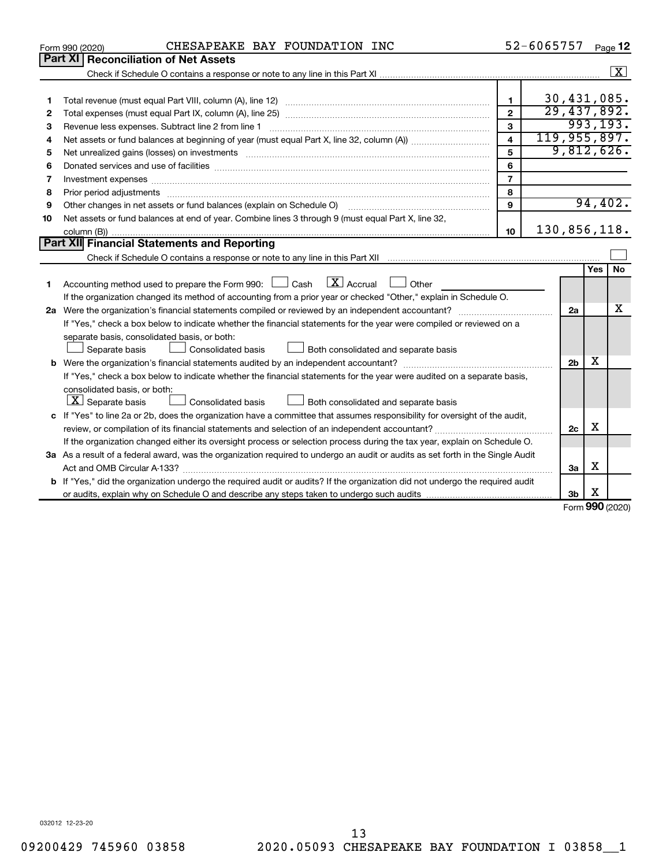| Part XI   Reconciliation of Net Assets<br>$\sqrt{X}$<br>30,431,085.<br>$\mathbf{1}$<br>1<br>29,437,892.<br>$\overline{2}$<br>2<br>993, 193.<br>3<br>Revenue less expenses. Subtract line 2 from line 1<br>З<br>119,955,897.<br>$\overline{\mathbf{4}}$<br>4<br>9,812,626.<br>5<br>5<br>6<br>6<br>$\overline{7}$<br>7<br>8<br>8<br>94,402.<br>9<br>Other changes in net assets or fund balances (explain on Schedule O)<br>9<br>Net assets or fund balances at end of year. Combine lines 3 through 9 (must equal Part X, line 32,<br>10<br>130,856,118.<br>10<br>Part XII Financial Statements and Reporting<br><b>No</b><br>Yes<br>$\lfloor x \rfloor$ Accrual<br>Accounting method used to prepare the Form 990: $\Box$ Cash<br>$\Box$ Other<br>1<br>If the organization changed its method of accounting from a prior year or checked "Other," explain in Schedule O.<br>x<br>2a<br>If "Yes," check a box below to indicate whether the financial statements for the year were compiled or reviewed on a<br>separate basis, consolidated basis, or both:<br>Both consolidated and separate basis<br>Separate basis<br>Consolidated basis<br>x<br>2 <sub>b</sub><br>If "Yes," check a box below to indicate whether the financial statements for the year were audited on a separate basis,<br>consolidated basis, or both:<br>$ \mathbf{X} $ Separate basis<br>Consolidated basis<br>Both consolidated and separate basis<br>c If "Yes" to line 2a or 2b, does the organization have a committee that assumes responsibility for oversight of the audit,<br>X<br>2c<br>If the organization changed either its oversight process or selection process during the tax year, explain on Schedule O.<br>3a As a result of a federal award, was the organization required to undergo an audit or audits as set forth in the Single Audit<br>х<br>За<br><b>b</b> If "Yes," did the organization undergo the required audit or audits? If the organization did not undergo the required audit | CHESAPEAKE BAY FOUNDATION INC<br>Form 990 (2020) |  | 52-6065757 |  |  | Page 12 |  |  |  |
|-------------------------------------------------------------------------------------------------------------------------------------------------------------------------------------------------------------------------------------------------------------------------------------------------------------------------------------------------------------------------------------------------------------------------------------------------------------------------------------------------------------------------------------------------------------------------------------------------------------------------------------------------------------------------------------------------------------------------------------------------------------------------------------------------------------------------------------------------------------------------------------------------------------------------------------------------------------------------------------------------------------------------------------------------------------------------------------------------------------------------------------------------------------------------------------------------------------------------------------------------------------------------------------------------------------------------------------------------------------------------------------------------------------------------------------------------------------------------------------------------------------------------------------------------------------------------------------------------------------------------------------------------------------------------------------------------------------------------------------------------------------------------------------------------------------------------------------------------------------------------------------------------------------------------------------------------------------------------------------------|--------------------------------------------------|--|------------|--|--|---------|--|--|--|
|                                                                                                                                                                                                                                                                                                                                                                                                                                                                                                                                                                                                                                                                                                                                                                                                                                                                                                                                                                                                                                                                                                                                                                                                                                                                                                                                                                                                                                                                                                                                                                                                                                                                                                                                                                                                                                                                                                                                                                                           |                                                  |  |            |  |  |         |  |  |  |
|                                                                                                                                                                                                                                                                                                                                                                                                                                                                                                                                                                                                                                                                                                                                                                                                                                                                                                                                                                                                                                                                                                                                                                                                                                                                                                                                                                                                                                                                                                                                                                                                                                                                                                                                                                                                                                                                                                                                                                                           |                                                  |  |            |  |  |         |  |  |  |
|                                                                                                                                                                                                                                                                                                                                                                                                                                                                                                                                                                                                                                                                                                                                                                                                                                                                                                                                                                                                                                                                                                                                                                                                                                                                                                                                                                                                                                                                                                                                                                                                                                                                                                                                                                                                                                                                                                                                                                                           |                                                  |  |            |  |  |         |  |  |  |
|                                                                                                                                                                                                                                                                                                                                                                                                                                                                                                                                                                                                                                                                                                                                                                                                                                                                                                                                                                                                                                                                                                                                                                                                                                                                                                                                                                                                                                                                                                                                                                                                                                                                                                                                                                                                                                                                                                                                                                                           |                                                  |  |            |  |  |         |  |  |  |
|                                                                                                                                                                                                                                                                                                                                                                                                                                                                                                                                                                                                                                                                                                                                                                                                                                                                                                                                                                                                                                                                                                                                                                                                                                                                                                                                                                                                                                                                                                                                                                                                                                                                                                                                                                                                                                                                                                                                                                                           |                                                  |  |            |  |  |         |  |  |  |
|                                                                                                                                                                                                                                                                                                                                                                                                                                                                                                                                                                                                                                                                                                                                                                                                                                                                                                                                                                                                                                                                                                                                                                                                                                                                                                                                                                                                                                                                                                                                                                                                                                                                                                                                                                                                                                                                                                                                                                                           |                                                  |  |            |  |  |         |  |  |  |
|                                                                                                                                                                                                                                                                                                                                                                                                                                                                                                                                                                                                                                                                                                                                                                                                                                                                                                                                                                                                                                                                                                                                                                                                                                                                                                                                                                                                                                                                                                                                                                                                                                                                                                                                                                                                                                                                                                                                                                                           |                                                  |  |            |  |  |         |  |  |  |
|                                                                                                                                                                                                                                                                                                                                                                                                                                                                                                                                                                                                                                                                                                                                                                                                                                                                                                                                                                                                                                                                                                                                                                                                                                                                                                                                                                                                                                                                                                                                                                                                                                                                                                                                                                                                                                                                                                                                                                                           |                                                  |  |            |  |  |         |  |  |  |
|                                                                                                                                                                                                                                                                                                                                                                                                                                                                                                                                                                                                                                                                                                                                                                                                                                                                                                                                                                                                                                                                                                                                                                                                                                                                                                                                                                                                                                                                                                                                                                                                                                                                                                                                                                                                                                                                                                                                                                                           |                                                  |  |            |  |  |         |  |  |  |
|                                                                                                                                                                                                                                                                                                                                                                                                                                                                                                                                                                                                                                                                                                                                                                                                                                                                                                                                                                                                                                                                                                                                                                                                                                                                                                                                                                                                                                                                                                                                                                                                                                                                                                                                                                                                                                                                                                                                                                                           |                                                  |  |            |  |  |         |  |  |  |
|                                                                                                                                                                                                                                                                                                                                                                                                                                                                                                                                                                                                                                                                                                                                                                                                                                                                                                                                                                                                                                                                                                                                                                                                                                                                                                                                                                                                                                                                                                                                                                                                                                                                                                                                                                                                                                                                                                                                                                                           |                                                  |  |            |  |  |         |  |  |  |
|                                                                                                                                                                                                                                                                                                                                                                                                                                                                                                                                                                                                                                                                                                                                                                                                                                                                                                                                                                                                                                                                                                                                                                                                                                                                                                                                                                                                                                                                                                                                                                                                                                                                                                                                                                                                                                                                                                                                                                                           |                                                  |  |            |  |  |         |  |  |  |
|                                                                                                                                                                                                                                                                                                                                                                                                                                                                                                                                                                                                                                                                                                                                                                                                                                                                                                                                                                                                                                                                                                                                                                                                                                                                                                                                                                                                                                                                                                                                                                                                                                                                                                                                                                                                                                                                                                                                                                                           |                                                  |  |            |  |  |         |  |  |  |
|                                                                                                                                                                                                                                                                                                                                                                                                                                                                                                                                                                                                                                                                                                                                                                                                                                                                                                                                                                                                                                                                                                                                                                                                                                                                                                                                                                                                                                                                                                                                                                                                                                                                                                                                                                                                                                                                                                                                                                                           |                                                  |  |            |  |  |         |  |  |  |
|                                                                                                                                                                                                                                                                                                                                                                                                                                                                                                                                                                                                                                                                                                                                                                                                                                                                                                                                                                                                                                                                                                                                                                                                                                                                                                                                                                                                                                                                                                                                                                                                                                                                                                                                                                                                                                                                                                                                                                                           |                                                  |  |            |  |  |         |  |  |  |
|                                                                                                                                                                                                                                                                                                                                                                                                                                                                                                                                                                                                                                                                                                                                                                                                                                                                                                                                                                                                                                                                                                                                                                                                                                                                                                                                                                                                                                                                                                                                                                                                                                                                                                                                                                                                                                                                                                                                                                                           |                                                  |  |            |  |  |         |  |  |  |
|                                                                                                                                                                                                                                                                                                                                                                                                                                                                                                                                                                                                                                                                                                                                                                                                                                                                                                                                                                                                                                                                                                                                                                                                                                                                                                                                                                                                                                                                                                                                                                                                                                                                                                                                                                                                                                                                                                                                                                                           |                                                  |  |            |  |  |         |  |  |  |
|                                                                                                                                                                                                                                                                                                                                                                                                                                                                                                                                                                                                                                                                                                                                                                                                                                                                                                                                                                                                                                                                                                                                                                                                                                                                                                                                                                                                                                                                                                                                                                                                                                                                                                                                                                                                                                                                                                                                                                                           |                                                  |  |            |  |  |         |  |  |  |
|                                                                                                                                                                                                                                                                                                                                                                                                                                                                                                                                                                                                                                                                                                                                                                                                                                                                                                                                                                                                                                                                                                                                                                                                                                                                                                                                                                                                                                                                                                                                                                                                                                                                                                                                                                                                                                                                                                                                                                                           |                                                  |  |            |  |  |         |  |  |  |
|                                                                                                                                                                                                                                                                                                                                                                                                                                                                                                                                                                                                                                                                                                                                                                                                                                                                                                                                                                                                                                                                                                                                                                                                                                                                                                                                                                                                                                                                                                                                                                                                                                                                                                                                                                                                                                                                                                                                                                                           |                                                  |  |            |  |  |         |  |  |  |
|                                                                                                                                                                                                                                                                                                                                                                                                                                                                                                                                                                                                                                                                                                                                                                                                                                                                                                                                                                                                                                                                                                                                                                                                                                                                                                                                                                                                                                                                                                                                                                                                                                                                                                                                                                                                                                                                                                                                                                                           |                                                  |  |            |  |  |         |  |  |  |
|                                                                                                                                                                                                                                                                                                                                                                                                                                                                                                                                                                                                                                                                                                                                                                                                                                                                                                                                                                                                                                                                                                                                                                                                                                                                                                                                                                                                                                                                                                                                                                                                                                                                                                                                                                                                                                                                                                                                                                                           |                                                  |  |            |  |  |         |  |  |  |
|                                                                                                                                                                                                                                                                                                                                                                                                                                                                                                                                                                                                                                                                                                                                                                                                                                                                                                                                                                                                                                                                                                                                                                                                                                                                                                                                                                                                                                                                                                                                                                                                                                                                                                                                                                                                                                                                                                                                                                                           |                                                  |  |            |  |  |         |  |  |  |
|                                                                                                                                                                                                                                                                                                                                                                                                                                                                                                                                                                                                                                                                                                                                                                                                                                                                                                                                                                                                                                                                                                                                                                                                                                                                                                                                                                                                                                                                                                                                                                                                                                                                                                                                                                                                                                                                                                                                                                                           |                                                  |  |            |  |  |         |  |  |  |
|                                                                                                                                                                                                                                                                                                                                                                                                                                                                                                                                                                                                                                                                                                                                                                                                                                                                                                                                                                                                                                                                                                                                                                                                                                                                                                                                                                                                                                                                                                                                                                                                                                                                                                                                                                                                                                                                                                                                                                                           |                                                  |  |            |  |  |         |  |  |  |
|                                                                                                                                                                                                                                                                                                                                                                                                                                                                                                                                                                                                                                                                                                                                                                                                                                                                                                                                                                                                                                                                                                                                                                                                                                                                                                                                                                                                                                                                                                                                                                                                                                                                                                                                                                                                                                                                                                                                                                                           |                                                  |  |            |  |  |         |  |  |  |
|                                                                                                                                                                                                                                                                                                                                                                                                                                                                                                                                                                                                                                                                                                                                                                                                                                                                                                                                                                                                                                                                                                                                                                                                                                                                                                                                                                                                                                                                                                                                                                                                                                                                                                                                                                                                                                                                                                                                                                                           |                                                  |  |            |  |  |         |  |  |  |
|                                                                                                                                                                                                                                                                                                                                                                                                                                                                                                                                                                                                                                                                                                                                                                                                                                                                                                                                                                                                                                                                                                                                                                                                                                                                                                                                                                                                                                                                                                                                                                                                                                                                                                                                                                                                                                                                                                                                                                                           |                                                  |  |            |  |  |         |  |  |  |
|                                                                                                                                                                                                                                                                                                                                                                                                                                                                                                                                                                                                                                                                                                                                                                                                                                                                                                                                                                                                                                                                                                                                                                                                                                                                                                                                                                                                                                                                                                                                                                                                                                                                                                                                                                                                                                                                                                                                                                                           |                                                  |  |            |  |  |         |  |  |  |
|                                                                                                                                                                                                                                                                                                                                                                                                                                                                                                                                                                                                                                                                                                                                                                                                                                                                                                                                                                                                                                                                                                                                                                                                                                                                                                                                                                                                                                                                                                                                                                                                                                                                                                                                                                                                                                                                                                                                                                                           |                                                  |  |            |  |  |         |  |  |  |
|                                                                                                                                                                                                                                                                                                                                                                                                                                                                                                                                                                                                                                                                                                                                                                                                                                                                                                                                                                                                                                                                                                                                                                                                                                                                                                                                                                                                                                                                                                                                                                                                                                                                                                                                                                                                                                                                                                                                                                                           |                                                  |  |            |  |  |         |  |  |  |
|                                                                                                                                                                                                                                                                                                                                                                                                                                                                                                                                                                                                                                                                                                                                                                                                                                                                                                                                                                                                                                                                                                                                                                                                                                                                                                                                                                                                                                                                                                                                                                                                                                                                                                                                                                                                                                                                                                                                                                                           |                                                  |  |            |  |  |         |  |  |  |
|                                                                                                                                                                                                                                                                                                                                                                                                                                                                                                                                                                                                                                                                                                                                                                                                                                                                                                                                                                                                                                                                                                                                                                                                                                                                                                                                                                                                                                                                                                                                                                                                                                                                                                                                                                                                                                                                                                                                                                                           |                                                  |  |            |  |  |         |  |  |  |
| х<br>3b<br>$000 \approx$                                                                                                                                                                                                                                                                                                                                                                                                                                                                                                                                                                                                                                                                                                                                                                                                                                                                                                                                                                                                                                                                                                                                                                                                                                                                                                                                                                                                                                                                                                                                                                                                                                                                                                                                                                                                                                                                                                                                                                  |                                                  |  |            |  |  |         |  |  |  |

Form (2020) **990**

032012 12-23-20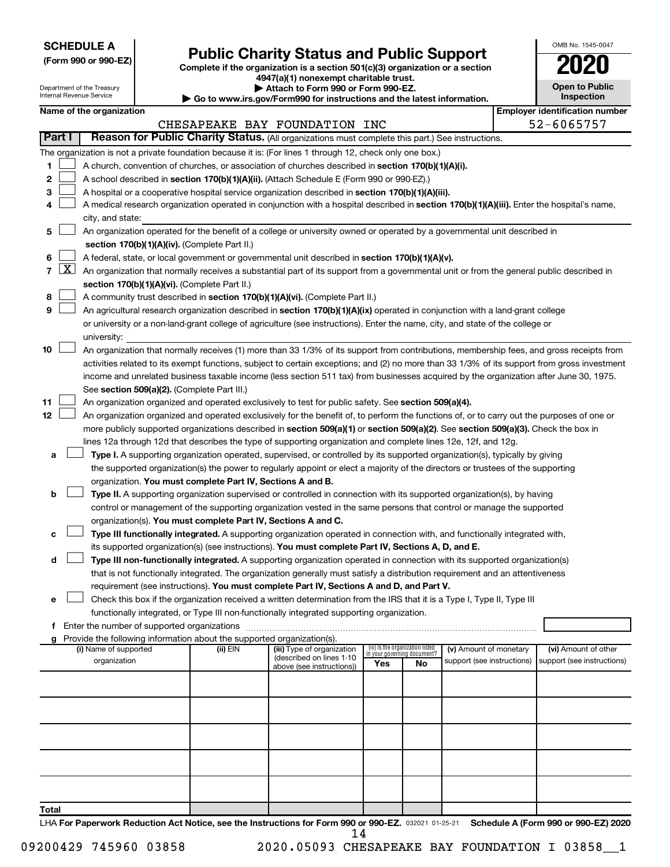| <b>SCHEDULE A</b> |  |
|-------------------|--|
|-------------------|--|

Department of the Treasury Internal Revenue Service

# Form 990 or 990-EZ) **Public Charity Status and Public Support**<br>
Complete if the organization is a section 501(c)(3) organization or a section<br> **2020**

**4947(a)(1) nonexempt charitable trust. | Attach to Form 990 or Form 990-EZ.** 

**| Go to www.irs.gov/Form990 for instructions and the latest information.**

| OMB No. 1545-0047                   |
|-------------------------------------|
| 02                                  |
| <b>Open to Public</b><br>Inspection |

 $\blacksquare$ 

| Name of the organization |  |
|--------------------------|--|
|--------------------------|--|

|                | <b>Employer identification number</b><br>Name of the organization<br>CHESAPEAKE BAY FOUNDATION INC |                                                                                                                                                                                                                                                                 |          |                                                       |                                                                |    |                            |  |                            |  |  |  |  |  |
|----------------|----------------------------------------------------------------------------------------------------|-----------------------------------------------------------------------------------------------------------------------------------------------------------------------------------------------------------------------------------------------------------------|----------|-------------------------------------------------------|----------------------------------------------------------------|----|----------------------------|--|----------------------------|--|--|--|--|--|
|                |                                                                                                    |                                                                                                                                                                                                                                                                 |          |                                                       |                                                                |    |                            |  | 52-6065757                 |  |  |  |  |  |
|                | Part I                                                                                             | Reason for Public Charity Status. (All organizations must complete this part.) See instructions.                                                                                                                                                                |          |                                                       |                                                                |    |                            |  |                            |  |  |  |  |  |
|                |                                                                                                    | The organization is not a private foundation because it is: (For lines 1 through 12, check only one box.)                                                                                                                                                       |          |                                                       |                                                                |    |                            |  |                            |  |  |  |  |  |
| 1              |                                                                                                    | A church, convention of churches, or association of churches described in section 170(b)(1)(A)(i).                                                                                                                                                              |          |                                                       |                                                                |    |                            |  |                            |  |  |  |  |  |
| 2              |                                                                                                    | A school described in section 170(b)(1)(A)(ii). (Attach Schedule E (Form 990 or 990-EZ).)                                                                                                                                                                       |          |                                                       |                                                                |    |                            |  |                            |  |  |  |  |  |
| 3              |                                                                                                    | A hospital or a cooperative hospital service organization described in section 170(b)(1)(A)(iii).                                                                                                                                                               |          |                                                       |                                                                |    |                            |  |                            |  |  |  |  |  |
| 4              |                                                                                                    | A medical research organization operated in conjunction with a hospital described in section 170(b)(1)(A)(iii). Enter the hospital's name,                                                                                                                      |          |                                                       |                                                                |    |                            |  |                            |  |  |  |  |  |
|                |                                                                                                    | city, and state:                                                                                                                                                                                                                                                |          |                                                       |                                                                |    |                            |  |                            |  |  |  |  |  |
| 5              |                                                                                                    | An organization operated for the benefit of a college or university owned or operated by a governmental unit described in                                                                                                                                       |          |                                                       |                                                                |    |                            |  |                            |  |  |  |  |  |
|                |                                                                                                    | section 170(b)(1)(A)(iv). (Complete Part II.)                                                                                                                                                                                                                   |          |                                                       |                                                                |    |                            |  |                            |  |  |  |  |  |
| 6              |                                                                                                    | A federal, state, or local government or governmental unit described in section 170(b)(1)(A)(v).                                                                                                                                                                |          |                                                       |                                                                |    |                            |  |                            |  |  |  |  |  |
| $\overline{7}$ | $\boxed{\text{X}}$                                                                                 | An organization that normally receives a substantial part of its support from a governmental unit or from the general public described in                                                                                                                       |          |                                                       |                                                                |    |                            |  |                            |  |  |  |  |  |
|                |                                                                                                    | section 170(b)(1)(A)(vi). (Complete Part II.)                                                                                                                                                                                                                   |          |                                                       |                                                                |    |                            |  |                            |  |  |  |  |  |
| 8              |                                                                                                    | A community trust described in section 170(b)(1)(A)(vi). (Complete Part II.)                                                                                                                                                                                    |          |                                                       |                                                                |    |                            |  |                            |  |  |  |  |  |
| 9              |                                                                                                    |                                                                                                                                                                                                                                                                 |          |                                                       |                                                                |    |                            |  |                            |  |  |  |  |  |
|                |                                                                                                    | An agricultural research organization described in section 170(b)(1)(A)(ix) operated in conjunction with a land-grant college<br>or university or a non-land-grant college of agriculture (see instructions). Enter the name, city, and state of the college or |          |                                                       |                                                                |    |                            |  |                            |  |  |  |  |  |
|                |                                                                                                    | university:                                                                                                                                                                                                                                                     |          |                                                       |                                                                |    |                            |  |                            |  |  |  |  |  |
| 10             |                                                                                                    | An organization that normally receives (1) more than 33 1/3% of its support from contributions, membership fees, and gross receipts from                                                                                                                        |          |                                                       |                                                                |    |                            |  |                            |  |  |  |  |  |
|                |                                                                                                    | activities related to its exempt functions, subject to certain exceptions; and (2) no more than 33 1/3% of its support from gross investment                                                                                                                    |          |                                                       |                                                                |    |                            |  |                            |  |  |  |  |  |
|                |                                                                                                    | income and unrelated business taxable income (less section 511 tax) from businesses acquired by the organization after June 30, 1975.                                                                                                                           |          |                                                       |                                                                |    |                            |  |                            |  |  |  |  |  |
|                |                                                                                                    | See section 509(a)(2). (Complete Part III.)                                                                                                                                                                                                                     |          |                                                       |                                                                |    |                            |  |                            |  |  |  |  |  |
| 11             |                                                                                                    | An organization organized and operated exclusively to test for public safety. See section 509(a)(4).                                                                                                                                                            |          |                                                       |                                                                |    |                            |  |                            |  |  |  |  |  |
| 12             |                                                                                                    | An organization organized and operated exclusively for the benefit of, to perform the functions of, or to carry out the purposes of one or                                                                                                                      |          |                                                       |                                                                |    |                            |  |                            |  |  |  |  |  |
|                |                                                                                                    | more publicly supported organizations described in section 509(a)(1) or section 509(a)(2). See section 509(a)(3). Check the box in                                                                                                                              |          |                                                       |                                                                |    |                            |  |                            |  |  |  |  |  |
|                |                                                                                                    | lines 12a through 12d that describes the type of supporting organization and complete lines 12e, 12f, and 12g.                                                                                                                                                  |          |                                                       |                                                                |    |                            |  |                            |  |  |  |  |  |
| a              |                                                                                                    | Type I. A supporting organization operated, supervised, or controlled by its supported organization(s), typically by giving                                                                                                                                     |          |                                                       |                                                                |    |                            |  |                            |  |  |  |  |  |
|                |                                                                                                    | the supported organization(s) the power to regularly appoint or elect a majority of the directors or trustees of the supporting                                                                                                                                 |          |                                                       |                                                                |    |                            |  |                            |  |  |  |  |  |
|                |                                                                                                    | organization. You must complete Part IV, Sections A and B.                                                                                                                                                                                                      |          |                                                       |                                                                |    |                            |  |                            |  |  |  |  |  |
| b              |                                                                                                    | Type II. A supporting organization supervised or controlled in connection with its supported organization(s), by having                                                                                                                                         |          |                                                       |                                                                |    |                            |  |                            |  |  |  |  |  |
|                |                                                                                                    | control or management of the supporting organization vested in the same persons that control or manage the supported                                                                                                                                            |          |                                                       |                                                                |    |                            |  |                            |  |  |  |  |  |
|                |                                                                                                    | organization(s). You must complete Part IV, Sections A and C.                                                                                                                                                                                                   |          |                                                       |                                                                |    |                            |  |                            |  |  |  |  |  |
|                |                                                                                                    | Type III functionally integrated. A supporting organization operated in connection with, and functionally integrated with,                                                                                                                                      |          |                                                       |                                                                |    |                            |  |                            |  |  |  |  |  |
|                |                                                                                                    | its supported organization(s) (see instructions). You must complete Part IV, Sections A, D, and E.                                                                                                                                                              |          |                                                       |                                                                |    |                            |  |                            |  |  |  |  |  |
| d              |                                                                                                    | Type III non-functionally integrated. A supporting organization operated in connection with its supported organization(s)                                                                                                                                       |          |                                                       |                                                                |    |                            |  |                            |  |  |  |  |  |
|                |                                                                                                    | that is not functionally integrated. The organization generally must satisfy a distribution requirement and an attentiveness                                                                                                                                    |          |                                                       |                                                                |    |                            |  |                            |  |  |  |  |  |
|                |                                                                                                    | requirement (see instructions). You must complete Part IV, Sections A and D, and Part V.                                                                                                                                                                        |          |                                                       |                                                                |    |                            |  |                            |  |  |  |  |  |
| е              |                                                                                                    | Check this box if the organization received a written determination from the IRS that it is a Type I, Type II, Type III                                                                                                                                         |          |                                                       |                                                                |    |                            |  |                            |  |  |  |  |  |
|                |                                                                                                    | functionally integrated, or Type III non-functionally integrated supporting organization.                                                                                                                                                                       |          |                                                       |                                                                |    |                            |  |                            |  |  |  |  |  |
|                |                                                                                                    |                                                                                                                                                                                                                                                                 |          |                                                       |                                                                |    |                            |  |                            |  |  |  |  |  |
|                |                                                                                                    | Provide the following information about the supported organization(s).                                                                                                                                                                                          |          |                                                       |                                                                |    |                            |  |                            |  |  |  |  |  |
|                |                                                                                                    | (i) Name of supported                                                                                                                                                                                                                                           | (ii) EIN | (iii) Type of organization                            | (iv) Is the organization listed<br>in your governing document? |    | (v) Amount of monetary     |  | (vi) Amount of other       |  |  |  |  |  |
|                |                                                                                                    | organization                                                                                                                                                                                                                                                    |          | (described on lines 1-10<br>above (see instructions)) | Yes                                                            | No | support (see instructions) |  | support (see instructions) |  |  |  |  |  |
|                |                                                                                                    |                                                                                                                                                                                                                                                                 |          |                                                       |                                                                |    |                            |  |                            |  |  |  |  |  |
|                |                                                                                                    |                                                                                                                                                                                                                                                                 |          |                                                       |                                                                |    |                            |  |                            |  |  |  |  |  |
|                |                                                                                                    |                                                                                                                                                                                                                                                                 |          |                                                       |                                                                |    |                            |  |                            |  |  |  |  |  |
|                |                                                                                                    |                                                                                                                                                                                                                                                                 |          |                                                       |                                                                |    |                            |  |                            |  |  |  |  |  |
|                |                                                                                                    |                                                                                                                                                                                                                                                                 |          |                                                       |                                                                |    |                            |  |                            |  |  |  |  |  |
|                |                                                                                                    |                                                                                                                                                                                                                                                                 |          |                                                       |                                                                |    |                            |  |                            |  |  |  |  |  |
|                |                                                                                                    |                                                                                                                                                                                                                                                                 |          |                                                       |                                                                |    |                            |  |                            |  |  |  |  |  |
|                |                                                                                                    |                                                                                                                                                                                                                                                                 |          |                                                       |                                                                |    |                            |  |                            |  |  |  |  |  |
|                |                                                                                                    |                                                                                                                                                                                                                                                                 |          |                                                       |                                                                |    |                            |  |                            |  |  |  |  |  |
|                |                                                                                                    |                                                                                                                                                                                                                                                                 |          |                                                       |                                                                |    |                            |  |                            |  |  |  |  |  |
| Total          |                                                                                                    |                                                                                                                                                                                                                                                                 |          |                                                       |                                                                |    |                            |  |                            |  |  |  |  |  |

LHA For Paperwork Reduction Act Notice, see the Instructions for Form 990 or 990-EZ. 032021 01-25-21 Schedule A (Form 990 or 990-EZ) 2020 14

09200429 745960 03858 2020.05093 CHESAPEAKE BAY FOUNDATION I 03858\_1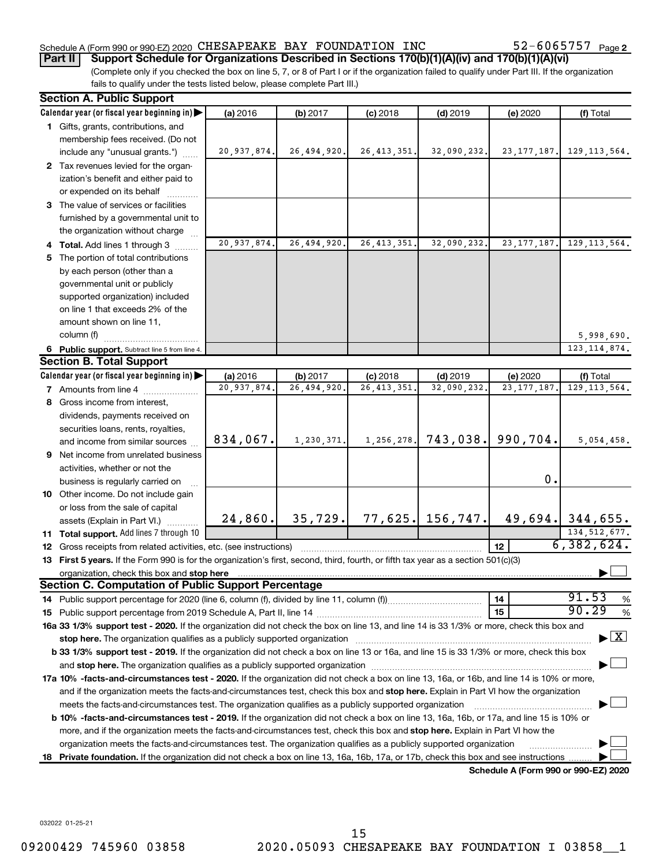#### Schedule A (Form 990 or 990-EZ) 2020 CHESAPEAKE BAY FOUNDATION INC  $52-6065757$   $_{\rm Page}$

52-6065757 Page 2

**Part II Support Schedule for Organizations Described in Sections 170(b)(1)(A)(iv) and 170(b)(1)(A)(vi)**

(Complete only if you checked the box on line 5, 7, or 8 of Part I or if the organization failed to qualify under Part III. If the organization fails to qualify under the tests listed below, please complete Part III.)

|    | <b>Section A. Public Support</b>                                                                                                                                                                                                                 |             |              |               |                    |                                      |                                          |
|----|--------------------------------------------------------------------------------------------------------------------------------------------------------------------------------------------------------------------------------------------------|-------------|--------------|---------------|--------------------|--------------------------------------|------------------------------------------|
|    | Calendar year (or fiscal year beginning in)                                                                                                                                                                                                      | (a) 2016    | (b) 2017     | $(c)$ 2018    | $(d)$ 2019         | (e) 2020                             | (f) Total                                |
|    | 1 Gifts, grants, contributions, and                                                                                                                                                                                                              |             |              |               |                    |                                      |                                          |
|    | membership fees received. (Do not                                                                                                                                                                                                                |             |              |               |                    |                                      |                                          |
|    | include any "unusual grants.")                                                                                                                                                                                                                   | 20,937,874. | 26,494,920.  | 26, 413, 351. | 32,090,232.        | 23, 177, 187.                        | 129, 113, 564.                           |
|    | 2 Tax revenues levied for the organ-                                                                                                                                                                                                             |             |              |               |                    |                                      |                                          |
|    | ization's benefit and either paid to                                                                                                                                                                                                             |             |              |               |                    |                                      |                                          |
|    | or expended on its behalf                                                                                                                                                                                                                        |             |              |               |                    |                                      |                                          |
|    | 3 The value of services or facilities                                                                                                                                                                                                            |             |              |               |                    |                                      |                                          |
|    | furnished by a governmental unit to                                                                                                                                                                                                              |             |              |               |                    |                                      |                                          |
|    | the organization without charge                                                                                                                                                                                                                  |             |              |               |                    |                                      |                                          |
|    | 4 Total. Add lines 1 through 3                                                                                                                                                                                                                   | 20,937,874. | 26,494,920   | 26, 413, 351. | 32,090,232.        | 23, 177, 187.                        | 129, 113, 564.                           |
|    | 5 The portion of total contributions                                                                                                                                                                                                             |             |              |               |                    |                                      |                                          |
|    | by each person (other than a                                                                                                                                                                                                                     |             |              |               |                    |                                      |                                          |
|    | governmental unit or publicly                                                                                                                                                                                                                    |             |              |               |                    |                                      |                                          |
|    | supported organization) included                                                                                                                                                                                                                 |             |              |               |                    |                                      |                                          |
|    | on line 1 that exceeds 2% of the                                                                                                                                                                                                                 |             |              |               |                    |                                      |                                          |
|    | amount shown on line 11,                                                                                                                                                                                                                         |             |              |               |                    |                                      |                                          |
|    | column (f)                                                                                                                                                                                                                                       |             |              |               |                    |                                      | 5,998,690.                               |
|    | 6 Public support. Subtract line 5 from line 4.                                                                                                                                                                                                   |             |              |               |                    |                                      | 123, 114, 874.                           |
|    | <b>Section B. Total Support</b>                                                                                                                                                                                                                  |             |              |               |                    |                                      |                                          |
|    | Calendar year (or fiscal year beginning in)                                                                                                                                                                                                      | (a) 2016    | (b) 2017     | $(c)$ 2018    | $(d)$ 2019         | (e) 2020                             | (f) Total                                |
|    | <b>7</b> Amounts from line 4                                                                                                                                                                                                                     | 20,937,874. | 26,494,920   | 26, 413, 351  | 32,090,232.        | 23, 177, 187                         | 129, 113, 564.                           |
|    | 8 Gross income from interest,                                                                                                                                                                                                                    |             |              |               |                    |                                      |                                          |
|    | dividends, payments received on                                                                                                                                                                                                                  |             |              |               |                    |                                      |                                          |
|    | securities loans, rents, royalties,                                                                                                                                                                                                              |             |              |               |                    |                                      |                                          |
|    | and income from similar sources                                                                                                                                                                                                                  | 834,067.    | 1, 230, 371. | 1,256,278.    | 743,038.           | 990,704.                             | 5,054,458.                               |
|    | 9 Net income from unrelated business                                                                                                                                                                                                             |             |              |               |                    |                                      |                                          |
|    | activities, whether or not the                                                                                                                                                                                                                   |             |              |               |                    |                                      |                                          |
|    | business is regularly carried on                                                                                                                                                                                                                 |             |              |               |                    | $\mathbf 0$ .                        |                                          |
|    | 10 Other income. Do not include gain                                                                                                                                                                                                             |             |              |               |                    |                                      |                                          |
|    | or loss from the sale of capital                                                                                                                                                                                                                 |             |              |               |                    |                                      |                                          |
|    | assets (Explain in Part VI.)                                                                                                                                                                                                                     | 24,860.     | 35, 729.     |               | $77,625.$ 156,747. |                                      | $49,694.$ 344,655.                       |
|    | 11 Total support. Add lines 7 through 10                                                                                                                                                                                                         |             |              |               |                    |                                      | 134, 512, 677.                           |
|    | <b>12</b> Gross receipts from related activities, etc. (see instructions)                                                                                                                                                                        |             |              |               |                    | 12 <sup>2</sup>                      | 6,382,624.                               |
|    | 13 First 5 years. If the Form 990 is for the organization's first, second, third, fourth, or fifth tax year as a section 501(c)(3)                                                                                                               |             |              |               |                    |                                      |                                          |
|    |                                                                                                                                                                                                                                                  |             |              |               |                    |                                      |                                          |
|    | <b>Section C. Computation of Public Support Percentage</b>                                                                                                                                                                                       |             |              |               |                    |                                      | 91.53                                    |
|    |                                                                                                                                                                                                                                                  |             |              |               |                    | 14                                   | $\%$<br>90.29                            |
|    |                                                                                                                                                                                                                                                  |             |              |               |                    | 15                                   | $\%$                                     |
|    | 16a 33 1/3% support test - 2020. If the organization did not check the box on line 13, and line 14 is 33 1/3% or more, check this box and                                                                                                        |             |              |               |                    |                                      | $\blacktriangleright$ $\boxed{\text{X}}$ |
|    |                                                                                                                                                                                                                                                  |             |              |               |                    |                                      |                                          |
|    | b 33 1/3% support test - 2019. If the organization did not check a box on line 13 or 16a, and line 15 is 33 1/3% or more, check this box                                                                                                         |             |              |               |                    |                                      |                                          |
|    | 17a 10% -facts-and-circumstances test - 2020. If the organization did not check a box on line 13, 16a, or 16b, and line 14 is 10% or more,                                                                                                       |             |              |               |                    |                                      |                                          |
|    |                                                                                                                                                                                                                                                  |             |              |               |                    |                                      |                                          |
|    | and if the organization meets the facts-and-circumstances test, check this box and stop here. Explain in Part VI how the organization<br>meets the facts-and-circumstances test. The organization qualifies as a publicly supported organization |             |              |               |                    |                                      |                                          |
|    | <b>b 10%</b> -facts-and-circumstances test - 2019. If the organization did not check a box on line 13, 16a, 16b, or 17a, and line 15 is 10% or                                                                                                   |             |              |               |                    |                                      |                                          |
|    | more, and if the organization meets the facts-and-circumstances test, check this box and <b>stop here.</b> Explain in Part VI how the                                                                                                            |             |              |               |                    |                                      |                                          |
|    | organization meets the facts-and-circumstances test. The organization qualifies as a publicly supported organization                                                                                                                             |             |              |               |                    |                                      |                                          |
| 18 | Private foundation. If the organization did not check a box on line 13, 16a, 16b, 17a, or 17b, check this box and see instructions.                                                                                                              |             |              |               |                    |                                      |                                          |
|    |                                                                                                                                                                                                                                                  |             |              |               |                    | Schedule A (Form 990 or 990-EZ) 2020 |                                          |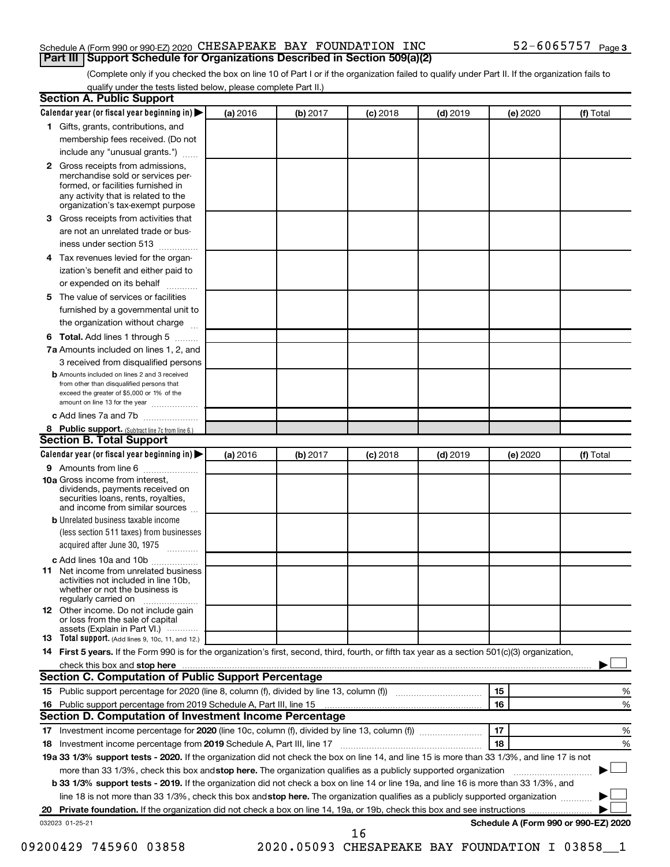#### Schedule A (Form 990 or 990-EZ) 2020 CHESAPEAKE BAY FOUNDATION INC  $52-6065757$   $_{\rm Page}$ **Part III Support Schedule for Organizations Described in Section 509(a)(2)**

(Complete only if you checked the box on line 10 of Part I or if the organization failed to qualify under Part II. If the organization fails to qualify under the tests listed below, please complete Part II.)

|    | Calendar year (or fiscal year beginning in)                                                                                                         | (a) 2016 | (b) 2017 | $(c)$ 2018 | $(d)$ 2019 | (e) 2020 | (f) Total                                      |
|----|-----------------------------------------------------------------------------------------------------------------------------------------------------|----------|----------|------------|------------|----------|------------------------------------------------|
|    | 1 Gifts, grants, contributions, and                                                                                                                 |          |          |            |            |          |                                                |
|    | membership fees received. (Do not                                                                                                                   |          |          |            |            |          |                                                |
|    | include any "unusual grants.")                                                                                                                      |          |          |            |            |          |                                                |
|    | 2 Gross receipts from admissions,<br>merchandise sold or services per-<br>formed, or facilities furnished in<br>any activity that is related to the |          |          |            |            |          |                                                |
|    | organization's tax-exempt purpose                                                                                                                   |          |          |            |            |          |                                                |
| 3  | Gross receipts from activities that                                                                                                                 |          |          |            |            |          |                                                |
|    | are not an unrelated trade or bus-<br>iness under section 513                                                                                       |          |          |            |            |          |                                                |
| 4  | Tax revenues levied for the organ-                                                                                                                  |          |          |            |            |          |                                                |
|    | ization's benefit and either paid to<br>or expended on its behalf<br>.                                                                              |          |          |            |            |          |                                                |
| 5. | The value of services or facilities                                                                                                                 |          |          |            |            |          |                                                |
|    | furnished by a governmental unit to<br>the organization without charge                                                                              |          |          |            |            |          |                                                |
|    | Total. Add lines 1 through 5                                                                                                                        |          |          |            |            |          |                                                |
| 6  | 7a Amounts included on lines 1, 2, and                                                                                                              |          |          |            |            |          |                                                |
|    |                                                                                                                                                     |          |          |            |            |          |                                                |
|    | 3 received from disqualified persons<br><b>b</b> Amounts included on lines 2 and 3 received                                                         |          |          |            |            |          |                                                |
|    | from other than disqualified persons that<br>exceed the greater of \$5,000 or 1% of the<br>amount on line 13 for the year                           |          |          |            |            |          |                                                |
|    | c Add lines 7a and 7b                                                                                                                               |          |          |            |            |          |                                                |
|    | 8 Public support. (Subtract line 7c from line 6.)                                                                                                   |          |          |            |            |          |                                                |
|    | <b>Section B. Total Support</b>                                                                                                                     |          |          |            |            |          |                                                |
|    | Calendar year (or fiscal year beginning in)                                                                                                         | (a) 2016 | (b) 2017 | $(c)$ 2018 | $(d)$ 2019 | (e) 2020 | (f) Total                                      |
|    | <b>9</b> Amounts from line 6                                                                                                                        |          |          |            |            |          |                                                |
|    | <b>10a</b> Gross income from interest,<br>dividends, payments received on<br>securities loans, rents, royalties,<br>and income from similar sources |          |          |            |            |          |                                                |
|    | <b>b</b> Unrelated business taxable income                                                                                                          |          |          |            |            |          |                                                |
|    | (less section 511 taxes) from businesses<br>acquired after June 30, 1975 [[11, 11, 11, 11]                                                          |          |          |            |            |          |                                                |
|    | c Add lines 10a and 10b                                                                                                                             |          |          |            |            |          |                                                |
| 11 | Net income from unrelated business<br>activities not included in line 10b.<br>whether or not the business is<br>regularly carried on                |          |          |            |            |          |                                                |
|    | <b>12</b> Other income. Do not include gain<br>or loss from the sale of capital<br>assets (Explain in Part VI.)                                     |          |          |            |            |          |                                                |
|    | <b>13</b> Total support. (Add lines 9, 10c, 11, and 12.)                                                                                            |          |          |            |            |          |                                                |
|    | 14 First 5 years. If the Form 990 is for the organization's first, second, third, fourth, or fifth tax year as a section 501(c)(3) organization,    |          |          |            |            |          |                                                |
|    |                                                                                                                                                     |          |          |            |            |          |                                                |
|    | Section C. Computation of Public Support Percentage                                                                                                 |          |          |            |            |          |                                                |
|    |                                                                                                                                                     |          |          |            |            | 15       | %                                              |
|    |                                                                                                                                                     |          |          |            |            | 16       | %                                              |
|    | Section D. Computation of Investment Income Percentage                                                                                              |          |          |            |            |          |                                                |
|    |                                                                                                                                                     |          |          |            |            | 17       | %                                              |
|    | 18 Investment income percentage from 2019 Schedule A, Part III, line 17                                                                             |          |          |            |            | 18       | %                                              |
|    | 19a 33 1/3% support tests - 2020. If the organization did not check the box on line 14, and line 15 is more than 33 1/3%, and line 17 is not        |          |          |            |            |          |                                                |
|    | more than 33 1/3%, check this box and stop here. The organization qualifies as a publicly supported organization                                    |          |          |            |            |          |                                                |
|    | <b>b 33 1/3% support tests - 2019.</b> If the organization did not check a box on line 14 or line 19a, and line 16 is more than 33 1/3%, and        |          |          |            |            |          |                                                |
|    | line 18 is not more than 33 1/3%, check this box and stop here. The organization qualifies as a publicly supported organization                     |          |          |            |            |          |                                                |
|    |                                                                                                                                                     |          |          |            |            |          |                                                |
|    |                                                                                                                                                     |          |          |            |            |          |                                                |
|    | 032023 01-25-21                                                                                                                                     |          |          | 16         |            |          | Schedule A (Form 990 or 990-EZ) 2020           |
|    | 09200429 745960 03858                                                                                                                               |          |          |            |            |          | 2020.05093 CHESAPEAKE BAY FOUNDATION I 03858 1 |
|    |                                                                                                                                                     |          |          |            |            |          |                                                |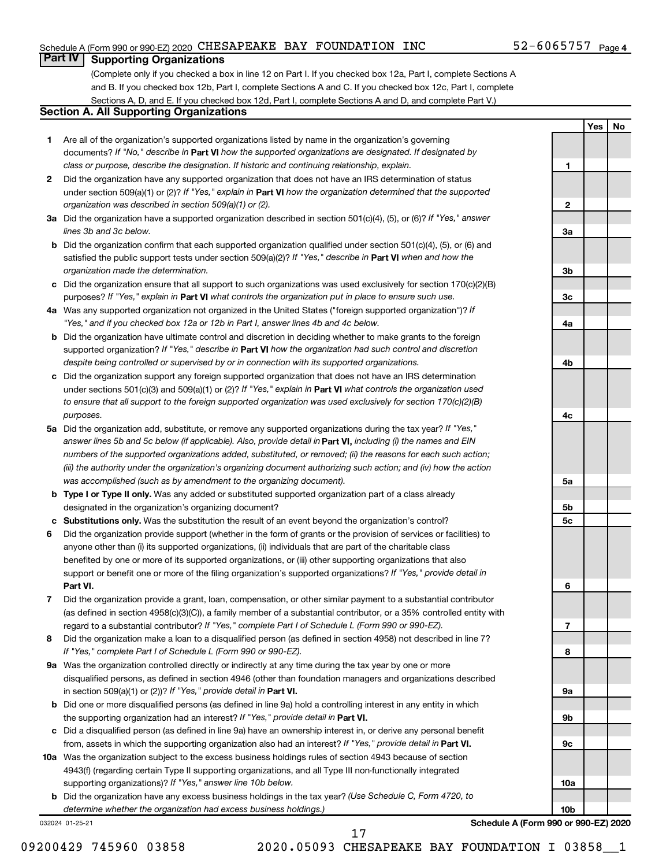#### Schedule A (Form 990 or 990-EZ) 2020 CHESAPEAKE BAY FOUNDATION INC  $52-6065757$   $_{\rm Page}$

#### $52 - 6065757$  Page 4

**1**

**2**

**3a**

**3b**

**3c**

**4a**

**4b**

**4c**

**5a**

**5b 5c**

**6**

**7**

**8**

**9a**

**9b**

**9c**

**10a**

**10b**

**Yes No**

### **Part IV Supporting Organizations**

(Complete only if you checked a box in line 12 on Part I. If you checked box 12a, Part I, complete Sections A and B. If you checked box 12b, Part I, complete Sections A and C. If you checked box 12c, Part I, complete Sections A, D, and E. If you checked box 12d, Part I, complete Sections A and D, and complete Part V.)

### **Section A. All Supporting Organizations**

- **1** Are all of the organization's supported organizations listed by name in the organization's governing documents? If "No," describe in Part VI how the supported organizations are designated. If designated by *class or purpose, describe the designation. If historic and continuing relationship, explain.*
- **2** Did the organization have any supported organization that does not have an IRS determination of status under section 509(a)(1) or (2)? If "Yes," explain in Part **VI** how the organization determined that the supported *organization was described in section 509(a)(1) or (2).*
- **3a** Did the organization have a supported organization described in section 501(c)(4), (5), or (6)? If "Yes," answer *lines 3b and 3c below.*
- **b** Did the organization confirm that each supported organization qualified under section 501(c)(4), (5), or (6) and satisfied the public support tests under section 509(a)(2)? If "Yes," describe in Part VI when and how the *organization made the determination.*
- **c** Did the organization ensure that all support to such organizations was used exclusively for section 170(c)(2)(B) purposes? If "Yes," explain in Part VI what controls the organization put in place to ensure such use.
- **4 a** *If* Was any supported organization not organized in the United States ("foreign supported organization")? *"Yes," and if you checked box 12a or 12b in Part I, answer lines 4b and 4c below.*
- **b** Did the organization have ultimate control and discretion in deciding whether to make grants to the foreign supported organization? If "Yes," describe in Part VI how the organization had such control and discretion *despite being controlled or supervised by or in connection with its supported organizations.*
- **c** Did the organization support any foreign supported organization that does not have an IRS determination under sections 501(c)(3) and 509(a)(1) or (2)? If "Yes," explain in Part VI what controls the organization used *to ensure that all support to the foreign supported organization was used exclusively for section 170(c)(2)(B) purposes.*
- **5a** Did the organization add, substitute, or remove any supported organizations during the tax year? If "Yes," answer lines 5b and 5c below (if applicable). Also, provide detail in **Part VI,** including (i) the names and EIN *numbers of the supported organizations added, substituted, or removed; (ii) the reasons for each such action; (iii) the authority under the organization's organizing document authorizing such action; and (iv) how the action was accomplished (such as by amendment to the organizing document).*
- **b** Type I or Type II only. Was any added or substituted supported organization part of a class already designated in the organization's organizing document?
- **c Substitutions only.**  Was the substitution the result of an event beyond the organization's control?
- **6** Did the organization provide support (whether in the form of grants or the provision of services or facilities) to **Part VI.** support or benefit one or more of the filing organization's supported organizations? If "Yes," provide detail in anyone other than (i) its supported organizations, (ii) individuals that are part of the charitable class benefited by one or more of its supported organizations, or (iii) other supporting organizations that also
- **7** Did the organization provide a grant, loan, compensation, or other similar payment to a substantial contributor regard to a substantial contributor? If "Yes," complete Part I of Schedule L (Form 990 or 990-EZ). (as defined in section 4958(c)(3)(C)), a family member of a substantial contributor, or a 35% controlled entity with
- **8** Did the organization make a loan to a disqualified person (as defined in section 4958) not described in line 7? *If "Yes," complete Part I of Schedule L (Form 990 or 990-EZ).*
- **9 a** Was the organization controlled directly or indirectly at any time during the tax year by one or more in section 509(a)(1) or (2))? If "Yes," provide detail in **Part VI.** disqualified persons, as defined in section 4946 (other than foundation managers and organizations described
- **b** Did one or more disqualified persons (as defined in line 9a) hold a controlling interest in any entity in which the supporting organization had an interest? If "Yes," provide detail in Part VI.
- **c** Did a disqualified person (as defined in line 9a) have an ownership interest in, or derive any personal benefit from, assets in which the supporting organization also had an interest? If "Yes," provide detail in Part VI.
- **10 a** Was the organization subject to the excess business holdings rules of section 4943 because of section supporting organizations)? If "Yes," answer line 10b below. 4943(f) (regarding certain Type II supporting organizations, and all Type III non-functionally integrated
	- **b** Did the organization have any excess business holdings in the tax year? (Use Schedule C, Form 4720, to *determine whether the organization had excess business holdings.)*

032024 01-25-21

**Schedule A (Form 990 or 990-EZ) 2020**

17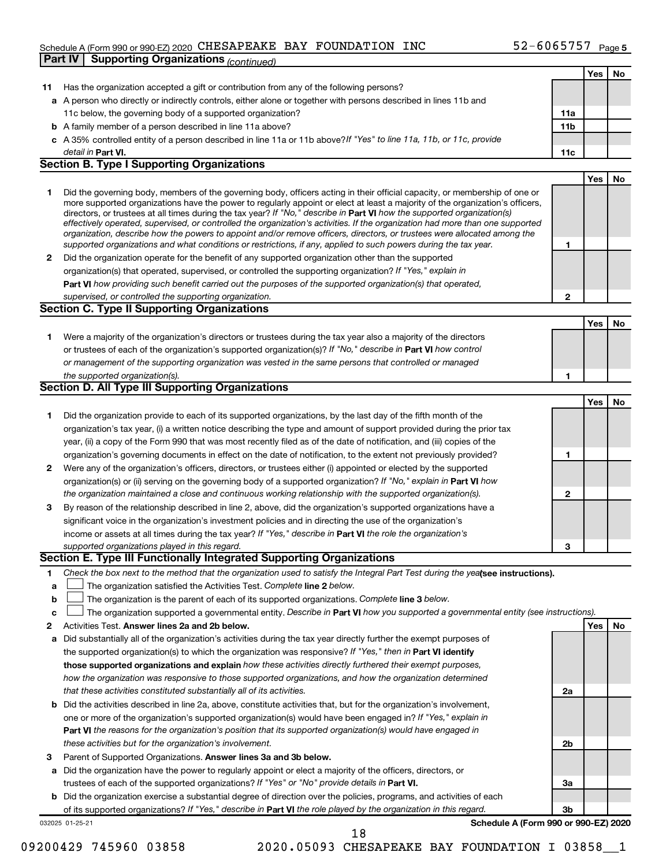#### Schedule A (Form 990 or 990-EZ) 2020 CHESAPEAKE BAY FOUNDATION INC  $52-6065757$   $_{\rm Page}$ **Part IV Supporting Organizations** *(continued)*

|    |                                                                                                                                                                                                                                                            |                 | Yes | No |
|----|------------------------------------------------------------------------------------------------------------------------------------------------------------------------------------------------------------------------------------------------------------|-----------------|-----|----|
| 11 | Has the organization accepted a gift or contribution from any of the following persons?                                                                                                                                                                    |                 |     |    |
|    | a A person who directly or indirectly controls, either alone or together with persons described in lines 11b and                                                                                                                                           |                 |     |    |
|    | 11c below, the governing body of a supported organization?                                                                                                                                                                                                 | 11a             |     |    |
| b  | A family member of a person described in line 11a above?                                                                                                                                                                                                   | 11 <sub>b</sub> |     |    |
|    | c A 35% controlled entity of a person described in line 11a or 11b above? If "Yes" to line 11a, 11b, or 11c, provide                                                                                                                                       |                 |     |    |
|    | detail in Part VI.                                                                                                                                                                                                                                         | 11c             |     |    |
|    | <b>Section B. Type I Supporting Organizations</b>                                                                                                                                                                                                          |                 |     |    |
|    |                                                                                                                                                                                                                                                            |                 | Yes | No |
| 1  | Did the governing body, members of the governing body, officers acting in their official capacity, or membership of one or                                                                                                                                 |                 |     |    |
|    | more supported organizations have the power to regularly appoint or elect at least a majority of the organization's officers,                                                                                                                              |                 |     |    |
|    | directors, or trustees at all times during the tax year? If "No," describe in Part VI how the supported organization(s)                                                                                                                                    |                 |     |    |
|    | effectively operated, supervised, or controlled the organization's activities. If the organization had more than one supported<br>organization, describe how the powers to appoint and/or remove officers, directors, or trustees were allocated among the |                 |     |    |
|    | supported organizations and what conditions or restrictions, if any, applied to such powers during the tax year.                                                                                                                                           | 1               |     |    |
| 2  | Did the organization operate for the benefit of any supported organization other than the supported                                                                                                                                                        |                 |     |    |
|    | organization(s) that operated, supervised, or controlled the supporting organization? If "Yes," explain in                                                                                                                                                 |                 |     |    |
|    | <b>Part VI</b> how providing such benefit carried out the purposes of the supported organization(s) that operated,                                                                                                                                         |                 |     |    |
|    | supervised, or controlled the supporting organization.                                                                                                                                                                                                     | 2               |     |    |
|    | Section C. Type II Supporting Organizations                                                                                                                                                                                                                |                 |     |    |
|    |                                                                                                                                                                                                                                                            |                 | Yes | No |
| 1. | Were a majority of the organization's directors or trustees during the tax year also a majority of the directors                                                                                                                                           |                 |     |    |
|    | or trustees of each of the organization's supported organization(s)? If "No," describe in Part VI how control                                                                                                                                              |                 |     |    |
|    | or management of the supporting organization was vested in the same persons that controlled or managed                                                                                                                                                     |                 |     |    |
|    | the supported organization(s).                                                                                                                                                                                                                             | 1               |     |    |
|    | Section D. All Type III Supporting Organizations                                                                                                                                                                                                           |                 |     |    |
|    |                                                                                                                                                                                                                                                            |                 | Yes | No |
| 1  | Did the organization provide to each of its supported organizations, by the last day of the fifth month of the                                                                                                                                             |                 |     |    |
|    | organization's tax year, (i) a written notice describing the type and amount of support provided during the prior tax                                                                                                                                      |                 |     |    |
|    | year, (ii) a copy of the Form 990 that was most recently filed as of the date of notification, and (iii) copies of the                                                                                                                                     |                 |     |    |
|    | organization's governing documents in effect on the date of notification, to the extent not previously provided?                                                                                                                                           | 1               |     |    |
| 2  | Were any of the organization's officers, directors, or trustees either (i) appointed or elected by the supported                                                                                                                                           |                 |     |    |
|    | organization(s) or (ii) serving on the governing body of a supported organization? If "No," explain in Part VI how                                                                                                                                         |                 |     |    |
|    | the organization maintained a close and continuous working relationship with the supported organization(s).                                                                                                                                                | $\mathbf{2}$    |     |    |
| 3  | By reason of the relationship described in line 2, above, did the organization's supported organizations have a                                                                                                                                            |                 |     |    |
|    | significant voice in the organization's investment policies and in directing the use of the organization's                                                                                                                                                 |                 |     |    |
|    | income or assets at all times during the tax year? If "Yes," describe in Part VI the role the organization's                                                                                                                                               |                 |     |    |
|    | supported organizations played in this regard.                                                                                                                                                                                                             | 3               |     |    |
|    | Section E. Type III Functionally Integrated Supporting Organizations                                                                                                                                                                                       |                 |     |    |
| 1. | Check the box next to the method that the organization used to satisfy the Integral Part Test during the yealsee instructions).                                                                                                                            |                 |     |    |
| а  | The organization satisfied the Activities Test. Complete line 2 below.                                                                                                                                                                                     |                 |     |    |
| b  | The organization is the parent of each of its supported organizations. Complete line 3 below.                                                                                                                                                              |                 |     |    |
| c  | The organization supported a governmental entity. Describe in Part VI how you supported a governmental entity (see instructions).                                                                                                                          |                 |     |    |
| 2  | Activities Test. Answer lines 2a and 2b below.                                                                                                                                                                                                             |                 | Yes | No |
| а  | Did substantially all of the organization's activities during the tax year directly further the exempt purposes of                                                                                                                                         |                 |     |    |
|    | the supported organization(s) to which the organization was responsive? If "Yes," then in Part VI identify                                                                                                                                                 |                 |     |    |
|    | those supported organizations and explain how these activities directly furthered their exempt purposes,                                                                                                                                                   |                 |     |    |
|    | how the organization was responsive to those supported organizations, and how the organization determined                                                                                                                                                  |                 |     |    |
|    | that these activities constituted substantially all of its activities.                                                                                                                                                                                     | 2a              |     |    |
| b  | Did the activities described in line 2a, above, constitute activities that, but for the organization's involvement,                                                                                                                                        |                 |     |    |
|    | one or more of the organization's supported organization(s) would have been engaged in? If "Yes," explain in                                                                                                                                               |                 |     |    |
|    | <b>Part VI</b> the reasons for the organization's position that its supported organization(s) would have engaged in                                                                                                                                        |                 |     |    |
|    | these activities but for the organization's involvement.                                                                                                                                                                                                   | 2 <sub>b</sub>  |     |    |
| 3  | Parent of Supported Organizations. Answer lines 3a and 3b below.                                                                                                                                                                                           |                 |     |    |
| а  | Did the organization have the power to regularly appoint or elect a majority of the officers, directors, or                                                                                                                                                |                 |     |    |
|    | trustees of each of the supported organizations? If "Yes" or "No" provide details in Part VI.                                                                                                                                                              | За              |     |    |
| b  | Did the organization exercise a substantial degree of direction over the policies, programs, and activities of each                                                                                                                                        |                 |     |    |
|    | of its supported organizations? If "Yes," describe in Part VI the role played by the organization in this regard.                                                                                                                                          | 3b              |     |    |
|    | Schedule A (Form 990 or 990-EZ) 2020<br>032025 01-25-21                                                                                                                                                                                                    |                 |     |    |
|    | 18                                                                                                                                                                                                                                                         |                 |     |    |

<sup>09200429 745960 03858 2020.05093</sup> CHESAPEAKE BAY FOUNDATION I 03858\_1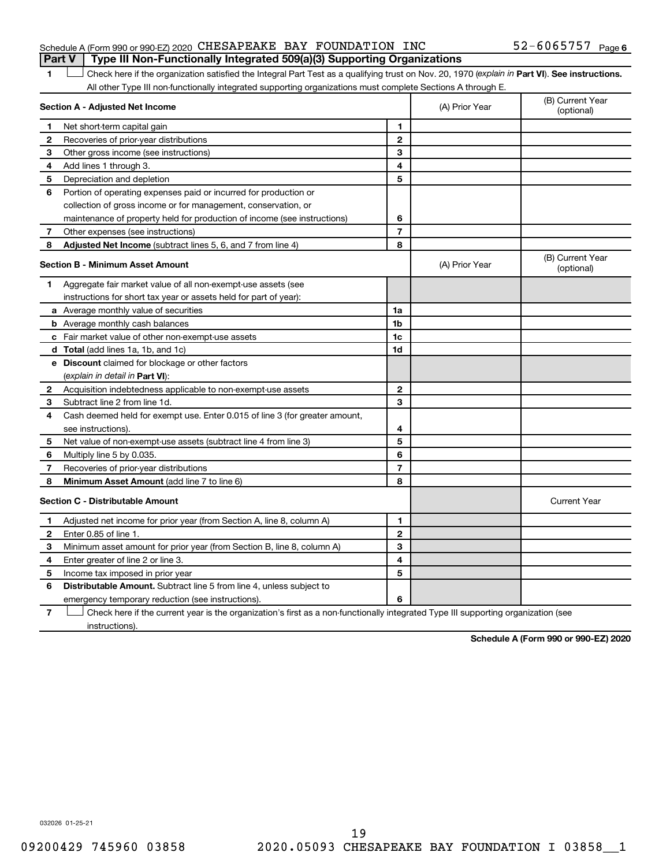#### Schedule A (Form 990 or 990-EZ) 2020 CHESAPEAKE BAY FOUNDATION INC  $52-6065757$   $_{\rm Page}$ **Part V Type III Non-Functionally Integrated 509(a)(3) Supporting Organizations**

1 **Letter See instructions.** Check here if the organization satisfied the Integral Part Test as a qualifying trust on Nov. 20, 1970 (*explain in* Part **VI**). See instructions. All other Type III non-functionally integrated supporting organizations must complete Sections A through E.

| Section A - Adjusted Net Income |                                                                             |                | (A) Prior Year | (B) Current Year<br>(optional) |
|---------------------------------|-----------------------------------------------------------------------------|----------------|----------------|--------------------------------|
| 1                               | Net short-term capital gain                                                 | 1              |                |                                |
| 2                               | Recoveries of prior-year distributions                                      | $\mathbf{2}$   |                |                                |
| З                               | Other gross income (see instructions)                                       | 3              |                |                                |
| 4                               | Add lines 1 through 3.                                                      | 4              |                |                                |
| 5                               | Depreciation and depletion                                                  | 5              |                |                                |
| 6                               | Portion of operating expenses paid or incurred for production or            |                |                |                                |
|                                 | collection of gross income or for management, conservation, or              |                |                |                                |
|                                 | maintenance of property held for production of income (see instructions)    | 6              |                |                                |
| 7                               | Other expenses (see instructions)                                           | $\overline{7}$ |                |                                |
| 8                               | Adjusted Net Income (subtract lines 5, 6, and 7 from line 4)                | 8              |                |                                |
|                                 | <b>Section B - Minimum Asset Amount</b>                                     |                | (A) Prior Year | (B) Current Year<br>(optional) |
| 1.                              | Aggregate fair market value of all non-exempt-use assets (see               |                |                |                                |
|                                 | instructions for short tax year or assets held for part of year):           |                |                |                                |
|                                 | <b>a</b> Average monthly value of securities                                | 1a             |                |                                |
|                                 | <b>b</b> Average monthly cash balances                                      | 1b             |                |                                |
|                                 | <b>c</b> Fair market value of other non-exempt-use assets                   | 1c             |                |                                |
|                                 | d Total (add lines 1a, 1b, and 1c)                                          | 1d             |                |                                |
|                                 | e Discount claimed for blockage or other factors                            |                |                |                                |
|                                 | (explain in detail in <b>Part VI</b> ):                                     |                |                |                                |
| 2                               | Acquisition indebtedness applicable to non-exempt-use assets                | $\mathbf{2}$   |                |                                |
| 3                               | Subtract line 2 from line 1d.                                               | 3              |                |                                |
| 4                               | Cash deemed held for exempt use. Enter 0.015 of line 3 (for greater amount, |                |                |                                |
|                                 | see instructions).                                                          | 4              |                |                                |
| 5                               | Net value of non-exempt-use assets (subtract line 4 from line 3)            | 5              |                |                                |
| 6                               | Multiply line 5 by 0.035.                                                   | 6              |                |                                |
| 7                               | Recoveries of prior-year distributions                                      | $\overline{7}$ |                |                                |
| 8                               | <b>Minimum Asset Amount (add line 7 to line 6)</b>                          | 8              |                |                                |
|                                 | <b>Section C - Distributable Amount</b>                                     |                |                | <b>Current Year</b>            |
| 1.                              | Adjusted net income for prior year (from Section A, line 8, column A)       | 1              |                |                                |
| $\mathbf{2}$                    | Enter 0.85 of line 1.                                                       | $\mathbf{2}$   |                |                                |
| 3                               | Minimum asset amount for prior year (from Section B, line 8, column A)      | 3              |                |                                |
| 4                               | Enter greater of line 2 or line 3.                                          | 4              |                |                                |
| 5                               | Income tax imposed in prior year                                            | 5              |                |                                |
| 6                               | Distributable Amount. Subtract line 5 from line 4, unless subject to        |                |                |                                |
|                                 | emergency temporary reduction (see instructions).                           | 6              |                |                                |
|                                 |                                                                             |                |                |                                |

**7** Check here if the current year is the organization's first as a non-functionally integrated Type III supporting organization (see † instructions).

**Schedule A (Form 990 or 990-EZ) 2020**

032026 01-25-21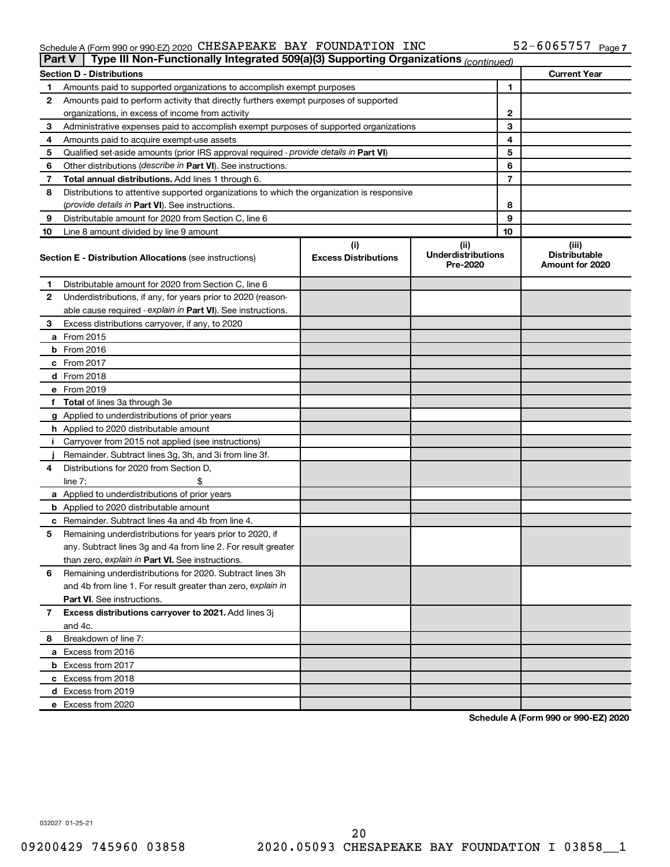#### Schedule A (Form 990 or 990-EZ) 2020 CHESAPEAKE BAY FOUNDATION INC 5 Z = 6 U 6 5 7 5 7 Page CHESAPEAKE BAY FOUNDATION INC 52-6065757

| <b>Part V</b> | Type III Non-Functionally Integrated 509(a)(3) Supporting Organizations (continued)        |                             |                                       |    |                                         |
|---------------|--------------------------------------------------------------------------------------------|-----------------------------|---------------------------------------|----|-----------------------------------------|
|               | <b>Section D - Distributions</b>                                                           |                             |                                       |    | <b>Current Year</b>                     |
| 1             | Amounts paid to supported organizations to accomplish exempt purposes                      |                             |                                       | 1  |                                         |
| 2             | Amounts paid to perform activity that directly furthers exempt purposes of supported       |                             |                                       |    |                                         |
|               | organizations, in excess of income from activity                                           |                             |                                       | 2  |                                         |
| 3             | Administrative expenses paid to accomplish exempt purposes of supported organizations      |                             |                                       | 3  |                                         |
| 4             | Amounts paid to acquire exempt-use assets                                                  |                             |                                       | 4  |                                         |
| 5             | Qualified set-aside amounts (prior IRS approval required - provide details in Part VI)     |                             |                                       | 5  |                                         |
| 6             | Other distributions ( <i>describe in Part VI</i> ). See instructions.                      |                             |                                       | 6  |                                         |
| 7             | Total annual distributions. Add lines 1 through 6.                                         |                             |                                       | 7  |                                         |
| 8             | Distributions to attentive supported organizations to which the organization is responsive |                             |                                       |    |                                         |
|               | (provide details in Part VI). See instructions.                                            |                             |                                       | 8  |                                         |
| 9             | Distributable amount for 2020 from Section C, line 6                                       |                             |                                       | 9  |                                         |
| 10            | Line 8 amount divided by line 9 amount                                                     |                             |                                       | 10 |                                         |
|               |                                                                                            | (i)                         | (ii)                                  |    | (iii)                                   |
|               | <b>Section E - Distribution Allocations (see instructions)</b>                             | <b>Excess Distributions</b> | <b>Underdistributions</b><br>Pre-2020 |    | <b>Distributable</b><br>Amount for 2020 |
| 1             | Distributable amount for 2020 from Section C, line 6                                       |                             |                                       |    |                                         |
| 2             | Underdistributions, if any, for years prior to 2020 (reason-                               |                             |                                       |    |                                         |
|               | able cause required - explain in Part VI). See instructions.                               |                             |                                       |    |                                         |
| 3             | Excess distributions carryover, if any, to 2020                                            |                             |                                       |    |                                         |
|               | a From 2015                                                                                |                             |                                       |    |                                         |
|               | $b$ From 2016                                                                              |                             |                                       |    |                                         |
|               | c From 2017                                                                                |                             |                                       |    |                                         |
|               | <b>d</b> From 2018                                                                         |                             |                                       |    |                                         |
|               | e From 2019                                                                                |                             |                                       |    |                                         |
|               | f Total of lines 3a through 3e                                                             |                             |                                       |    |                                         |
|               | g Applied to underdistributions of prior years                                             |                             |                                       |    |                                         |
|               | <b>h</b> Applied to 2020 distributable amount                                              |                             |                                       |    |                                         |
| Ť.            | Carryover from 2015 not applied (see instructions)                                         |                             |                                       |    |                                         |
|               | Remainder. Subtract lines 3g, 3h, and 3i from line 3f.                                     |                             |                                       |    |                                         |
| 4             | Distributions for 2020 from Section D,                                                     |                             |                                       |    |                                         |
|               | line 7:                                                                                    |                             |                                       |    |                                         |
|               | a Applied to underdistributions of prior years                                             |                             |                                       |    |                                         |
|               | <b>b</b> Applied to 2020 distributable amount                                              |                             |                                       |    |                                         |
|               | c Remainder. Subtract lines 4a and 4b from line 4.                                         |                             |                                       |    |                                         |
| 5             | Remaining underdistributions for years prior to 2020, if                                   |                             |                                       |    |                                         |
|               | any. Subtract lines 3g and 4a from line 2. For result greater                              |                             |                                       |    |                                         |
|               | than zero, explain in Part VI. See instructions.                                           |                             |                                       |    |                                         |
| 6             | Remaining underdistributions for 2020. Subtract lines 3h                                   |                             |                                       |    |                                         |
|               | and 4b from line 1. For result greater than zero, explain in                               |                             |                                       |    |                                         |
|               | <b>Part VI.</b> See instructions.                                                          |                             |                                       |    |                                         |
| 7             | Excess distributions carryover to 2021. Add lines 3j                                       |                             |                                       |    |                                         |
|               | and 4c.                                                                                    |                             |                                       |    |                                         |
| 8             | Breakdown of line 7:                                                                       |                             |                                       |    |                                         |
|               | a Excess from 2016                                                                         |                             |                                       |    |                                         |
|               | <b>b</b> Excess from 2017                                                                  |                             |                                       |    |                                         |
|               | c Excess from 2018                                                                         |                             |                                       |    |                                         |
|               |                                                                                            |                             |                                       |    |                                         |
|               | d Excess from 2019<br>e Excess from 2020                                                   |                             |                                       |    |                                         |
|               |                                                                                            |                             |                                       |    |                                         |

**Schedule A (Form 990 or 990-EZ) 2020**

032027 01-25-21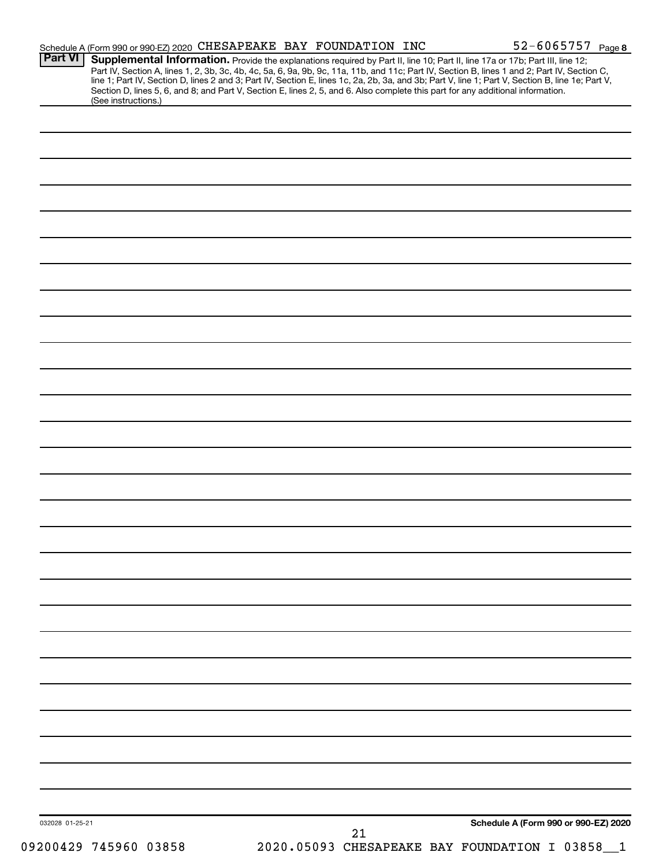| Part VI         |                       | Schedule A (Form 990 or 990-EZ) 2020 CHESAPEAKE BAY FOUNDATION INC |  |    | 52-6065757 Page 8                                                                                                                                                                                                                                                                                                                                                                                                                 |
|-----------------|-----------------------|--------------------------------------------------------------------|--|----|-----------------------------------------------------------------------------------------------------------------------------------------------------------------------------------------------------------------------------------------------------------------------------------------------------------------------------------------------------------------------------------------------------------------------------------|
|                 |                       |                                                                    |  |    | Supplemental Information. Provide the explanations required by Part II, line 10; Part II, line 17a or 17b; Part III, line 12;<br>Part IV, Section A, lines 1, 2, 3b, 3c, 4b, 4c, 5a, 6, 9a, 9b, 9c, 11a, 11b, and 11c; Part IV, Section B, lines 1 and 2; Part IV, Section C,<br>line 1; Part IV, Section D, lines 2 and 3; Part IV, Section E, lines 1c, 2a, 2b, 3a, and 3b; Part V, line 1; Part V, Section B, line 1e; Part V, |
|                 | (See instructions.)   |                                                                    |  |    | Section D, lines 5, 6, and 8; and Part V, Section E, lines 2, 5, and 6. Also complete this part for any additional information.                                                                                                                                                                                                                                                                                                   |
|                 |                       |                                                                    |  |    |                                                                                                                                                                                                                                                                                                                                                                                                                                   |
|                 |                       |                                                                    |  |    |                                                                                                                                                                                                                                                                                                                                                                                                                                   |
|                 |                       |                                                                    |  |    |                                                                                                                                                                                                                                                                                                                                                                                                                                   |
|                 |                       |                                                                    |  |    |                                                                                                                                                                                                                                                                                                                                                                                                                                   |
|                 |                       |                                                                    |  |    |                                                                                                                                                                                                                                                                                                                                                                                                                                   |
|                 |                       |                                                                    |  |    |                                                                                                                                                                                                                                                                                                                                                                                                                                   |
|                 |                       |                                                                    |  |    |                                                                                                                                                                                                                                                                                                                                                                                                                                   |
|                 |                       |                                                                    |  |    |                                                                                                                                                                                                                                                                                                                                                                                                                                   |
|                 |                       |                                                                    |  |    |                                                                                                                                                                                                                                                                                                                                                                                                                                   |
|                 |                       |                                                                    |  |    |                                                                                                                                                                                                                                                                                                                                                                                                                                   |
|                 |                       |                                                                    |  |    |                                                                                                                                                                                                                                                                                                                                                                                                                                   |
|                 |                       |                                                                    |  |    |                                                                                                                                                                                                                                                                                                                                                                                                                                   |
|                 |                       |                                                                    |  |    |                                                                                                                                                                                                                                                                                                                                                                                                                                   |
|                 |                       |                                                                    |  |    |                                                                                                                                                                                                                                                                                                                                                                                                                                   |
|                 |                       |                                                                    |  |    |                                                                                                                                                                                                                                                                                                                                                                                                                                   |
|                 |                       |                                                                    |  |    |                                                                                                                                                                                                                                                                                                                                                                                                                                   |
|                 |                       |                                                                    |  |    |                                                                                                                                                                                                                                                                                                                                                                                                                                   |
|                 |                       |                                                                    |  |    |                                                                                                                                                                                                                                                                                                                                                                                                                                   |
|                 |                       |                                                                    |  |    |                                                                                                                                                                                                                                                                                                                                                                                                                                   |
|                 |                       |                                                                    |  |    |                                                                                                                                                                                                                                                                                                                                                                                                                                   |
|                 |                       |                                                                    |  |    |                                                                                                                                                                                                                                                                                                                                                                                                                                   |
|                 |                       |                                                                    |  |    |                                                                                                                                                                                                                                                                                                                                                                                                                                   |
|                 |                       |                                                                    |  |    |                                                                                                                                                                                                                                                                                                                                                                                                                                   |
|                 |                       |                                                                    |  |    |                                                                                                                                                                                                                                                                                                                                                                                                                                   |
|                 |                       |                                                                    |  |    |                                                                                                                                                                                                                                                                                                                                                                                                                                   |
|                 |                       |                                                                    |  |    |                                                                                                                                                                                                                                                                                                                                                                                                                                   |
|                 |                       |                                                                    |  |    |                                                                                                                                                                                                                                                                                                                                                                                                                                   |
|                 |                       |                                                                    |  |    |                                                                                                                                                                                                                                                                                                                                                                                                                                   |
|                 |                       |                                                                    |  |    |                                                                                                                                                                                                                                                                                                                                                                                                                                   |
|                 |                       |                                                                    |  |    |                                                                                                                                                                                                                                                                                                                                                                                                                                   |
|                 |                       |                                                                    |  |    |                                                                                                                                                                                                                                                                                                                                                                                                                                   |
|                 |                       |                                                                    |  |    |                                                                                                                                                                                                                                                                                                                                                                                                                                   |
|                 |                       |                                                                    |  |    |                                                                                                                                                                                                                                                                                                                                                                                                                                   |
|                 |                       |                                                                    |  |    |                                                                                                                                                                                                                                                                                                                                                                                                                                   |
|                 |                       |                                                                    |  |    |                                                                                                                                                                                                                                                                                                                                                                                                                                   |
|                 |                       |                                                                    |  |    |                                                                                                                                                                                                                                                                                                                                                                                                                                   |
|                 |                       |                                                                    |  |    |                                                                                                                                                                                                                                                                                                                                                                                                                                   |
|                 |                       |                                                                    |  |    |                                                                                                                                                                                                                                                                                                                                                                                                                                   |
|                 |                       |                                                                    |  |    |                                                                                                                                                                                                                                                                                                                                                                                                                                   |
| 032028 01-25-21 |                       |                                                                    |  |    | Schedule A (Form 990 or 990-EZ) 2020                                                                                                                                                                                                                                                                                                                                                                                              |
|                 | 09200429 745960 03858 |                                                                    |  | 21 | 2020.05093 CHESAPEAKE BAY FOUNDATION I 03858_1                                                                                                                                                                                                                                                                                                                                                                                    |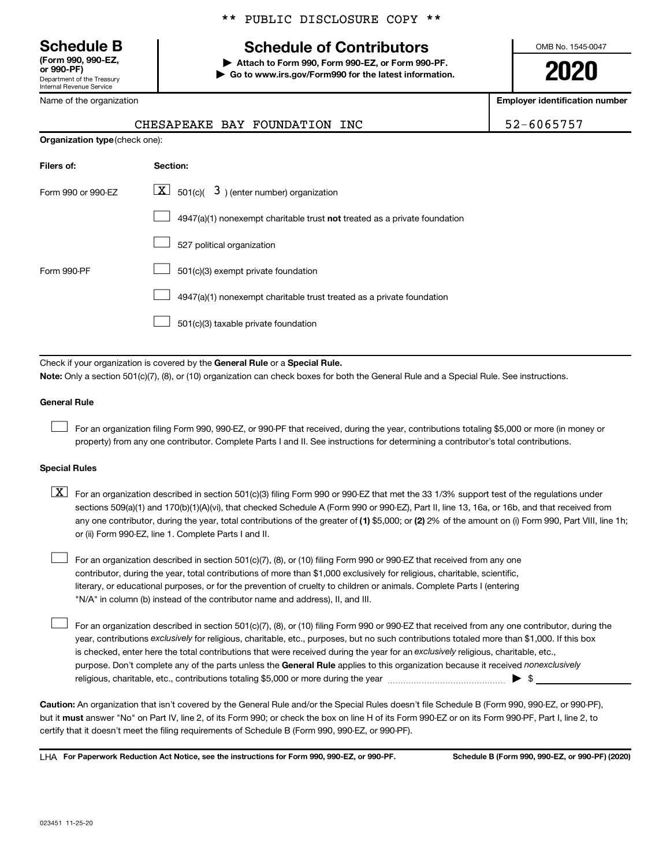Department of the Treasury Internal Revenue Service **(Form 990, 990-EZ,**

Name of the organization

#### \*\* PUBLIC DISCLOSURE COPY \*\*

# **Schedule B Schedule of Contributors**

**or 990-PF) | Attach to Form 990, Form 990-EZ, or Form 990-PF. | Go to www.irs.gov/Form990 for the latest information.** OMB No. 1545-0047

**2020**

**Employer identification number**

| 52-6065757 |  |
|------------|--|
|------------|--|

|  | CHESAPEAKE BAY FOUNDATION INC | 52-6065757 |
|--|-------------------------------|------------|
|  |                               |            |

| <b>Organization type (check one):</b> |                                                                           |
|---------------------------------------|---------------------------------------------------------------------------|
| Filers of:                            | Section:                                                                  |
| Form 990 or 990-EZ                    | $\lfloor x \rfloor$ 501(c)( 3) (enter number) organization                |
|                                       | 4947(a)(1) nonexempt charitable trust not treated as a private foundation |
|                                       | 527 political organization                                                |
| Form 990-PF                           | 501(c)(3) exempt private foundation                                       |
|                                       | 4947(a)(1) nonexempt charitable trust treated as a private foundation     |
|                                       | 501(c)(3) taxable private foundation                                      |

Check if your organization is covered by the General Rule or a Special Rule.

**Note:**  Only a section 501(c)(7), (8), or (10) organization can check boxes for both the General Rule and a Special Rule. See instructions.

#### **General Rule**

 $\Box$ 

 $\Box$ 

For an organization filing Form 990, 990-EZ, or 990-PF that received, during the year, contributions totaling \$5,000 or more (in money or property) from any one contributor. Complete Parts I and II. See instructions for determining a contributor's total contributions.

#### **Special Rules**

any one contributor, during the year, total contributions of the greater of (1) \$5,000; or (2) 2% of the amount on (i) Form 990, Part VIII, line 1h;  $\boxed{\text{X}}$  For an organization described in section 501(c)(3) filing Form 990 or 990-EZ that met the 33 1/3% support test of the regulations under sections 509(a)(1) and 170(b)(1)(A)(vi), that checked Schedule A (Form 990 or 990-EZ), Part II, line 13, 16a, or 16b, and that received from or (ii) Form 990-EZ, line 1. Complete Parts I and II.

For an organization described in section 501(c)(7), (8), or (10) filing Form 990 or 990-EZ that received from any one contributor, during the year, total contributions of more than \$1,000 exclusively for religious, charitable, scientific, literary, or educational purposes, or for the prevention of cruelty to children or animals. Complete Parts I (entering "N/A" in column (b) instead of the contributor name and address), II, and III.  $\Box$ 

purpose. Don't complete any of the parts unless the General Rule applies to this organization because it received nonexclusively year, contributions exclusively for religious, charitable, etc., purposes, but no such contributions totaled more than \$1,000. If this box is checked, enter here the total contributions that were received during the year for an exclusively religious, charitable, etc., For an organization described in section 501(c)(7), (8), or (10) filing Form 990 or 990-EZ that received from any one contributor, during the religious, charitable, etc., contributions totaling \$5,000 or more during the year  $~\ldots\ldots\ldots\ldots\ldots\ldots\ldots\ldots\blacktriangleright~$ \$

**Caution:**  An organization that isn't covered by the General Rule and/or the Special Rules doesn't file Schedule B (Form 990, 990-EZ, or 990-PF),  **must** but it answer "No" on Part IV, line 2, of its Form 990; or check the box on line H of its Form 990-EZ or on its Form 990-PF, Part I, line 2, to certify that it doesn't meet the filing requirements of Schedule B (Form 990, 990-EZ, or 990-PF).

**For Paperwork Reduction Act Notice, see the instructions for Form 990, 990-EZ, or 990-PF. Schedule B (Form 990, 990-EZ, or 990-PF) (2020)** LHA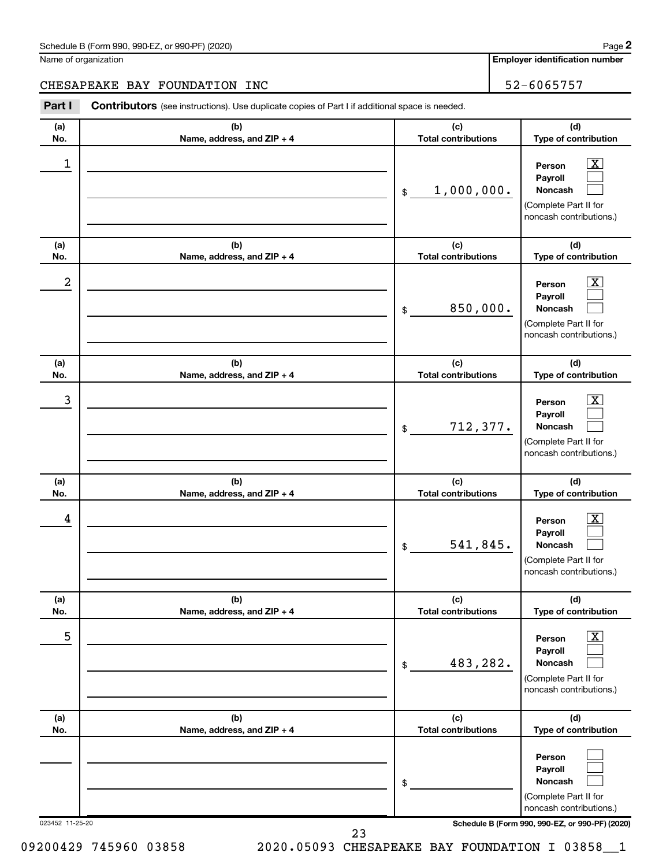| Schedule B (Form 990, 990-EZ, or 990-PF) (2020)<br>. The state of the state $\mathcal{L}$ is the state of the state of the state of the state of the state of the state of the state of the state of the state of the state of the state of the state of the state of the state of th | Page |
|---------------------------------------------------------------------------------------------------------------------------------------------------------------------------------------------------------------------------------------------------------------------------------------|------|
|---------------------------------------------------------------------------------------------------------------------------------------------------------------------------------------------------------------------------------------------------------------------------------------|------|

Name of organization

**Employer identification number**

## CHESAPEAKE BAY FOUNDATION INC 52-6065757

| Part I          | Contributors (see instructions). Use duplicate copies of Part I if additional space is needed. |                                   |                                                                                                          |
|-----------------|------------------------------------------------------------------------------------------------|-----------------------------------|----------------------------------------------------------------------------------------------------------|
| (a)<br>No.      | (b)<br>Name, address, and ZIP + 4                                                              | (c)<br><b>Total contributions</b> | (d)<br>Type of contribution                                                                              |
| 1               |                                                                                                | 1,000,000.<br>\$                  | $\boxed{\textbf{X}}$<br>Person<br>Payroll<br>Noncash<br>(Complete Part II for<br>noncash contributions.) |
| (a)<br>No.      | (b)<br>Name, address, and ZIP + 4                                                              | (c)<br><b>Total contributions</b> | (d)<br>Type of contribution                                                                              |
| 2               |                                                                                                | 850,000.<br>\$                    | $\mathbf{X}$<br>Person<br>Payroll<br>Noncash<br>(Complete Part II for<br>noncash contributions.)         |
| (a)<br>No.      | (b)<br>Name, address, and ZIP + 4                                                              | (c)<br><b>Total contributions</b> | (d)<br>Type of contribution                                                                              |
| 3               |                                                                                                | 712,377.<br>\$                    | $\boxed{\mathbf{X}}$<br>Person<br>Payroll<br>Noncash<br>(Complete Part II for<br>noncash contributions.) |
| (a)<br>No.      | (b)<br>Name, address, and ZIP + 4                                                              | (c)<br><b>Total contributions</b> | (d)<br>Type of contribution                                                                              |
| 4               |                                                                                                | 541,845.<br>\$                    | $\mathbf{X}$<br>Person<br>Payroll<br>Noncash<br>(Complete Part II for<br>noncash contributions.)         |
| (a)<br>No.      | (b)<br>Name, address, and ZIP + 4                                                              | (c)<br><b>Total contributions</b> | (d)<br>Type of contribution                                                                              |
| 5               |                                                                                                | 483,282.<br>\$                    | $\boxed{\textbf{X}}$<br>Person<br>Payroll<br>Noncash<br>(Complete Part II for<br>noncash contributions.) |
| (a)<br>No.      | (b)<br>Name, address, and ZIP + 4                                                              | (c)<br><b>Total contributions</b> | (d)<br>Type of contribution                                                                              |
|                 |                                                                                                | \$                                | Person<br>Payroll<br><b>Noncash</b><br>(Complete Part II for<br>noncash contributions.)                  |
| 023452 11-25-20 |                                                                                                | 23                                | Schedule B (Form 990, 990-EZ, or 990-PF) (2020)                                                          |

09200429 745960 03858 2020.05093 CHESAPEAKE BAY FOUNDATION I 03858\_1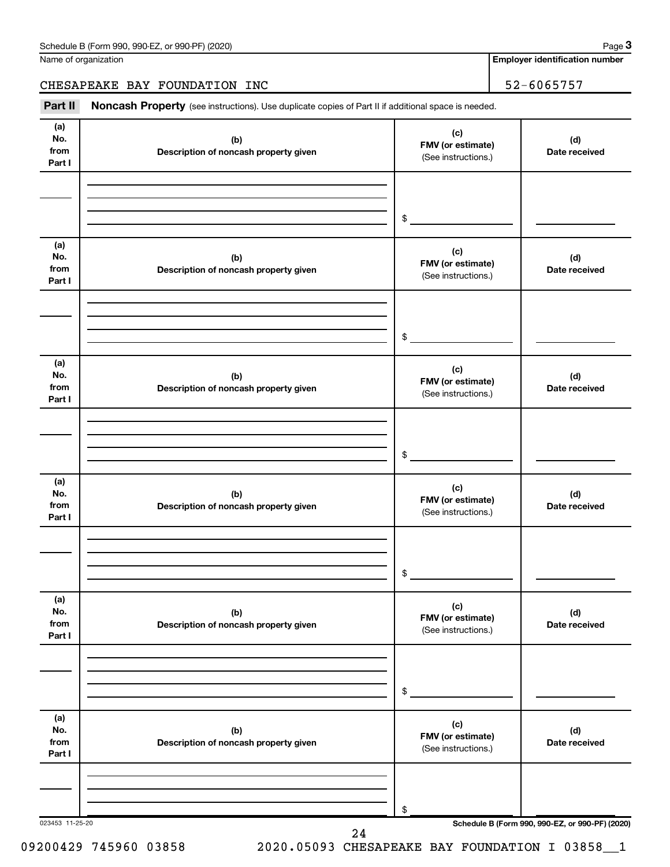Name of organization

**Employer identification number**

**3**

### CHESAPEAKE BAY FOUNDATION INC 52-6065757

Part II Noncash Property (see instructions). Use duplicate copies of Part II if additional space is needed.

| (a)<br>No.<br>from<br>Part I | (b)<br>Description of noncash property given | (c)<br>FMV (or estimate)<br>(See instructions.) | (d)<br>Date received                            |
|------------------------------|----------------------------------------------|-------------------------------------------------|-------------------------------------------------|
|                              |                                              | $\frac{1}{2}$                                   |                                                 |
| (a)<br>No.<br>from<br>Part I | (b)<br>Description of noncash property given | (c)<br>FMV (or estimate)<br>(See instructions.) | (d)<br>Date received                            |
|                              |                                              |                                                 |                                                 |
| (a)<br>No.<br>from<br>Part I | (b)<br>Description of noncash property given | (c)<br>FMV (or estimate)<br>(See instructions.) | (d)<br>Date received                            |
|                              |                                              | $\frac{1}{2}$                                   |                                                 |
| (a)<br>No.<br>from<br>Part I | (b)<br>Description of noncash property given | (c)<br>FMV (or estimate)<br>(See instructions.) | (d)<br>Date received                            |
|                              |                                              | $\frac{1}{2}$                                   |                                                 |
| (a)<br>No.<br>from<br>Part I | (b)<br>Description of noncash property given | (c)<br>FMV (or estimate)<br>(See instructions.) | (d)<br>Date received                            |
|                              |                                              | $\,$                                            |                                                 |
| (a)<br>No.<br>from<br>Part I | (b)<br>Description of noncash property given | (c)<br>FMV (or estimate)<br>(See instructions.) | (d)<br>Date received                            |
|                              |                                              | \$                                              |                                                 |
| 023453 11-25-20              | 24                                           |                                                 | Schedule B (Form 990, 990-EZ, or 990-PF) (2020) |

09200429 745960 03858 2020.05093 CHESAPEAKE BAY FOUNDATION I 03858\_1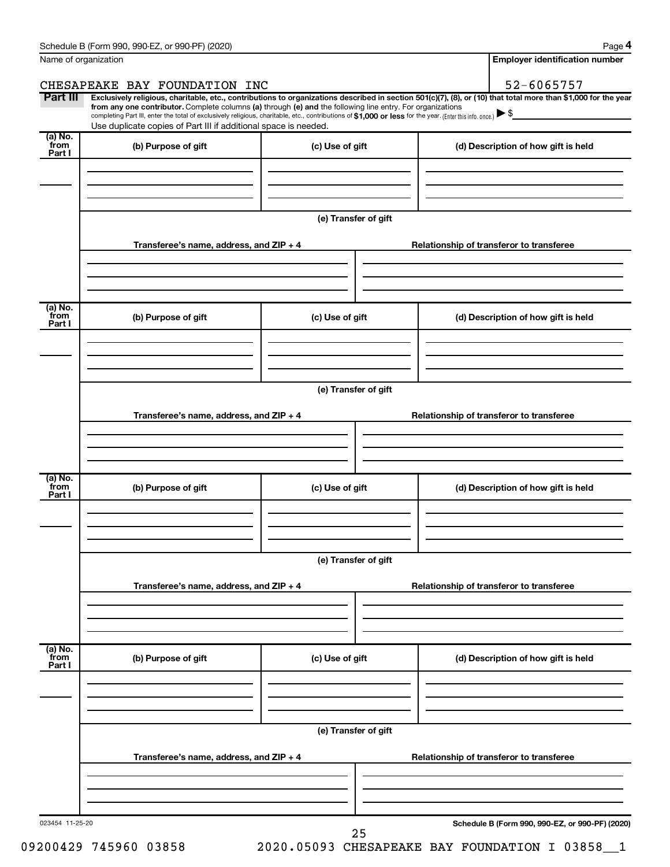| Name of organization                   |                                                                                                                                                                                                                                                                                                                                           |                      | <b>Employer identification number</b>                                                                                                                          |  |  |  |  |
|----------------------------------------|-------------------------------------------------------------------------------------------------------------------------------------------------------------------------------------------------------------------------------------------------------------------------------------------------------------------------------------------|----------------------|----------------------------------------------------------------------------------------------------------------------------------------------------------------|--|--|--|--|
|                                        | CHESAPEAKE BAY FOUNDATION INC                                                                                                                                                                                                                                                                                                             |                      | 52-6065757                                                                                                                                                     |  |  |  |  |
| Part III                               | from any one contributor. Complete columns (a) through (e) and the following line entry. For organizations<br>completing Part III, enter the total of exclusively religious, charitable, etc., contributions of \$1,000 or less for the year. (Enter this info. once.)<br>Use duplicate copies of Part III if additional space is needed. |                      | Exclusively religious, charitable, etc., contributions to organizations described in section 501(c)(7), (8), or (10) that total more than \$1,000 for the year |  |  |  |  |
| $\overline{a}$ ) No.<br>from<br>Part I | (b) Purpose of gift                                                                                                                                                                                                                                                                                                                       | (c) Use of gift      | (d) Description of how gift is held                                                                                                                            |  |  |  |  |
|                                        |                                                                                                                                                                                                                                                                                                                                           | (e) Transfer of gift |                                                                                                                                                                |  |  |  |  |
|                                        | Transferee's name, address, and ZIP + 4                                                                                                                                                                                                                                                                                                   |                      | Relationship of transferor to transferee                                                                                                                       |  |  |  |  |
| (a) No.<br>from<br>Part I              | (b) Purpose of gift                                                                                                                                                                                                                                                                                                                       | (c) Use of gift      | (d) Description of how gift is held                                                                                                                            |  |  |  |  |
|                                        | Transferee's name, address, and ZIP + 4                                                                                                                                                                                                                                                                                                   | (e) Transfer of gift | Relationship of transferor to transferee                                                                                                                       |  |  |  |  |
|                                        |                                                                                                                                                                                                                                                                                                                                           |                      |                                                                                                                                                                |  |  |  |  |
| (a) No.<br>from<br>Part I              | (b) Purpose of gift                                                                                                                                                                                                                                                                                                                       | (c) Use of gift      | (d) Description of how gift is held                                                                                                                            |  |  |  |  |
|                                        | (e) Transfer of gift                                                                                                                                                                                                                                                                                                                      |                      |                                                                                                                                                                |  |  |  |  |
|                                        | Transferee's name, address, and ZIP + 4                                                                                                                                                                                                                                                                                                   |                      | Relationship of transferor to transferee                                                                                                                       |  |  |  |  |
| (a) No.<br>from<br>Part I              | (b) Purpose of gift                                                                                                                                                                                                                                                                                                                       | (c) Use of gift      | (d) Description of how gift is held                                                                                                                            |  |  |  |  |
|                                        |                                                                                                                                                                                                                                                                                                                                           | (e) Transfer of gift |                                                                                                                                                                |  |  |  |  |
|                                        | Transferee's name, address, and ZIP + 4                                                                                                                                                                                                                                                                                                   |                      | Relationship of transferor to transferee                                                                                                                       |  |  |  |  |
|                                        |                                                                                                                                                                                                                                                                                                                                           |                      |                                                                                                                                                                |  |  |  |  |

023454 11-25-20

25

**Schedule B (Form 990, 990-EZ, or 990-PF) (2020)**

09200429 745960 03858 2020.05093 CHESAPEAKE BAY FOUNDATION I 03858\_1

**4**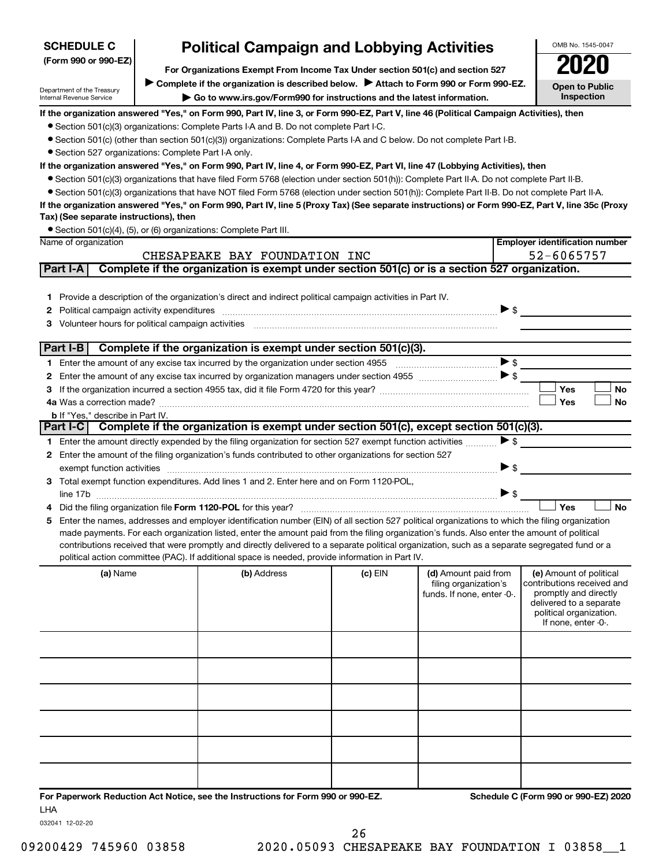| <b>Political Campaign and Lobbying Activities</b><br><b>SCHEDULE C</b>                                                                                                 |  |                                                                                                                                                  |         |                                                                             | OMB No. 1545-0047        |                                                                                                                                                             |
|------------------------------------------------------------------------------------------------------------------------------------------------------------------------|--|--------------------------------------------------------------------------------------------------------------------------------------------------|---------|-----------------------------------------------------------------------------|--------------------------|-------------------------------------------------------------------------------------------------------------------------------------------------------------|
| (Form 990 or 990-EZ)                                                                                                                                                   |  |                                                                                                                                                  |         |                                                                             |                          |                                                                                                                                                             |
| For Organizations Exempt From Income Tax Under section 501(c) and section 527<br>Complete if the organization is described below. > Attach to Form 990 or Form 990-EZ. |  |                                                                                                                                                  |         |                                                                             |                          |                                                                                                                                                             |
| Department of the Treasury                                                                                                                                             |  |                                                                                                                                                  |         |                                                                             |                          | <b>Open to Public</b>                                                                                                                                       |
| Internal Revenue Service                                                                                                                                               |  | ► Go to www.irs.gov/Form990 for instructions and the latest information.                                                                         |         |                                                                             |                          | Inspection                                                                                                                                                  |
|                                                                                                                                                                        |  | If the organization answered "Yes," on Form 990, Part IV, line 3, or Form 990-EZ, Part V, line 46 (Political Campaign Activities), then          |         |                                                                             |                          |                                                                                                                                                             |
|                                                                                                                                                                        |  | • Section 501(c)(3) organizations: Complete Parts I-A and B. Do not complete Part I-C.                                                           |         |                                                                             |                          |                                                                                                                                                             |
|                                                                                                                                                                        |  | • Section 501(c) (other than section 501(c)(3)) organizations: Complete Parts I-A and C below. Do not complete Part I-B.                         |         |                                                                             |                          |                                                                                                                                                             |
| • Section 527 organizations: Complete Part I-A only.                                                                                                                   |  |                                                                                                                                                  |         |                                                                             |                          |                                                                                                                                                             |
|                                                                                                                                                                        |  | If the organization answered "Yes," on Form 990, Part IV, line 4, or Form 990-EZ, Part VI, line 47 (Lobbying Activities), then                   |         |                                                                             |                          |                                                                                                                                                             |
|                                                                                                                                                                        |  | • Section 501(c)(3) organizations that have filed Form 5768 (election under section 501(h)): Complete Part II-A. Do not complete Part II-B.      |         |                                                                             |                          |                                                                                                                                                             |
|                                                                                                                                                                        |  | • Section 501(c)(3) organizations that have NOT filed Form 5768 (election under section 501(h)): Complete Part II-B. Do not complete Part II-A.  |         |                                                                             |                          |                                                                                                                                                             |
|                                                                                                                                                                        |  | If the organization answered "Yes," on Form 990, Part IV, line 5 (Proxy Tax) (See separate instructions) or Form 990-EZ, Part V, line 35c (Proxy |         |                                                                             |                          |                                                                                                                                                             |
| Tax) (See separate instructions), then                                                                                                                                 |  |                                                                                                                                                  |         |                                                                             |                          |                                                                                                                                                             |
| Name of organization                                                                                                                                                   |  | • Section 501(c)(4), (5), or (6) organizations: Complete Part III.                                                                               |         |                                                                             |                          | <b>Employer identification number</b>                                                                                                                       |
|                                                                                                                                                                        |  | CHESAPEAKE BAY FOUNDATION INC                                                                                                                    |         |                                                                             |                          | 52-6065757                                                                                                                                                  |
| Part I-A                                                                                                                                                               |  | Complete if the organization is exempt under section 501(c) or is a section 527 organization.                                                    |         |                                                                             |                          |                                                                                                                                                             |
|                                                                                                                                                                        |  |                                                                                                                                                  |         |                                                                             |                          |                                                                                                                                                             |
|                                                                                                                                                                        |  | 1 Provide a description of the organization's direct and indirect political campaign activities in Part IV.                                      |         |                                                                             |                          |                                                                                                                                                             |
|                                                                                                                                                                        |  |                                                                                                                                                  |         |                                                                             | $\triangleright$ s       |                                                                                                                                                             |
| 2<br>3                                                                                                                                                                 |  |                                                                                                                                                  |         |                                                                             |                          |                                                                                                                                                             |
|                                                                                                                                                                        |  |                                                                                                                                                  |         |                                                                             |                          |                                                                                                                                                             |
| Part I-B                                                                                                                                                               |  | Complete if the organization is exempt under section 501(c)(3).                                                                                  |         |                                                                             |                          |                                                                                                                                                             |
|                                                                                                                                                                        |  |                                                                                                                                                  |         |                                                                             | $\blacktriangleright$ \$ |                                                                                                                                                             |
|                                                                                                                                                                        |  | Enter the amount of any excise tax incurred by organization managers under section 4955 [1001] [1001] \$                                         |         |                                                                             |                          |                                                                                                                                                             |
|                                                                                                                                                                        |  |                                                                                                                                                  |         |                                                                             |                          | Yes<br>No                                                                                                                                                   |
|                                                                                                                                                                        |  |                                                                                                                                                  |         |                                                                             |                          | <b>Yes</b><br><b>No</b>                                                                                                                                     |
| <b>b</b> If "Yes," describe in Part IV.                                                                                                                                |  |                                                                                                                                                  |         |                                                                             |                          |                                                                                                                                                             |
|                                                                                                                                                                        |  | Part I-C Complete if the organization is exempt under section 501(c), except section 501(c)(3).                                                  |         |                                                                             |                          |                                                                                                                                                             |
|                                                                                                                                                                        |  | 1 Enter the amount directly expended by the filing organization for section 527 exempt function activities                                       |         |                                                                             | $\blacktriangleright$ \$ |                                                                                                                                                             |
| 2                                                                                                                                                                      |  | Enter the amount of the filing organization's funds contributed to other organizations for section 527                                           |         |                                                                             |                          |                                                                                                                                                             |
| exempt function activities                                                                                                                                             |  |                                                                                                                                                  |         |                                                                             | $\triangleright$ \$      |                                                                                                                                                             |
|                                                                                                                                                                        |  | 3 Total exempt function expenditures. Add lines 1 and 2. Enter here and on Form 1120-POL,                                                        |         |                                                                             |                          |                                                                                                                                                             |
|                                                                                                                                                                        |  |                                                                                                                                                  |         |                                                                             | $\blacktriangleright$ \$ |                                                                                                                                                             |
|                                                                                                                                                                        |  |                                                                                                                                                  |         |                                                                             |                          | Yes<br><b>No</b>                                                                                                                                            |
|                                                                                                                                                                        |  | Enter the names, addresses and employer identification number (EIN) of all section 527 political organizations to which the filing organization  |         |                                                                             |                          |                                                                                                                                                             |
|                                                                                                                                                                        |  | made payments. For each organization listed, enter the amount paid from the filing organization's funds. Also enter the amount of political      |         |                                                                             |                          |                                                                                                                                                             |
|                                                                                                                                                                        |  | contributions received that were promptly and directly delivered to a separate political organization, such as a separate segregated fund or a   |         |                                                                             |                          |                                                                                                                                                             |
|                                                                                                                                                                        |  | political action committee (PAC). If additional space is needed, provide information in Part IV.                                                 |         |                                                                             |                          |                                                                                                                                                             |
| (a) Name                                                                                                                                                               |  | (b) Address                                                                                                                                      | (c) EIN | (d) Amount paid from<br>filing organization's<br>funds. If none, enter -0-. |                          | (e) Amount of political<br>contributions received and<br>promptly and directly<br>delivered to a separate<br>political organization.<br>If none, enter -0-. |
|                                                                                                                                                                        |  |                                                                                                                                                  |         |                                                                             |                          |                                                                                                                                                             |
|                                                                                                                                                                        |  |                                                                                                                                                  |         |                                                                             |                          |                                                                                                                                                             |
|                                                                                                                                                                        |  |                                                                                                                                                  |         |                                                                             |                          |                                                                                                                                                             |
|                                                                                                                                                                        |  |                                                                                                                                                  |         |                                                                             |                          |                                                                                                                                                             |
|                                                                                                                                                                        |  |                                                                                                                                                  |         |                                                                             |                          |                                                                                                                                                             |
|                                                                                                                                                                        |  |                                                                                                                                                  |         |                                                                             |                          |                                                                                                                                                             |

**For Paperwork Reduction Act Notice, see the Instructions for Form 990 or 990-EZ. Schedule C (Form 990 or 990-EZ) 2020** LHA

032041 12-02-20

26

# **Political Campaign and Lobbying Activities**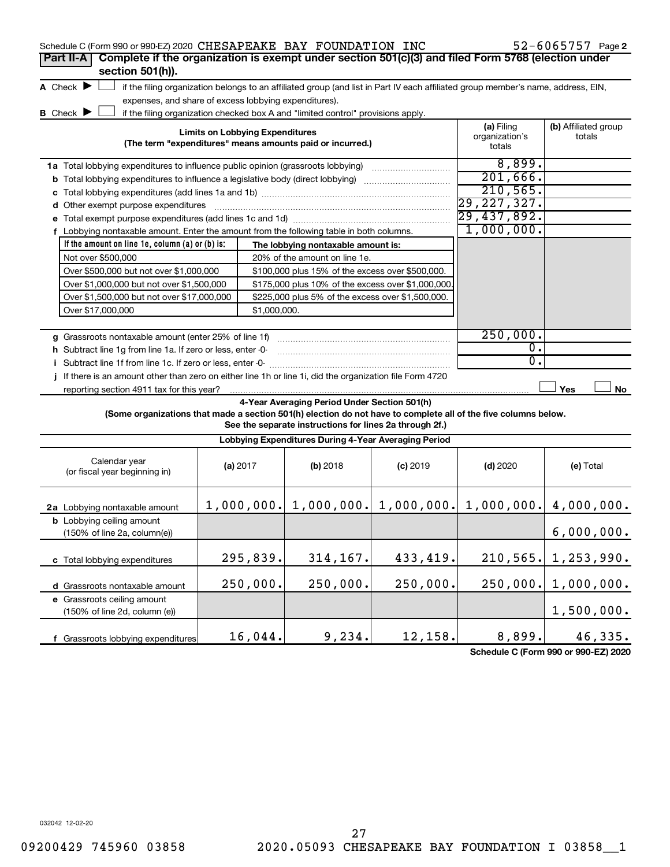| Schedule C (Form 990 or 990-EZ) 2020 CHESAPEAKE BAY FOUNDATION INC                                                                  |                                        |                                                                                                                                   |            |                          | $52 - 6065757$ Page 2 |
|-------------------------------------------------------------------------------------------------------------------------------------|----------------------------------------|-----------------------------------------------------------------------------------------------------------------------------------|------------|--------------------------|-----------------------|
| Complete if the organization is exempt under section 501(c)(3) and filed Form 5768 (election under<br>Part II-A<br>section 501(h)). |                                        |                                                                                                                                   |            |                          |                       |
| A Check $\blacktriangleright$<br>expenses, and share of excess lobbying expenditures).                                              |                                        | if the filing organization belongs to an affiliated group (and list in Part IV each affiliated group member's name, address, EIN, |            |                          |                       |
| <b>B</b> Check ▶                                                                                                                    | <b>Limits on Lobbying Expenditures</b> | if the filing organization checked box A and "limited control" provisions apply.                                                  |            | (a) Filing               | (b) Affiliated group  |
|                                                                                                                                     |                                        | (The term "expenditures" means amounts paid or incurred.)                                                                         |            | organization's<br>totals | totals                |
|                                                                                                                                     |                                        |                                                                                                                                   |            | 8,899.                   |                       |
| <b>b</b> Total lobbying expenditures to influence a legislative body (direct lobbying) <i>manumumumum</i>                           |                                        |                                                                                                                                   |            | 201,666.                 |                       |
|                                                                                                                                     |                                        |                                                                                                                                   |            | 210,565.                 |                       |
| d Other exempt purpose expenditures                                                                                                 |                                        |                                                                                                                                   |            | 29,227,327.              |                       |
|                                                                                                                                     |                                        |                                                                                                                                   |            | 29,437,892.              |                       |
| f Lobbying nontaxable amount. Enter the amount from the following table in both columns.                                            |                                        |                                                                                                                                   |            | 1,000,000.               |                       |
| If the amount on line 1e, column $(a)$ or $(b)$ is:                                                                                 |                                        | The lobbying nontaxable amount is:                                                                                                |            |                          |                       |
| Not over \$500,000                                                                                                                  |                                        | 20% of the amount on line 1e.                                                                                                     |            |                          |                       |
| Over \$500,000 but not over \$1,000,000                                                                                             |                                        | \$100,000 plus 15% of the excess over \$500,000.                                                                                  |            |                          |                       |
| Over \$1,000,000 but not over \$1,500,000                                                                                           |                                        | \$175,000 plus 10% of the excess over \$1,000,000                                                                                 |            |                          |                       |
| Over \$1,500,000 but not over \$17,000,000                                                                                          |                                        | \$225,000 plus 5% of the excess over \$1,500,000.                                                                                 |            |                          |                       |
| Over \$17,000,000                                                                                                                   | \$1,000,000.                           |                                                                                                                                   |            |                          |                       |
|                                                                                                                                     |                                        |                                                                                                                                   |            |                          |                       |
| g Grassroots nontaxable amount (enter 25% of line 1f)                                                                               |                                        |                                                                                                                                   |            | 250,000.                 |                       |
| h Subtract line 1g from line 1a. If zero or less, enter -0-                                                                         |                                        |                                                                                                                                   |            | $\overline{0}$ .         |                       |
| i Subtract line 1f from line 1c. If zero or less, enter 0-                                                                          |                                        |                                                                                                                                   |            | σ.                       |                       |
| If there is an amount other than zero on either line 1h or line 1i, did the organization file Form 4720                             |                                        |                                                                                                                                   |            |                          |                       |
| reporting section 4911 tax for this year?                                                                                           |                                        |                                                                                                                                   |            |                          | Yes<br>No             |
| (Some organizations that made a section 501(h) election do not have to complete all of the five columns below.                      |                                        | 4-Year Averaging Period Under Section 501(h)<br>See the separate instructions for lines 2a through 2f.)                           |            |                          |                       |
|                                                                                                                                     |                                        | Lobbying Expenditures During 4-Year Averaging Period                                                                              |            |                          |                       |
| Calendar year<br>(or fiscal year beginning in)                                                                                      | (a) 2017                               | (b) 2018                                                                                                                          | $(c)$ 2019 | $(d)$ 2020               | (e) Total             |
| 2a Lobbying nontaxable amount                                                                                                       |                                        | $1,000,000.$ $1,000,000.$ $1,000,000.$                                                                                            |            | 1,000,000.               | 4,000,000.            |
| <b>b</b> Lobbying ceiling amount<br>(150% of line 2a, column(e))                                                                    |                                        |                                                                                                                                   |            |                          | 6,000,000.            |
| c Total lobbying expenditures                                                                                                       | 295,839.                               | 314,167.                                                                                                                          | 433,419.   | 210,565.                 | 1,253,990.            |
| d Grassroots nontaxable amount                                                                                                      | 250,000.                               | 250,000.                                                                                                                          | 250,000.   | 250,000.                 | 1,000,000.            |
| e Grassroots ceiling amount<br>(150% of line 2d, column (e))                                                                        |                                        |                                                                                                                                   |            |                          | 1,500,000.            |
| f Grassroots lobbying expenditures                                                                                                  | 16,044.                                | 9,234.                                                                                                                            | 12,158.    | 8,899.                   | 46,335.               |

**Schedule C (Form 990 or 990-EZ) 2020**

032042 12-02-20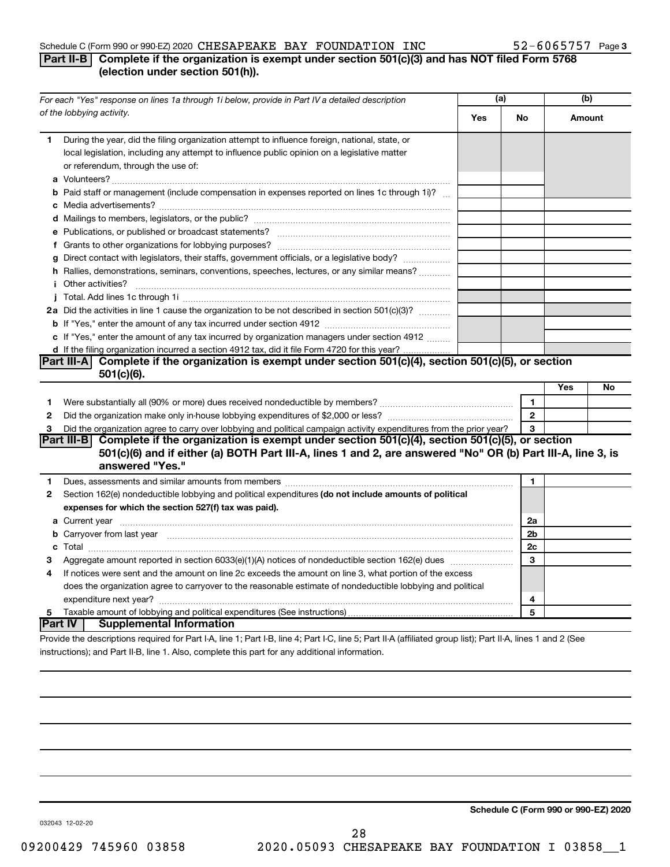#### Schedule C (Form 990 or 990-EZ) 2020  $\textbf{CHESAPERKE}$  BAY FOUNDATION INC  $52-6065757$  Page

### **Part II-B Complete if the organization is exempt under section 501(c)(3) and has NOT filed Form 5768 (election under section 501(h)).**

|              | For each "Yes" response on lines 1a through 1i below, provide in Part IV a detailed description                                                                                                                                            | (a) |                |     | (b)    |
|--------------|--------------------------------------------------------------------------------------------------------------------------------------------------------------------------------------------------------------------------------------------|-----|----------------|-----|--------|
|              | of the lobbying activity.                                                                                                                                                                                                                  | Yes | No             |     | Amount |
| 1            | During the year, did the filing organization attempt to influence foreign, national, state, or<br>local legislation, including any attempt to influence public opinion on a legislative matter<br>or referendum, through the use of:       |     |                |     |        |
|              | <b>b</b> Paid staff or management (include compensation in expenses reported on lines 1c through 1i)?                                                                                                                                      |     |                |     |        |
|              |                                                                                                                                                                                                                                            |     |                |     |        |
|              |                                                                                                                                                                                                                                            |     |                |     |        |
|              |                                                                                                                                                                                                                                            |     |                |     |        |
|              | g Direct contact with legislators, their staffs, government officials, or a legislative body?                                                                                                                                              |     |                |     |        |
|              | h Rallies, demonstrations, seminars, conventions, speeches, lectures, or any similar means?                                                                                                                                                |     |                |     |        |
|              | <i>i</i> Other activities?                                                                                                                                                                                                                 |     |                |     |        |
|              |                                                                                                                                                                                                                                            |     |                |     |        |
|              | 2a Did the activities in line 1 cause the organization to be not described in section 501(c)(3)?                                                                                                                                           |     |                |     |        |
|              |                                                                                                                                                                                                                                            |     |                |     |        |
|              | c If "Yes," enter the amount of any tax incurred by organization managers under section 4912                                                                                                                                               |     |                |     |        |
|              | d If the filing organization incurred a section 4912 tax, did it file Form 4720 for this year?                                                                                                                                             |     |                |     |        |
|              | Part III-A Complete if the organization is exempt under section $501(c)(4)$ , section $501(c)(5)$ , or section                                                                                                                             |     |                |     |        |
|              | $501(c)(6)$ .                                                                                                                                                                                                                              |     |                |     |        |
|              |                                                                                                                                                                                                                                            |     |                | Yes | No     |
| 1            |                                                                                                                                                                                                                                            |     | $\mathbf{1}$   |     |        |
| $\mathbf{2}$ |                                                                                                                                                                                                                                            |     | $\mathbf{2}$   |     |        |
| 3            | Did the organization agree to carry over lobbying and political campaign activity expenditures from the prior year?                                                                                                                        |     | 3              |     |        |
|              | Part III-B Complete if the organization is exempt under section 501(c)(4), section 501(c)(5), or section<br>501(c)(6) and if either (a) BOTH Part III-A, lines 1 and 2, are answered "No" OR (b) Part III-A, line 3, is<br>answered "Yes." |     |                |     |        |
| 1.           |                                                                                                                                                                                                                                            |     | 1              |     |        |
| $\mathbf{2}$ | Section 162(e) nondeductible lobbying and political expenditures (do not include amounts of political                                                                                                                                      |     |                |     |        |
|              | expenses for which the section 527(f) tax was paid).                                                                                                                                                                                       |     |                |     |        |
|              |                                                                                                                                                                                                                                            |     | 2a             |     |        |
|              | <b>b</b> Carryover from last year manufactured and content to the content of the content of the content of the content of the content of the content of the content of the content of the content of the content of the content of         |     | 2 <sub>b</sub> |     |        |
|              |                                                                                                                                                                                                                                            |     | 2c             |     |        |
| 3            |                                                                                                                                                                                                                                            |     | 3              |     |        |
| 4            | If notices were sent and the amount on line 2c exceeds the amount on line 3, what portion of the excess                                                                                                                                    |     |                |     |        |
|              | does the organization agree to carryover to the reasonable estimate of nondeductible lobbying and political                                                                                                                                |     |                |     |        |
|              |                                                                                                                                                                                                                                            |     | 4              |     |        |
| 5            |                                                                                                                                                                                                                                            |     | 5              |     |        |
|              | ∣Part IV ⊺<br><b>Supplemental Information</b>                                                                                                                                                                                              |     |                |     |        |
|              | Provide the descriptions required for Part I-A, line 1; Part I-B, line 4; Part I-C, line 5; Part II-A (affiliated group list); Part II-A, lines 1 and 2 (See                                                                               |     |                |     |        |

instructions); and Part II-B, line 1. Also, complete this part for any additional information.

**Schedule C (Form 990 or 990-EZ) 2020**

032043 12-02-20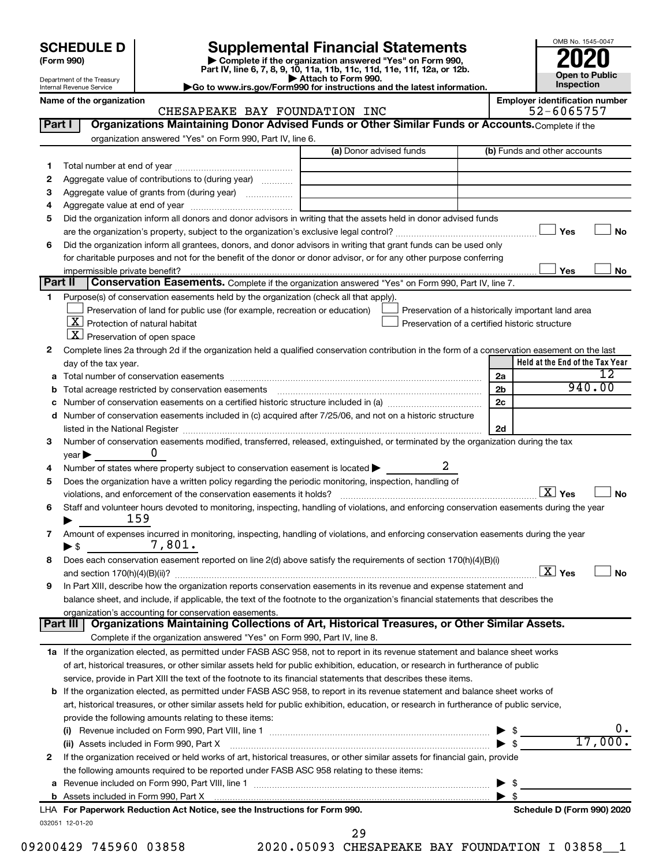| <b>SCHEDULE D</b> |  |  |
|-------------------|--|--|
|-------------------|--|--|

Department of the Treasury Internal Revenue Service

| (Form 990) |
|------------|
|            |

# **SCHEDULE D Supplemental Financial Statements**<br> **Form 990 2020**<br> **Part IV** line 6.7.8.9.10, 11a, 11b, 11d, 11d, 11d, 11d, 11d, 12a, 0r, 12b

**(Form 990) | Complete if the organization answered "Yes" on Form 990, Part IV, line 6, 7, 8, 9, 10, 11a, 11b, 11c, 11d, 11e, 11f, 12a, or 12b.**

**| Attach to Form 990. |Go to www.irs.gov/Form990 for instructions and the latest information.**



#### Name of the organization<br>CHESAPEAKE BAY FOUNDATION INC 52-6065757 CHESAPEAKE BAY FOUNDATION INC

| Part I  | Organizations Maintaining Donor Advised Funds or Other Similar Funds or Accounts. Complete if the                                                                                                                              |                         |   |                                                    |                                     |
|---------|--------------------------------------------------------------------------------------------------------------------------------------------------------------------------------------------------------------------------------|-------------------------|---|----------------------------------------------------|-------------------------------------|
|         | organization answered "Yes" on Form 990, Part IV, line 6.                                                                                                                                                                      | (a) Donor advised funds |   | (b) Funds and other accounts                       |                                     |
|         |                                                                                                                                                                                                                                |                         |   |                                                    |                                     |
| 1<br>2  | Aggregate value of contributions to (during year)                                                                                                                                                                              |                         |   |                                                    |                                     |
| 3       |                                                                                                                                                                                                                                |                         |   |                                                    |                                     |
| 4       |                                                                                                                                                                                                                                |                         |   |                                                    |                                     |
| 5       | Did the organization inform all donors and donor advisors in writing that the assets held in donor advised funds                                                                                                               |                         |   |                                                    |                                     |
|         |                                                                                                                                                                                                                                |                         |   |                                                    | Yes<br>No                           |
| 6       | Did the organization inform all grantees, donors, and donor advisors in writing that grant funds can be used only                                                                                                              |                         |   |                                                    |                                     |
|         | for charitable purposes and not for the benefit of the donor or donor advisor, or for any other purpose conferring                                                                                                             |                         |   |                                                    |                                     |
|         |                                                                                                                                                                                                                                |                         |   |                                                    | Yes<br>No                           |
| Part II | Conservation Easements. Complete if the organization answered "Yes" on Form 990, Part IV, line 7.                                                                                                                              |                         |   |                                                    |                                     |
| 1       | Purpose(s) of conservation easements held by the organization (check all that apply).                                                                                                                                          |                         |   |                                                    |                                     |
|         | Preservation of land for public use (for example, recreation or education)                                                                                                                                                     |                         |   | Preservation of a historically important land area |                                     |
|         | $X$ Protection of natural habitat                                                                                                                                                                                              |                         |   | Preservation of a certified historic structure     |                                     |
|         | $\lfloor x \rfloor$ Preservation of open space                                                                                                                                                                                 |                         |   |                                                    |                                     |
| 2       | Complete lines 2a through 2d if the organization held a qualified conservation contribution in the form of a conservation easement on the last                                                                                 |                         |   |                                                    |                                     |
|         | day of the tax year.                                                                                                                                                                                                           |                         |   |                                                    | Held at the End of the Tax Year     |
| а       |                                                                                                                                                                                                                                |                         |   | 2a                                                 | 12                                  |
| b       | Total acreage restricted by conservation easements [11] matter continuum matter of the stricture of the stricture of the stricture of the stricture of the stricture of the stricture of the stricture of the stricture of the |                         |   | 2 <sub>b</sub>                                     | 940.00                              |
|         |                                                                                                                                                                                                                                |                         |   | 2c                                                 |                                     |
|         | d Number of conservation easements included in (c) acquired after 7/25/06, and not on a historic structure                                                                                                                     |                         |   |                                                    |                                     |
|         |                                                                                                                                                                                                                                |                         |   | 2d                                                 |                                     |
| З       | Number of conservation easements modified, transferred, released, extinguished, or terminated by the organization during the tax                                                                                               |                         |   |                                                    |                                     |
|         | O<br>$year \blacktriangleright$                                                                                                                                                                                                |                         |   |                                                    |                                     |
| 4       | Number of states where property subject to conservation easement is located >                                                                                                                                                  |                         | 2 |                                                    |                                     |
| 5       | Does the organization have a written policy regarding the periodic monitoring, inspection, handling of                                                                                                                         |                         |   |                                                    |                                     |
|         | violations, and enforcement of the conservation easements it holds?                                                                                                                                                            |                         |   |                                                    | $\boxed{\text{X}}$ Yes<br><b>No</b> |
| 6       | Staff and volunteer hours devoted to monitoring, inspecting, handling of violations, and enforcing conservation easements during the year                                                                                      |                         |   |                                                    |                                     |
|         | 159                                                                                                                                                                                                                            |                         |   |                                                    |                                     |
| 7       | Amount of expenses incurred in monitoring, inspecting, handling of violations, and enforcing conservation easements during the year                                                                                            |                         |   |                                                    |                                     |
|         | 7,801.<br>$\blacktriangleright$ \$                                                                                                                                                                                             |                         |   |                                                    |                                     |
| 8       | Does each conservation easement reported on line 2(d) above satisfy the requirements of section 170(h)(4)(B)(i)                                                                                                                |                         |   |                                                    |                                     |
|         |                                                                                                                                                                                                                                |                         |   |                                                    | $\boxed{\text{X}}$ Yes<br><b>No</b> |
| 9       | In Part XIII, describe how the organization reports conservation easements in its revenue and expense statement and                                                                                                            |                         |   |                                                    |                                     |
|         | balance sheet, and include, if applicable, the text of the footnote to the organization's financial statements that describes the                                                                                              |                         |   |                                                    |                                     |
|         | organization's accounting for conservation easements.<br>Organizations Maintaining Collections of Art, Historical Treasures, or Other Similar Assets.<br>Part III                                                              |                         |   |                                                    |                                     |
|         | Complete if the organization answered "Yes" on Form 990, Part IV, line 8.                                                                                                                                                      |                         |   |                                                    |                                     |
|         | 1a If the organization elected, as permitted under FASB ASC 958, not to report in its revenue statement and balance sheet works                                                                                                |                         |   |                                                    |                                     |
|         | of art, historical treasures, or other similar assets held for public exhibition, education, or research in furtherance of public                                                                                              |                         |   |                                                    |                                     |
|         | service, provide in Part XIII the text of the footnote to its financial statements that describes these items.                                                                                                                 |                         |   |                                                    |                                     |
|         | <b>b</b> If the organization elected, as permitted under FASB ASC 958, to report in its revenue statement and balance sheet works of                                                                                           |                         |   |                                                    |                                     |
|         | art, historical treasures, or other similar assets held for public exhibition, education, or research in furtherance of public service,                                                                                        |                         |   |                                                    |                                     |
|         | provide the following amounts relating to these items:                                                                                                                                                                         |                         |   |                                                    |                                     |
|         |                                                                                                                                                                                                                                |                         |   |                                                    | υ.                                  |
|         | (ii) Assets included in Form 990, Part X                                                                                                                                                                                       |                         |   | \$<br>$\blacktriangleright$ \$                     | 17,000.                             |
| 2       | If the organization received or held works of art, historical treasures, or other similar assets for financial gain, provide                                                                                                   |                         |   |                                                    |                                     |
|         | the following amounts required to be reported under FASB ASC 958 relating to these items:                                                                                                                                      |                         |   |                                                    |                                     |
| а       |                                                                                                                                                                                                                                |                         |   | \$<br>▶                                            |                                     |
|         |                                                                                                                                                                                                                                |                         |   | $\blacktriangleright$ s                            |                                     |
|         | LHA For Paperwork Reduction Act Notice, see the Instructions for Form 990.                                                                                                                                                     |                         |   |                                                    | Schedule D (Form 990) 2020          |
|         | 032051 12-01-20                                                                                                                                                                                                                |                         |   |                                                    |                                     |
|         |                                                                                                                                                                                                                                | 29                      |   |                                                    |                                     |

09200429 745960 03858 2020.05093 CHESAPEAKE BAY FOUNDATION I 03858 1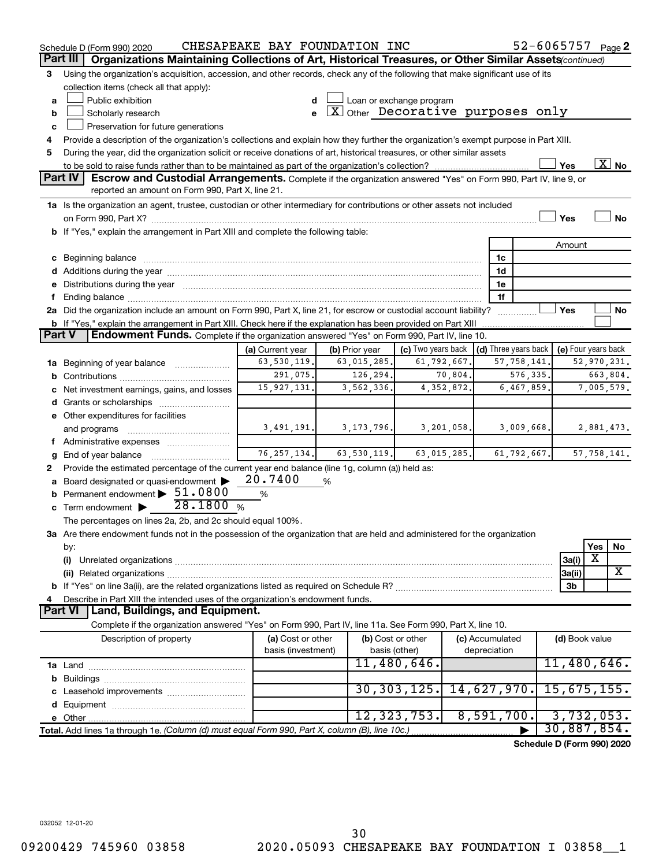|   | Schedule D (Form 990) 2020                                                                                                                                                                                                           | CHESAPEAKE BAY FOUNDATION INC |                |           |                                                   |             |                      |               | 52-6065757                 |               | Page 2                   |
|---|--------------------------------------------------------------------------------------------------------------------------------------------------------------------------------------------------------------------------------------|-------------------------------|----------------|-----------|---------------------------------------------------|-------------|----------------------|---------------|----------------------------|---------------|--------------------------|
|   | Organizations Maintaining Collections of Art, Historical Treasures, or Other Similar Assets (continued)<br>Part III                                                                                                                  |                               |                |           |                                                   |             |                      |               |                            |               |                          |
| 3 | Using the organization's acquisition, accession, and other records, check any of the following that make significant use of its                                                                                                      |                               |                |           |                                                   |             |                      |               |                            |               |                          |
|   | collection items (check all that apply):                                                                                                                                                                                             |                               |                |           |                                                   |             |                      |               |                            |               |                          |
| a | Public exhibition                                                                                                                                                                                                                    |                               |                |           | Loan or exchange program                          |             |                      |               |                            |               |                          |
| b | Scholarly research                                                                                                                                                                                                                   | e                             |                |           | $\boxed{\text{X}}$ Other Decorative purposes only |             |                      |               |                            |               |                          |
| c | Preservation for future generations                                                                                                                                                                                                  |                               |                |           |                                                   |             |                      |               |                            |               |                          |
| 4 | Provide a description of the organization's collections and explain how they further the organization's exempt purpose in Part XIII.                                                                                                 |                               |                |           |                                                   |             |                      |               |                            |               |                          |
| 5 | During the year, did the organization solicit or receive donations of art, historical treasures, or other similar assets                                                                                                             |                               |                |           |                                                   |             |                      |               |                            |               |                          |
|   |                                                                                                                                                                                                                                      |                               |                |           |                                                   |             |                      |               | Yes                        |               | $\overline{\text{X}}$ No |
|   | Part IV<br><b>Escrow and Custodial Arrangements.</b> Complete if the organization answered "Yes" on Form 990, Part IV, line 9, or                                                                                                    |                               |                |           |                                                   |             |                      |               |                            |               |                          |
|   | reported an amount on Form 990, Part X, line 21.                                                                                                                                                                                     |                               |                |           |                                                   |             |                      |               |                            |               |                          |
|   | 1a Is the organization an agent, trustee, custodian or other intermediary for contributions or other assets not included                                                                                                             |                               |                |           |                                                   |             |                      |               |                            |               |                          |
|   |                                                                                                                                                                                                                                      |                               |                |           |                                                   |             |                      |               | Yes                        |               | <b>No</b>                |
|   | b If "Yes," explain the arrangement in Part XIII and complete the following table:                                                                                                                                                   |                               |                |           |                                                   |             |                      |               |                            |               |                          |
|   |                                                                                                                                                                                                                                      |                               |                |           |                                                   |             |                      |               | Amount                     |               |                          |
|   | c Beginning balance <b>contract to the contract of the contract of the contract of the contract of the contract of the contract of the contract of the contract of the contract of the contract of the contract of the contract </b> |                               |                |           |                                                   |             | 1c                   |               |                            |               |                          |
|   | d Additions during the year manufactured and an account of the year manufactured and account of the year manufactured and account of the year manufactured and account of the year manufactured and account of the year manufa       |                               |                |           |                                                   |             | 1d                   |               |                            |               |                          |
|   | e Distributions during the year manufactured and continuum and contact the year manufactured and contact the year manufactured and contact the year manufactured and contact the year manufactured and contact the state of th       |                               |                |           |                                                   |             | 1e                   |               |                            |               |                          |
| f |                                                                                                                                                                                                                                      |                               |                |           |                                                   |             | 1f                   |               |                            |               |                          |
|   | 2a Did the organization include an amount on Form 990, Part X, line 21, for escrow or custodial account liability?                                                                                                                   |                               |                |           |                                                   |             |                      |               | Yes                        |               | No                       |
|   | b If "Yes," explain the arrangement in Part XIII. Check here if the explanation has been provided on Part XIII                                                                                                                       |                               |                |           |                                                   |             |                      |               |                            |               |                          |
|   | Endowment Funds. Complete if the organization answered "Yes" on Form 990, Part IV, line 10.<br><b>Part V</b>                                                                                                                         |                               |                |           |                                                   |             |                      |               |                            |               |                          |
|   |                                                                                                                                                                                                                                      | (a) Current year              | (b) Prior year |           | (c) Two years back                                |             | (d) Three years back |               | (e) Four years back        |               |                          |
|   | 1a Beginning of year balance                                                                                                                                                                                                         | 63,530,119.                   | 63,015,285.    |           |                                                   | 61,792,667. |                      | 57, 758, 141. |                            | 52,970,231.   |                          |
| b |                                                                                                                                                                                                                                      | 291,075.                      |                | 126, 294. |                                                   | 70,804.     |                      | 576,335.      |                            | 663,804.      |                          |
|   | c Net investment earnings, gains, and losses                                                                                                                                                                                         | 15, 927, 131.                 | 3,562,336.     |           |                                                   | 4,352,872.  |                      | 6,467,859.    |                            | 7,005,579.    |                          |
|   |                                                                                                                                                                                                                                      |                               |                |           |                                                   |             |                      |               |                            |               |                          |
|   | e Other expenditures for facilities                                                                                                                                                                                                  |                               |                |           |                                                   |             |                      |               |                            |               |                          |
|   | and programs                                                                                                                                                                                                                         | 3,491,191.                    | 3, 173, 796.   |           |                                                   | 3,201,058.  |                      | 3,009,668.    |                            | 2,881,473.    |                          |
|   |                                                                                                                                                                                                                                      |                               |                |           |                                                   |             |                      |               |                            |               |                          |
| q |                                                                                                                                                                                                                                      | 76, 257, 134.                 | 63,530,119.    |           |                                                   | 63,015,285. |                      | 61,792,667.   |                            | 57, 758, 141. |                          |
| 2 | Provide the estimated percentage of the current year end balance (line 1g, column (a)) held as:                                                                                                                                      |                               |                |           |                                                   |             |                      |               |                            |               |                          |
| a | Board designated or quasi-endowment                                                                                                                                                                                                  | 20.7400                       | %              |           |                                                   |             |                      |               |                            |               |                          |
|   | <b>b</b> Permanent endowment > 51.0800                                                                                                                                                                                               | $\%$                          |                |           |                                                   |             |                      |               |                            |               |                          |
| c | Term endowment $\triangleright$ 28.1800 %                                                                                                                                                                                            |                               |                |           |                                                   |             |                      |               |                            |               |                          |
|   | The percentages on lines 2a, 2b, and 2c should equal 100%.                                                                                                                                                                           |                               |                |           |                                                   |             |                      |               |                            |               |                          |
|   | 3a Are there endowment funds not in the possession of the organization that are held and administered for the organization                                                                                                           |                               |                |           |                                                   |             |                      |               |                            |               |                          |
|   |                                                                                                                                                                                                                                      |                               |                |           |                                                   |             |                      |               |                            | Yes           |                          |
|   | by:                                                                                                                                                                                                                                  |                               |                |           |                                                   |             |                      |               |                            | X             | No                       |
|   | (i)                                                                                                                                                                                                                                  |                               |                |           |                                                   |             |                      |               | 3a(i)                      |               | X                        |
|   |                                                                                                                                                                                                                                      |                               |                |           |                                                   |             |                      |               | 3a(ii)                     |               |                          |
|   |                                                                                                                                                                                                                                      |                               |                |           |                                                   |             |                      |               | 3b                         |               |                          |
| 4 | Describe in Part XIII the intended uses of the organization's endowment funds.<br>Part VI   Land, Buildings, and Equipment.                                                                                                          |                               |                |           |                                                   |             |                      |               |                            |               |                          |
|   |                                                                                                                                                                                                                                      |                               |                |           |                                                   |             |                      |               |                            |               |                          |
|   | Complete if the organization answered "Yes" on Form 990, Part IV, line 11a. See Form 990, Part X, line 10.                                                                                                                           |                               |                |           |                                                   |             |                      |               |                            |               |                          |
|   | Description of property                                                                                                                                                                                                              | (a) Cost or other             |                |           | (b) Cost or other                                 |             | (c) Accumulated      |               | (d) Book value             |               |                          |
|   |                                                                                                                                                                                                                                      | basis (investment)            |                |           | basis (other)                                     |             | depreciation         |               |                            |               |                          |
|   |                                                                                                                                                                                                                                      |                               |                |           | 11,480,646.                                       |             |                      |               | 11,480,646.                |               |                          |
| b |                                                                                                                                                                                                                                      |                               |                |           |                                                   |             |                      |               |                            |               |                          |
| с | Leasehold improvements                                                                                                                                                                                                               |                               |                |           | 30, 303, 125.                                     |             | 14,627,970.          |               | 15,675,155.                |               |                          |
| d |                                                                                                                                                                                                                                      |                               |                |           |                                                   |             |                      |               |                            |               |                          |
|   |                                                                                                                                                                                                                                      |                               |                |           | 12, 323, 753.                                     |             | 8,591,700.           |               | 3,732,053.                 |               |                          |
|   | Total. Add lines 1a through 1e. (Column (d) must equal Form 990, Part X, column (B), line 10c.)                                                                                                                                      |                               |                |           |                                                   |             |                      |               | 30,887,854.                |               |                          |
|   |                                                                                                                                                                                                                                      |                               |                |           |                                                   |             |                      |               | Schedule D (Form 990) 2020 |               |                          |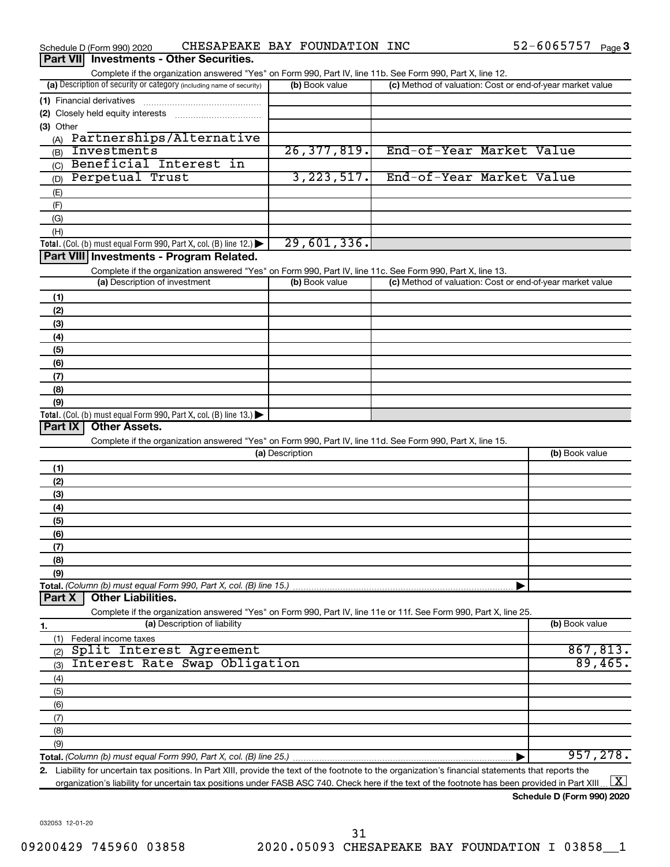|                  | Schedule D (Form 990) 2020    | CHESAPEAKE BAY FOUNDATION INC                                                                                                                                     |                 |                |                          |  | 52-6065757 Page 3                                         |          |
|------------------|-------------------------------|-------------------------------------------------------------------------------------------------------------------------------------------------------------------|-----------------|----------------|--------------------------|--|-----------------------------------------------------------|----------|
| <b>Part VIII</b> |                               | <b>Investments - Other Securities.</b>                                                                                                                            |                 |                |                          |  |                                                           |          |
|                  |                               | Complete if the organization answered "Yes" on Form 990, Part IV, line 11b. See Form 990, Part X, line 12.                                                        |                 |                |                          |  |                                                           |          |
|                  |                               | (a) Description of security or category (including name of security)                                                                                              |                 | (b) Book value |                          |  | (c) Method of valuation: Cost or end-of-year market value |          |
|                  | (1) Financial derivatives     |                                                                                                                                                                   |                 |                |                          |  |                                                           |          |
|                  |                               |                                                                                                                                                                   |                 |                |                          |  |                                                           |          |
| (3) Other        |                               |                                                                                                                                                                   |                 |                |                          |  |                                                           |          |
| (A)              |                               | Partnerships/Alternative                                                                                                                                          |                 |                |                          |  |                                                           |          |
| (B)              | Investments                   |                                                                                                                                                                   |                 | 26, 377, 819.  | End-of-Year Market Value |  |                                                           |          |
| (C)              | Beneficial Interest in        |                                                                                                                                                                   |                 |                |                          |  |                                                           |          |
| (D)              | Perpetual Trust               |                                                                                                                                                                   |                 | 3, 223, 517.   | End-of-Year Market Value |  |                                                           |          |
| (E)              |                               |                                                                                                                                                                   |                 |                |                          |  |                                                           |          |
| (F)              |                               |                                                                                                                                                                   |                 |                |                          |  |                                                           |          |
| (G)              |                               |                                                                                                                                                                   |                 |                |                          |  |                                                           |          |
| (H)              |                               |                                                                                                                                                                   |                 |                |                          |  |                                                           |          |
|                  |                               | <b>Total.</b> (Col. (b) must equal Form 990, Part X, col. (B) line 12.) $\blacktriangleright$                                                                     |                 | 29,601,336.    |                          |  |                                                           |          |
|                  |                               | Part VIII Investments - Program Related.                                                                                                                          |                 |                |                          |  |                                                           |          |
|                  |                               | Complete if the organization answered "Yes" on Form 990, Part IV, line 11c. See Form 990, Part X, line 13.                                                        |                 |                |                          |  |                                                           |          |
|                  | (a) Description of investment |                                                                                                                                                                   |                 | (b) Book value |                          |  | (c) Method of valuation: Cost or end-of-year market value |          |
| (1)              |                               |                                                                                                                                                                   |                 |                |                          |  |                                                           |          |
| (2)              |                               |                                                                                                                                                                   |                 |                |                          |  |                                                           |          |
| (3)              |                               |                                                                                                                                                                   |                 |                |                          |  |                                                           |          |
| (4)              |                               |                                                                                                                                                                   |                 |                |                          |  |                                                           |          |
| (5)              |                               |                                                                                                                                                                   |                 |                |                          |  |                                                           |          |
| (6)              |                               |                                                                                                                                                                   |                 |                |                          |  |                                                           |          |
| (7)              |                               |                                                                                                                                                                   |                 |                |                          |  |                                                           |          |
| (8)              |                               |                                                                                                                                                                   |                 |                |                          |  |                                                           |          |
| (9)              |                               |                                                                                                                                                                   |                 |                |                          |  |                                                           |          |
| <b>Part IX</b>   | <b>Other Assets.</b>          | <b>Total.</b> (Col. (b) must equal Form 990, Part X, col. (B) line 13.) $\blacktriangleright$                                                                     |                 |                |                          |  |                                                           |          |
|                  |                               |                                                                                                                                                                   |                 |                |                          |  |                                                           |          |
|                  |                               | Complete if the organization answered "Yes" on Form 990, Part IV, line 11d. See Form 990, Part X, line 15.                                                        | (a) Description |                |                          |  | (b) Book value                                            |          |
|                  |                               |                                                                                                                                                                   |                 |                |                          |  |                                                           |          |
| (1)              |                               |                                                                                                                                                                   |                 |                |                          |  |                                                           |          |
| (2)              |                               |                                                                                                                                                                   |                 |                |                          |  |                                                           |          |
| (3)              |                               |                                                                                                                                                                   |                 |                |                          |  |                                                           |          |
| (4)              |                               |                                                                                                                                                                   |                 |                |                          |  |                                                           |          |
| (5)              |                               |                                                                                                                                                                   |                 |                |                          |  |                                                           |          |
| (6)<br>(7)       |                               |                                                                                                                                                                   |                 |                |                          |  |                                                           |          |
| (8)              |                               |                                                                                                                                                                   |                 |                |                          |  |                                                           |          |
| (9)              |                               |                                                                                                                                                                   |                 |                |                          |  |                                                           |          |
|                  |                               | Total. (Column (b) must equal Form 990, Part X, col. (B) line 15.)                                                                                                |                 |                |                          |  |                                                           |          |
| <b>Part X</b>    | <b>Other Liabilities.</b>     |                                                                                                                                                                   |                 |                |                          |  |                                                           |          |
|                  |                               | Complete if the organization answered "Yes" on Form 990, Part IV, line 11e or 11f. See Form 990, Part X, line 25.                                                 |                 |                |                          |  |                                                           |          |
| 1.               |                               | (a) Description of liability                                                                                                                                      |                 |                |                          |  | (b) Book value                                            |          |
| (1)              | Federal income taxes          |                                                                                                                                                                   |                 |                |                          |  |                                                           |          |
| (2)              |                               | Split Interest Agreement                                                                                                                                          |                 |                |                          |  |                                                           | 867,813. |
| (3)              |                               | Interest Rate Swap Obligation                                                                                                                                     |                 |                |                          |  |                                                           | 89,465.  |
| (4)              |                               |                                                                                                                                                                   |                 |                |                          |  |                                                           |          |
| (5)              |                               |                                                                                                                                                                   |                 |                |                          |  |                                                           |          |
| (6)              |                               |                                                                                                                                                                   |                 |                |                          |  |                                                           |          |
| (7)              |                               |                                                                                                                                                                   |                 |                |                          |  |                                                           |          |
| (8)              |                               |                                                                                                                                                                   |                 |                |                          |  |                                                           |          |
| (9)              |                               |                                                                                                                                                                   |                 |                |                          |  |                                                           |          |
|                  |                               |                                                                                                                                                                   |                 |                |                          |  |                                                           | 957,278. |
|                  |                               | 2. Liability for uncertain tax positions. In Part XIII, provide the text of the footnote to the organization's financial statements that reports the              |                 |                |                          |  |                                                           |          |
|                  |                               | organization's liability for uncertain tax positions under FASB ASC 740. Check here if the text of the footnote has been provided in Part XIII $\boxed{\text{X}}$ |                 |                |                          |  |                                                           |          |

**Schedule D (Form 990) 2020**

032053 12-01-20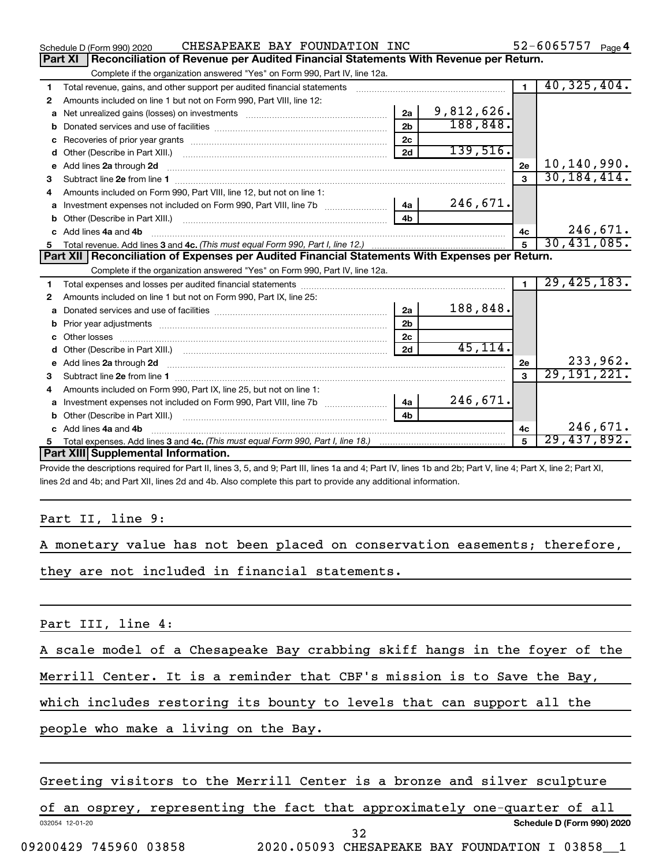|   | CHESAPEAKE BAY FOUNDATION INC<br>Schedule D (Form 990) 2020                                                                                                                                                                              |            |                | 52-6065757 Page 4 |
|---|------------------------------------------------------------------------------------------------------------------------------------------------------------------------------------------------------------------------------------------|------------|----------------|-------------------|
|   | Reconciliation of Revenue per Audited Financial Statements With Revenue per Return.<br><b>Part XI</b>                                                                                                                                    |            |                |                   |
|   | Complete if the organization answered "Yes" on Form 990, Part IV, line 12a.                                                                                                                                                              |            |                |                   |
| 1 | Total revenue, gains, and other support per audited financial statements [[[[[[[[[[[[[[[[[[[[[[]]]]]]]]]]]]]]                                                                                                                            |            | $\blacksquare$ | 40, 325, 404.     |
| 2 | Amounts included on line 1 but not on Form 990, Part VIII, line 12:                                                                                                                                                                      |            |                |                   |
| a | 2a<br>Net unrealized gains (losses) on investments [111] Met unrealized gains (losses) on investments [11] Metamanic                                                                                                                     | 9,812,626. |                |                   |
|   | 2 <sub>b</sub>                                                                                                                                                                                                                           | 188,848.   |                |                   |
| c | 2c                                                                                                                                                                                                                                       |            |                |                   |
| d | 2d                                                                                                                                                                                                                                       | 139,516.   |                |                   |
|   | e Add lines 2a through 2d <b>[10]</b> [10] <b>All and Property Contract 20 and 20</b> and 20 and 20 and 20 and 20 and 20 and 20 and 20 and 20 and 20 and 20 and 20 and 20 and 20 and 20 and 20 and 20 and 20 and 20 and 20 and 20 and 20 |            | 2e             | 10,140,990.       |
| 3 |                                                                                                                                                                                                                                          |            | 3              | 30, 184, 414.     |
| 4 | Amounts included on Form 990, Part VIII, line 12, but not on line 1:                                                                                                                                                                     |            |                |                   |
|   | 4a                                                                                                                                                                                                                                       | 246,671.   |                |                   |
|   | 4 <sub>h</sub>                                                                                                                                                                                                                           |            |                |                   |
|   | c Add lines 4a and 4b                                                                                                                                                                                                                    |            | 4c             | 246,671.          |
|   |                                                                                                                                                                                                                                          |            | 5              | 30,431,085.       |
|   |                                                                                                                                                                                                                                          |            |                |                   |
|   | Part XII   Reconciliation of Expenses per Audited Financial Statements With Expenses per Return.                                                                                                                                         |            |                |                   |
|   | Complete if the organization answered "Yes" on Form 990, Part IV, line 12a.                                                                                                                                                              |            |                |                   |
| 1 |                                                                                                                                                                                                                                          |            | $\blacksquare$ | 29,425,183.       |
| 2 | Amounts included on line 1 but not on Form 990, Part IX, line 25:                                                                                                                                                                        |            |                |                   |
| a | 2a                                                                                                                                                                                                                                       | 188,848.   |                |                   |
| b | 2 <sub>b</sub>                                                                                                                                                                                                                           |            |                |                   |
|   | 2 <sub>c</sub>                                                                                                                                                                                                                           |            |                |                   |
|   | 2d                                                                                                                                                                                                                                       | 45, 114.   |                |                   |
|   | e Add lines 2a through 2d <b>contained a contract and a contract a</b> and a contract a contract a contract a contract a contract a contract a contract a contract a contract a contract a contract a contract a contract a contrac      |            | 2e             | 233,962.          |
| з |                                                                                                                                                                                                                                          |            | $\mathbf{a}$   | 29, 191, 221.     |
| 4 | Amounts included on Form 990, Part IX, line 25, but not on line 1:                                                                                                                                                                       |            |                |                   |
| a | 4a<br>Investment expenses not included on Form 990, Part VIII, line 7b                                                                                                                                                                   | 246,671.   |                |                   |
| b | 4 <sub>h</sub>                                                                                                                                                                                                                           |            |                |                   |
|   | c Add lines 4a and 4b                                                                                                                                                                                                                    |            | 4c             | 246,671.          |
| 5 | Part XIII Supplemental Information.                                                                                                                                                                                                      |            | 5              | 29,437,892.       |

Provide the descriptions required for Part II, lines 3, 5, and 9; Part III, lines 1a and 4; Part IV, lines 1b and 2b; Part V, line 4; Part X, line 2; Part XI, lines 2d and 4b; and Part XII, lines 2d and 4b. Also complete this part to provide any additional information.

#### Part II, line 9:

| A monetary value has not been placed on conservation easements; therefore, |  |
|----------------------------------------------------------------------------|--|
|----------------------------------------------------------------------------|--|

they are not included in financial statements.

Part III, line 4:

A scale model of a Chesapeake Bay crabbing skiff hangs in the foyer of the

Merrill Center. It is a reminder that CBF's mission is to Save the Bay,

which includes restoring its bounty to levels that can support all the

people who make a living on the Bay.

Greeting visitors to the Merrill Center is a bronze and silver sculpture

032054 12-01-20 **Schedule D (Form 990) 2020** of an osprey, representing the fact that approximately one-quarter of all 32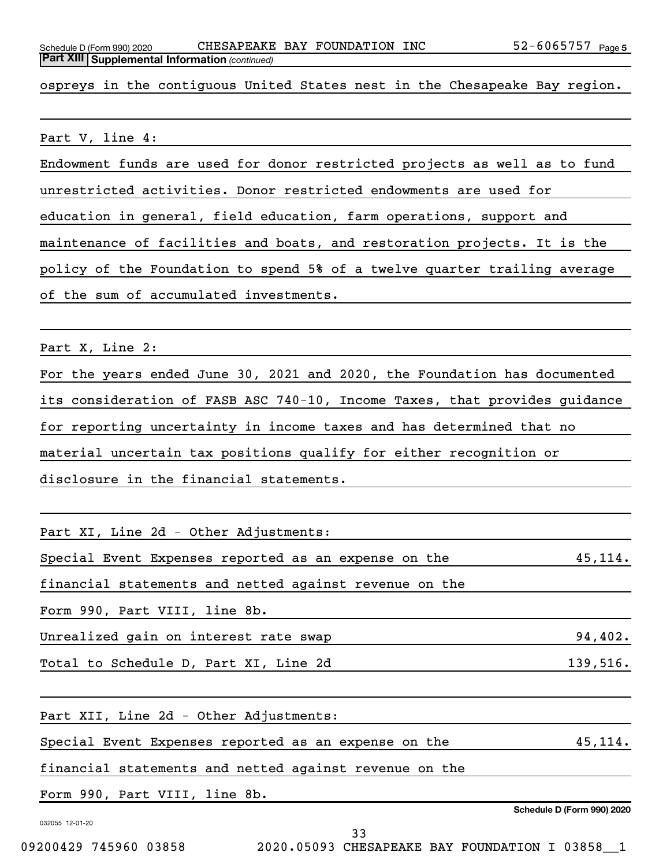ospreys in the contiguous United States nest in the Chesapeake Bay region.

Part V, line 4:

Endowment funds are used for donor restricted projects as well as to fund

unrestricted activities. Donor restricted endowments are used for

education in general, field education, farm operations, support and

maintenance of facilities and boats, and restoration projects. It is the

policy of the Foundation to spend 5% of a twelve quarter trailing average

of the sum of accumulated investments.

Part X, Line 2:

For the years ended June 30, 2021 and 2020, the Foundation has documented its consideration of FASB ASC 740-10, Income Taxes, that provides guidance for reporting uncertainty in income taxes and has determined that no material uncertain tax positions qualify for either recognition or disclosure in the financial statements.

Part XI, Line 2d - Other Adjustments:

Special Event Expenses reported as an expense on the  $45,114$ .

financial statements and netted against revenue on the

Form 990, Part VIII, line 8b.

Unrealized gain on interest rate swap  $94,402$ .

Total to Schedule D, Part XI, Line 2d 139,516.

Part XII, Line 2d - Other Adjustments:

Special Event Expenses reported as an expense on the 45,114.

financial statements and netted against revenue on the

Form 990, Part VIII, line 8b.

032055 12-01-20

**Schedule D (Form 990) 2020**

33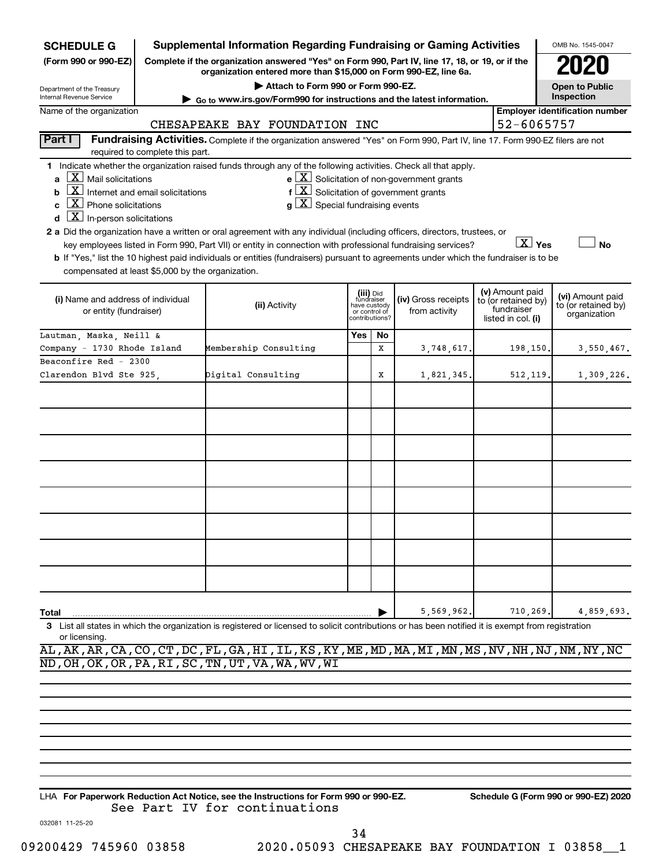| <b>SCHEDULE G</b>                                                                                                                                                                                                                                                           | <b>Supplemental Information Regarding Fundraising or Gaming Activities</b>                                                                                                                                                                                                                                                                                                                                                                                                                                                                    |     |                                                                            |                                                                                                                        |                                                                            | OMB No. 1545-0047                                       |  |  |  |  |
|-----------------------------------------------------------------------------------------------------------------------------------------------------------------------------------------------------------------------------------------------------------------------------|-----------------------------------------------------------------------------------------------------------------------------------------------------------------------------------------------------------------------------------------------------------------------------------------------------------------------------------------------------------------------------------------------------------------------------------------------------------------------------------------------------------------------------------------------|-----|----------------------------------------------------------------------------|------------------------------------------------------------------------------------------------------------------------|----------------------------------------------------------------------------|---------------------------------------------------------|--|--|--|--|
| (Form 990 or 990-EZ)                                                                                                                                                                                                                                                        | Complete if the organization answered "Yes" on Form 990, Part IV, line 17, 18, or 19, or if the<br>organization entered more than \$15,000 on Form 990-EZ, line 6a.                                                                                                                                                                                                                                                                                                                                                                           |     |                                                                            |                                                                                                                        |                                                                            |                                                         |  |  |  |  |
| Department of the Treasury                                                                                                                                                                                                                                                  | Attach to Form 990 or Form 990-EZ.                                                                                                                                                                                                                                                                                                                                                                                                                                                                                                            |     |                                                                            |                                                                                                                        |                                                                            | <b>Open to Public</b>                                   |  |  |  |  |
| Internal Revenue Service                                                                                                                                                                                                                                                    | Go to www.irs.gov/Form990 for instructions and the latest information.                                                                                                                                                                                                                                                                                                                                                                                                                                                                        |     |                                                                            |                                                                                                                        |                                                                            | Inspection                                              |  |  |  |  |
| Name of the organization                                                                                                                                                                                                                                                    | <b>Employer identification number</b>                                                                                                                                                                                                                                                                                                                                                                                                                                                                                                         |     |                                                                            |                                                                                                                        |                                                                            |                                                         |  |  |  |  |
|                                                                                                                                                                                                                                                                             | CHESAPEAKE BAY FOUNDATION INC                                                                                                                                                                                                                                                                                                                                                                                                                                                                                                                 |     |                                                                            |                                                                                                                        | 52-6065757                                                                 |                                                         |  |  |  |  |
| Part I<br>required to complete this part.                                                                                                                                                                                                                                   | Fundraising Activities. Complete if the organization answered "Yes" on Form 990, Part IV, line 17. Form 990-EZ filers are not                                                                                                                                                                                                                                                                                                                                                                                                                 |     |                                                                            |                                                                                                                        |                                                                            |                                                         |  |  |  |  |
| $\lfloor \mathbf{X} \rfloor$ Mail solicitations<br>a<br>$\boxed{\text{X}}$ Internet and email solicitations<br>b<br>$\boxed{\textbf{X}}$ Phone solicitations<br>C<br>$\boxed{\textbf{X}}$ In-person solicitations<br>d<br>compensated at least \$5,000 by the organization. | 1 Indicate whether the organization raised funds through any of the following activities. Check all that apply.<br>$g\mid X$ Special fundraising events<br>2 a Did the organization have a written or oral agreement with any individual (including officers, directors, trustees, or<br>key employees listed in Form 990, Part VII) or entity in connection with professional fundraising services?<br>b If "Yes," list the 10 highest paid individuals or entities (fundraisers) pursuant to agreements under which the fundraiser is to be |     |                                                                            | $e$ $\boxed{X}$ Solicitation of non-government grants<br>$f\left[\frac{X}{X}\right]$ Solicitation of government grants | $X$ Yes                                                                    | <b>No</b>                                               |  |  |  |  |
| (i) Name and address of individual<br>or entity (fundraiser)                                                                                                                                                                                                                | (ii) Activity                                                                                                                                                                                                                                                                                                                                                                                                                                                                                                                                 |     | (iii) Did<br>fundraiser<br>have custody<br>or control of<br>contributions? | (iv) Gross receipts<br>from activity                                                                                   | (v) Amount paid<br>to (or retained by)<br>fundraiser<br>listed in col. (i) | (vi) Amount paid<br>to (or retained by)<br>organization |  |  |  |  |
| Lautman, Maska, Neill &                                                                                                                                                                                                                                                     |                                                                                                                                                                                                                                                                                                                                                                                                                                                                                                                                               | Yes | No                                                                         |                                                                                                                        |                                                                            |                                                         |  |  |  |  |
| Company - 1730 Rhode Island                                                                                                                                                                                                                                                 | Membership Consulting                                                                                                                                                                                                                                                                                                                                                                                                                                                                                                                         |     | x                                                                          | 3,748,617.                                                                                                             | 198,150.                                                                   | 3,550,467.                                              |  |  |  |  |
| Beaconfire Red - 2300                                                                                                                                                                                                                                                       |                                                                                                                                                                                                                                                                                                                                                                                                                                                                                                                                               |     |                                                                            |                                                                                                                        |                                                                            |                                                         |  |  |  |  |
| Clarendon Blvd Ste 925,                                                                                                                                                                                                                                                     | Digital Consulting                                                                                                                                                                                                                                                                                                                                                                                                                                                                                                                            |     | x                                                                          | 1,821,345.                                                                                                             | 512,119.                                                                   | 1,309,226.                                              |  |  |  |  |
|                                                                                                                                                                                                                                                                             |                                                                                                                                                                                                                                                                                                                                                                                                                                                                                                                                               |     |                                                                            |                                                                                                                        |                                                                            |                                                         |  |  |  |  |
|                                                                                                                                                                                                                                                                             |                                                                                                                                                                                                                                                                                                                                                                                                                                                                                                                                               |     |                                                                            |                                                                                                                        |                                                                            |                                                         |  |  |  |  |
|                                                                                                                                                                                                                                                                             |                                                                                                                                                                                                                                                                                                                                                                                                                                                                                                                                               |     |                                                                            |                                                                                                                        |                                                                            |                                                         |  |  |  |  |
|                                                                                                                                                                                                                                                                             |                                                                                                                                                                                                                                                                                                                                                                                                                                                                                                                                               |     |                                                                            |                                                                                                                        |                                                                            |                                                         |  |  |  |  |
|                                                                                                                                                                                                                                                                             |                                                                                                                                                                                                                                                                                                                                                                                                                                                                                                                                               |     |                                                                            |                                                                                                                        |                                                                            |                                                         |  |  |  |  |
|                                                                                                                                                                                                                                                                             |                                                                                                                                                                                                                                                                                                                                                                                                                                                                                                                                               |     |                                                                            |                                                                                                                        |                                                                            |                                                         |  |  |  |  |
|                                                                                                                                                                                                                                                                             |                                                                                                                                                                                                                                                                                                                                                                                                                                                                                                                                               |     |                                                                            |                                                                                                                        |                                                                            |                                                         |  |  |  |  |
|                                                                                                                                                                                                                                                                             |                                                                                                                                                                                                                                                                                                                                                                                                                                                                                                                                               |     |                                                                            |                                                                                                                        |                                                                            |                                                         |  |  |  |  |
|                                                                                                                                                                                                                                                                             |                                                                                                                                                                                                                                                                                                                                                                                                                                                                                                                                               |     |                                                                            |                                                                                                                        |                                                                            |                                                         |  |  |  |  |
|                                                                                                                                                                                                                                                                             |                                                                                                                                                                                                                                                                                                                                                                                                                                                                                                                                               |     |                                                                            |                                                                                                                        |                                                                            |                                                         |  |  |  |  |
|                                                                                                                                                                                                                                                                             |                                                                                                                                                                                                                                                                                                                                                                                                                                                                                                                                               |     |                                                                            |                                                                                                                        |                                                                            |                                                         |  |  |  |  |
|                                                                                                                                                                                                                                                                             |                                                                                                                                                                                                                                                                                                                                                                                                                                                                                                                                               |     |                                                                            |                                                                                                                        |                                                                            |                                                         |  |  |  |  |
|                                                                                                                                                                                                                                                                             |                                                                                                                                                                                                                                                                                                                                                                                                                                                                                                                                               |     |                                                                            |                                                                                                                        |                                                                            |                                                         |  |  |  |  |
|                                                                                                                                                                                                                                                                             |                                                                                                                                                                                                                                                                                                                                                                                                                                                                                                                                               |     |                                                                            |                                                                                                                        |                                                                            |                                                         |  |  |  |  |
| Total                                                                                                                                                                                                                                                                       |                                                                                                                                                                                                                                                                                                                                                                                                                                                                                                                                               |     |                                                                            | 5,569,962.                                                                                                             | 710,269.                                                                   | 4,859,693.                                              |  |  |  |  |
| з<br>or licensing.                                                                                                                                                                                                                                                          | List all states in which the organization is registered or licensed to solicit contributions or has been notified it is exempt from registration<br>AL, AK, AR, CA, CO, CT, DC, FL, GA, HI, IL, KS, KY, ME, MD, MA, MI, MN, MS, NV, NH, NJ, NM, NY, NC                                                                                                                                                                                                                                                                                        |     |                                                                            |                                                                                                                        |                                                                            |                                                         |  |  |  |  |

ND,OH,OK,OR,PA,RI,SC,TN,UT,VA,WA,WV,WI

**For Paperwork Reduction Act Notice, see the Instructions for Form 990 or 990-EZ. Schedule G (Form 990 or 990-EZ) 2020** LHA See Part IV for continuations

032081 11-25-20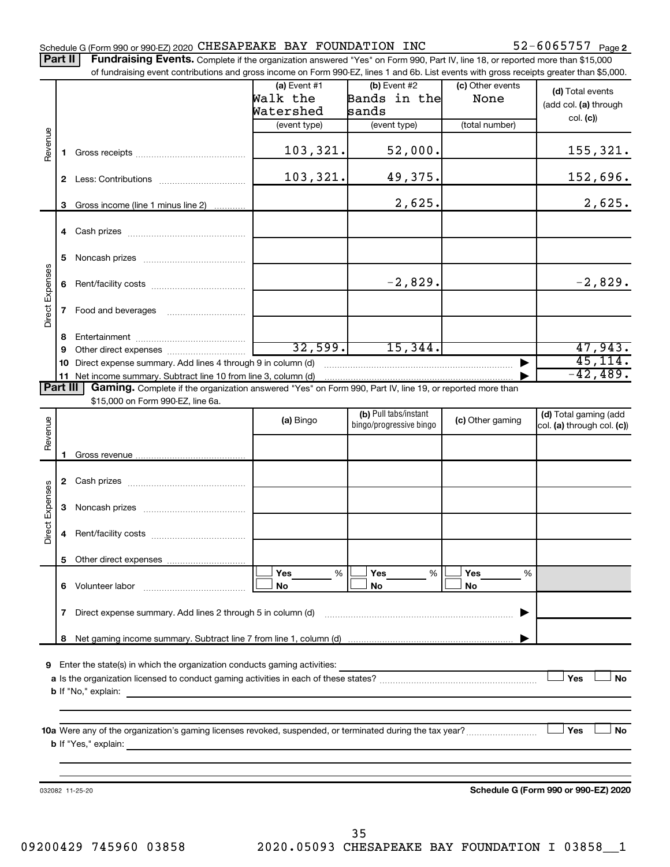#### Schedule G (Form 990 or 990-EZ) 2020 CHESAPEAKE BAY FOUNDATION INC  $52-6065757$   $_{\rm Page}$

52-6065757 Page 2

Part II | Fundraising Events. Complete if the organization answered "Yes" on Form 990, Part IV, line 18, or reported more than \$15,000 of fundraising event contributions and gross income on Form 990-EZ, lines 1 and 6b. List events with gross receipts greater than \$5,000.

|                        |              | OF RINGLASHIY CVENT CONTINUATIONS AND GIVES INCOME ON FOND 330°CZ, IINCS T AND OD. EIST CVCHIS WILH GIVSS TECCIPIS GREEK THAN \$0,000. |                                         |                                                  |                          |                                                     |
|------------------------|--------------|----------------------------------------------------------------------------------------------------------------------------------------|-----------------------------------------|--------------------------------------------------|--------------------------|-----------------------------------------------------|
|                        |              |                                                                                                                                        | $(a)$ Event #1<br>Walk the<br>Watershed | $(b)$ Event #2<br>Bands in the<br>sands          | (c) Other events<br>None | (d) Total events<br>(add col. (a) through           |
|                        |              |                                                                                                                                        | (event type)                            | (event type)                                     | (total number)           | col. (c)                                            |
| Revenue                | $\mathbf 1$  |                                                                                                                                        | 103,321.                                | 52,000.                                          |                          | 155, 321.                                           |
|                        |              |                                                                                                                                        | 103,321.                                | 49,375.                                          |                          | 152,696.                                            |
|                        |              | 3 Gross income (line 1 minus line 2)                                                                                                   |                                         | 2,625.                                           |                          | 2,625.                                              |
|                        |              |                                                                                                                                        |                                         |                                                  |                          |                                                     |
|                        | 5            |                                                                                                                                        |                                         |                                                  |                          |                                                     |
|                        |              |                                                                                                                                        |                                         | $-2,829.$                                        |                          | $-2,829.$                                           |
| <b>Direct Expenses</b> | $\mathbf{7}$ |                                                                                                                                        |                                         |                                                  |                          |                                                     |
|                        | 8            |                                                                                                                                        |                                         |                                                  |                          |                                                     |
|                        | 9            |                                                                                                                                        | 32,599.                                 | 15,344.                                          |                          | 47,943.                                             |
|                        |              | 10 Direct expense summary. Add lines 4 through 9 in column (d)                                                                         |                                         |                                                  |                          | 45, 114.                                            |
|                        |              | 11 Net income summary. Subtract line 10 from line 3, column (d) material contains and the income summary.                              |                                         |                                                  |                          | $-42,489.$                                          |
| Part III               |              | Gaming. Complete if the organization answered "Yes" on Form 990, Part IV, line 19, or reported more than                               |                                         |                                                  |                          |                                                     |
|                        |              | \$15,000 on Form 990-EZ, line 6a.                                                                                                      |                                         |                                                  |                          |                                                     |
| Revenue                |              |                                                                                                                                        | (a) Bingo                               | (b) Pull tabs/instant<br>bingo/progressive bingo | (c) Other gaming         | (d) Total gaming (add<br>col. (a) through col. (c)) |
|                        | 1            |                                                                                                                                        |                                         |                                                  |                          |                                                     |
|                        |              |                                                                                                                                        |                                         |                                                  |                          |                                                     |
| <b>Direct Expenses</b> |              |                                                                                                                                        |                                         |                                                  |                          |                                                     |
|                        | 4            |                                                                                                                                        |                                         |                                                  |                          |                                                     |
|                        |              |                                                                                                                                        |                                         |                                                  |                          |                                                     |
|                        | 6.           | Volunteer labor                                                                                                                        | <b>Yes</b><br>%<br>No                   | Yes<br>%<br>No                                   | Yes<br>%<br>No           |                                                     |
|                        | 7            | Direct expense summary. Add lines 2 through 5 in column (d)                                                                            |                                         |                                                  |                          |                                                     |
|                        | 8            |                                                                                                                                        |                                         |                                                  |                          |                                                     |
| 9                      |              | Enter the state(s) in which the organization conducts gaming activities:                                                               |                                         |                                                  |                          | Yes<br>No                                           |
|                        |              | <b>b</b> If "No," explain:                                                                                                             |                                         |                                                  |                          |                                                     |
|                        |              | <b>b</b> If "Yes," explain:                                                                                                            |                                         |                                                  |                          | Yes<br>No                                           |
|                        |              |                                                                                                                                        |                                         |                                                  |                          |                                                     |
|                        |              | 032082 11-25-20                                                                                                                        |                                         |                                                  |                          | Schedule G (Form 990 or 990-EZ) 2020                |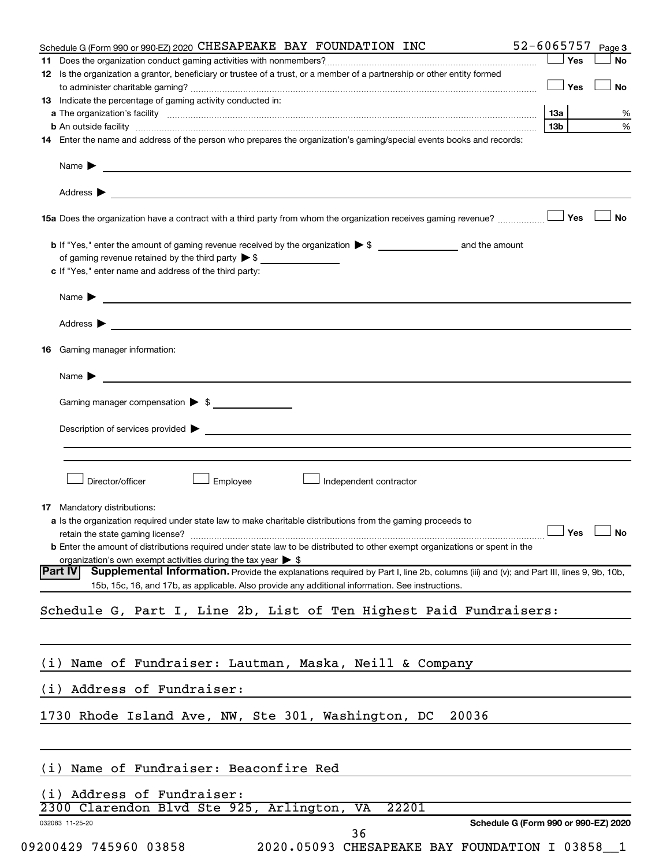| Schedule G (Form 990 or 990-EZ) 2020 CHESAPEAKE BAY FOUNDATION INC                                                                                                                                                                | 52-6065757<br>Page 3                 |
|-----------------------------------------------------------------------------------------------------------------------------------------------------------------------------------------------------------------------------------|--------------------------------------|
|                                                                                                                                                                                                                                   | Yes<br>No                            |
| 12 Is the organization a grantor, beneficiary or trustee of a trust, or a member of a partnership or other entity formed                                                                                                          |                                      |
|                                                                                                                                                                                                                                   | Yes<br><b>No</b>                     |
| <b>13</b> Indicate the percentage of gaming activity conducted in:                                                                                                                                                                |                                      |
| <b>b</b> An outside facility <i>www.communicality www.communicality.communicality www.communicality www.communicality.communicality www.communicality.com</i>                                                                     | 1За<br>%<br>%<br>13b                 |
| 14 Enter the name and address of the person who prepares the organization's gaming/special events books and records:                                                                                                              |                                      |
|                                                                                                                                                                                                                                   |                                      |
|                                                                                                                                                                                                                                   |                                      |
|                                                                                                                                                                                                                                   |                                      |
| Address > the contract of the contract of the contract of the contract of the contract of the contract of the contract of the contract of the contract of the contract of the contract of the contract of the contract of the     |                                      |
|                                                                                                                                                                                                                                   | Yes<br>No                            |
|                                                                                                                                                                                                                                   |                                      |
|                                                                                                                                                                                                                                   |                                      |
| of gaming revenue retained by the third party $\triangleright$ \$                                                                                                                                                                 |                                      |
| c If "Yes," enter name and address of the third party:                                                                                                                                                                            |                                      |
| Name $\blacktriangleright$ $\lrcorner$                                                                                                                                                                                            |                                      |
|                                                                                                                                                                                                                                   |                                      |
| Address > Natural Management of the Management of the Management of the Management of the Management of the Management of the Management of the Management of the Management of the Management of the Management of the Manage    |                                      |
| Gaming manager information:<br>16                                                                                                                                                                                                 |                                      |
|                                                                                                                                                                                                                                   |                                      |
| Name $\blacktriangleright$                                                                                                                                                                                                        |                                      |
| Gaming manager compensation $\triangleright$ \$                                                                                                                                                                                   |                                      |
|                                                                                                                                                                                                                                   |                                      |
| Description of services provided states and the contract of the contract of the contract of the contract of the contract of the contract of the contract of the contract of the contract of the contract of the contract of th    |                                      |
|                                                                                                                                                                                                                                   |                                      |
|                                                                                                                                                                                                                                   |                                      |
| Director/officer<br>Employee<br>Independent contractor                                                                                                                                                                            |                                      |
|                                                                                                                                                                                                                                   |                                      |
| Mandatory distributions:<br>17                                                                                                                                                                                                    |                                      |
| a Is the organization required under state law to make charitable distributions from the gaming proceeds to                                                                                                                       |                                      |
|                                                                                                                                                                                                                                   | $\Box$ Yes $\Box$ No                 |
| <b>b</b> Enter the amount of distributions required under state law to be distributed to other exempt organizations or spent in the                                                                                               |                                      |
| organization's own exempt activities during the tax year $\triangleright$ \$<br>Supplemental Information. Provide the explanations required by Part I, line 2b, columns (iii) and (v); and Part III, lines 9, 9b, 10b,<br>Part IV |                                      |
| 15b, 15c, 16, and 17b, as applicable. Also provide any additional information. See instructions.                                                                                                                                  |                                      |
|                                                                                                                                                                                                                                   |                                      |
| Schedule G, Part I, Line 2b, List of Ten Highest Paid Fundraisers:                                                                                                                                                                |                                      |
|                                                                                                                                                                                                                                   |                                      |
|                                                                                                                                                                                                                                   |                                      |
| Name of Fundraiser: Lautman, Maska, Neill & Company<br>(i)                                                                                                                                                                        |                                      |
| (i) Address of Fundraiser:                                                                                                                                                                                                        |                                      |
| 20036                                                                                                                                                                                                                             |                                      |
| 1730 Rhode Island Ave, NW, Ste 301, Washington, DC                                                                                                                                                                                |                                      |
|                                                                                                                                                                                                                                   |                                      |
| (i) Name of Fundraiser: Beaconfire Red                                                                                                                                                                                            |                                      |
|                                                                                                                                                                                                                                   |                                      |
| (i) Address of Fundraiser:                                                                                                                                                                                                        |                                      |
| 22201<br>2300 Clarendon Blvd Ste 925, Arlington, VA                                                                                                                                                                               |                                      |
| 032083 11-25-20<br>36                                                                                                                                                                                                             | Schedule G (Form 990 or 990-EZ) 2020 |
| 09200429 745960 03858<br>2020.05093 CHESAPEAKE BAY FOUNDATION I 03858_1                                                                                                                                                           |                                      |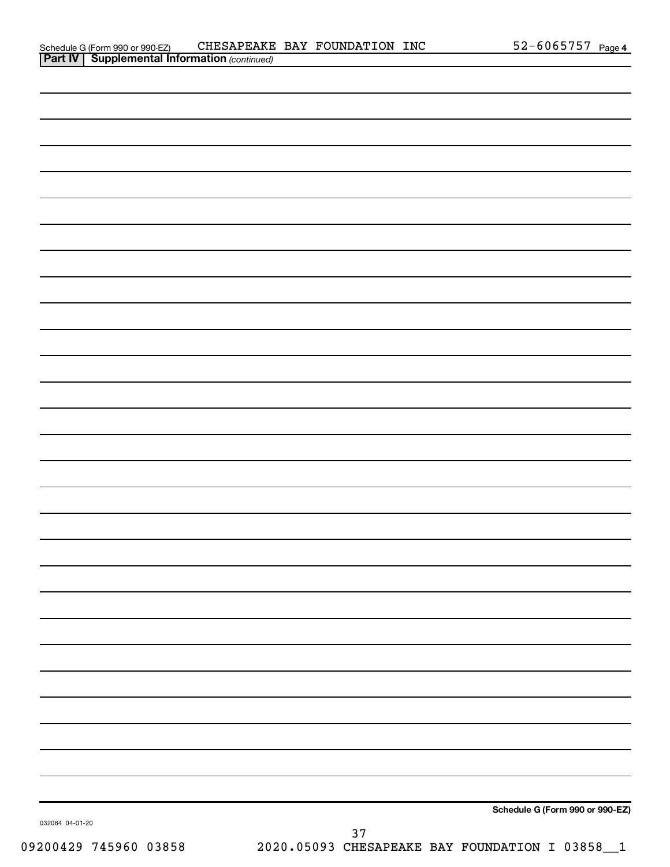|                 | Schedule G (Form 990 or 990-EZ) |
|-----------------|---------------------------------|
| 032084 04-01-20 |                                 |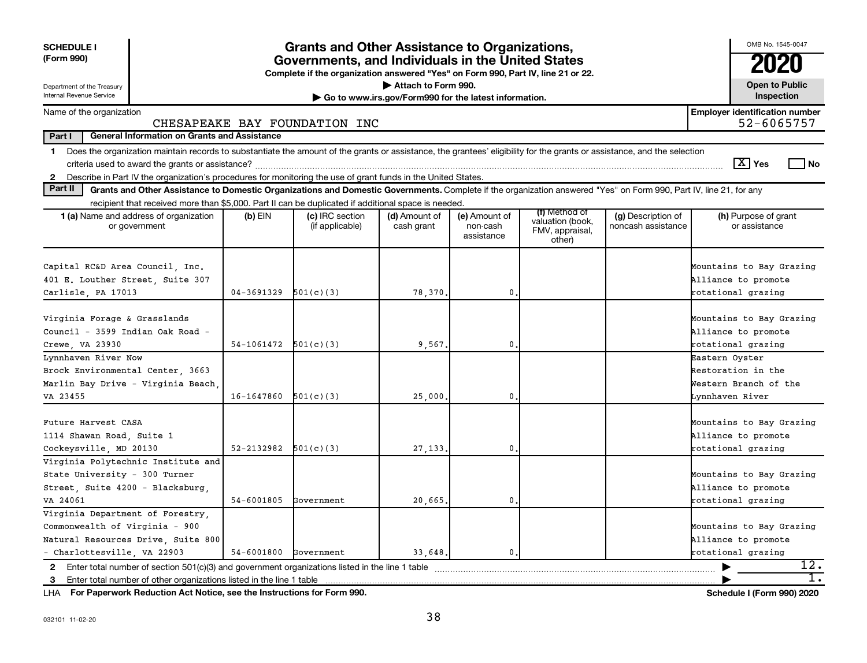| <b>SCHEDULE I</b><br>(Form 990)                                                                                                                                               |            | <b>Grants and Other Assistance to Organizations,</b><br>Governments, and Individuals in the United States<br>Complete if the organization answered "Yes" on Form 990, Part IV, line 21 or 22. |                                                       |                                         |                                               |                                          | OMB No. 1545-0047                                                                |
|-------------------------------------------------------------------------------------------------------------------------------------------------------------------------------|------------|-----------------------------------------------------------------------------------------------------------------------------------------------------------------------------------------------|-------------------------------------------------------|-----------------------------------------|-----------------------------------------------|------------------------------------------|----------------------------------------------------------------------------------|
| Department of the Treasury<br>Internal Revenue Service                                                                                                                        |            |                                                                                                                                                                                               | Attach to Form 990.                                   |                                         |                                               |                                          | <b>Open to Public</b><br>Inspection                                              |
|                                                                                                                                                                               |            |                                                                                                                                                                                               | Go to www.irs.gov/Form990 for the latest information. |                                         |                                               |                                          | <b>Employer identification number</b>                                            |
| Name of the organization                                                                                                                                                      |            | CHESAPEAKE BAY FOUNDATION INC                                                                                                                                                                 |                                                       |                                         |                                               |                                          | 52-6065757                                                                       |
| Part I<br><b>General Information on Grants and Assistance</b>                                                                                                                 |            |                                                                                                                                                                                               |                                                       |                                         |                                               |                                          |                                                                                  |
| 1 Does the organization maintain records to substantiate the amount of the grants or assistance, the grantees' eligibility for the grants or assistance, and the selection    |            |                                                                                                                                                                                               |                                                       |                                         |                                               |                                          |                                                                                  |
|                                                                                                                                                                               |            |                                                                                                                                                                                               |                                                       |                                         |                                               |                                          | $\boxed{\text{X}}$ Yes<br><b>No</b>                                              |
| Describe in Part IV the organization's procedures for monitoring the use of grant funds in the United States.<br>$\mathbf{2}$                                                 |            |                                                                                                                                                                                               |                                                       |                                         |                                               |                                          |                                                                                  |
| Part II<br>Grants and Other Assistance to Domestic Organizations and Domestic Governments. Complete if the organization answered "Yes" on Form 990, Part IV, line 21, for any |            |                                                                                                                                                                                               |                                                       |                                         |                                               |                                          |                                                                                  |
| recipient that received more than \$5,000. Part II can be duplicated if additional space is needed.                                                                           |            |                                                                                                                                                                                               |                                                       |                                         | (f) Method of                                 |                                          |                                                                                  |
| 1 (a) Name and address of organization<br>or government                                                                                                                       | $(b)$ EIN  | (c) IRC section<br>(if applicable)                                                                                                                                                            | (d) Amount of<br>cash grant                           | (e) Amount of<br>non-cash<br>assistance | valuation (book,<br>FMV, appraisal,<br>other) | (g) Description of<br>noncash assistance | (h) Purpose of grant<br>or assistance                                            |
| Capital RC&D Area Council, Inc.<br>401 E. Louther Street, Suite 307<br>Carlisle, PA 17013                                                                                     | 04-3691329 | 501(c)(3)                                                                                                                                                                                     | 78,370.                                               | $\mathbf{0}$ .                          |                                               |                                          | Mountains to Bay Grazing<br>Alliance to promote<br>rotational grazing            |
|                                                                                                                                                                               |            |                                                                                                                                                                                               |                                                       |                                         |                                               |                                          |                                                                                  |
| Virginia Forage & Grasslands<br>Council - 3599 Indian Oak Road -<br>Crewe, VA 23930                                                                                           | 54-1061472 | 501(c)(3)                                                                                                                                                                                     | 9,567.                                                | $\mathbf{0}$                            |                                               |                                          | Mountains to Bay Grazing<br>Alliance to promote<br>rotational grazing            |
| Lynnhaven River Now<br>Brock Environmental Center, 3663<br>Marlin Bay Drive - Virginia Beach,<br>VA 23455                                                                     | 16-1647860 | 501(c)(3)                                                                                                                                                                                     | 25,000.                                               | $\mathbf{0}$                            |                                               |                                          | Eastern Oyster<br>Restoration in the<br>Western Branch of the<br>Lynnhaven River |
|                                                                                                                                                                               |            |                                                                                                                                                                                               |                                                       |                                         |                                               |                                          |                                                                                  |
| Future Harvest CASA<br>1114 Shawan Road, Suite 1<br>Cockeysville, MD 20130                                                                                                    | 52-2132982 | 501(c)(3)                                                                                                                                                                                     | 27, 133.                                              | 0                                       |                                               |                                          | Mountains to Bay Grazing<br>Alliance to promote<br>rotational grazing            |
| Virginia Polytechnic Institute and<br>State University - 300 Turner<br>Street, Suite 4200 - Blacksburg,<br>VA 24061                                                           | 54-6001805 | Government                                                                                                                                                                                    | 20,665,                                               | $\mathbf{0}$                            |                                               |                                          | Mountains to Bay Grazing<br>Alliance to promote<br>rotational grazing            |
| Virginia Department of Forestry.                                                                                                                                              |            |                                                                                                                                                                                               |                                                       |                                         |                                               |                                          |                                                                                  |
| Commonwealth of Virginia - 900                                                                                                                                                |            |                                                                                                                                                                                               |                                                       |                                         |                                               |                                          | Mountains to Bay Grazing                                                         |
| Natural Resources Drive, Suite 800                                                                                                                                            |            |                                                                                                                                                                                               |                                                       |                                         |                                               |                                          | Alliance to promote                                                              |
| - Charlottesville, VA 22903                                                                                                                                                   | 54-6001800 | Government                                                                                                                                                                                    | 33,648,                                               | $\mathbf{0}$                            |                                               |                                          | rotational grazing                                                               |
| 2 Enter total number of section $501(c)(3)$ and government organizations listed in the line 1 table                                                                           |            |                                                                                                                                                                                               |                                                       |                                         |                                               |                                          | 12.                                                                              |
| 3 Enter total number of other organizations listed in the line 1 table                                                                                                        |            |                                                                                                                                                                                               |                                                       |                                         |                                               |                                          |                                                                                  |

**For Paperwork Reduction Act Notice, see the Instructions for Form 990. Schedule I (Form 990) 2020** LHA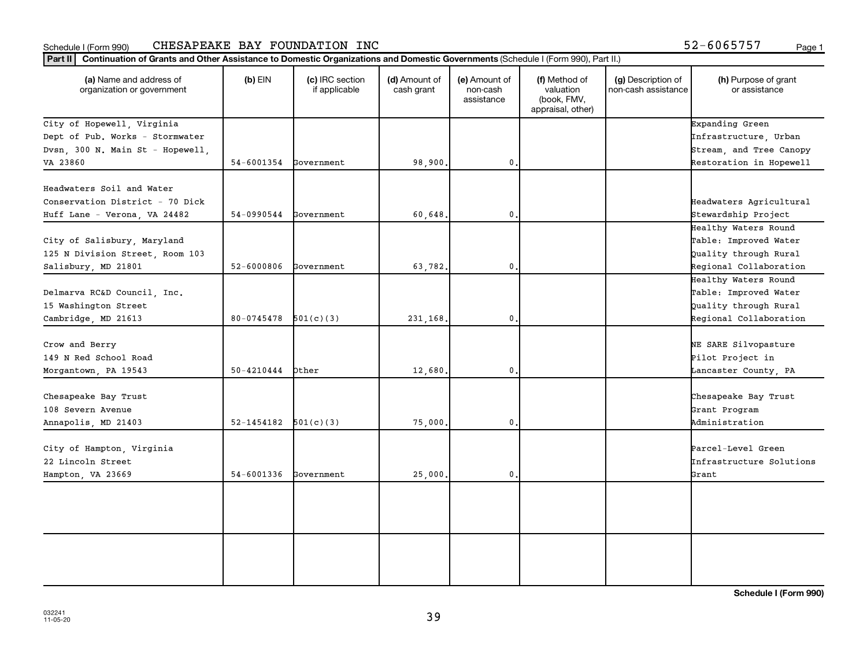#### Schedule I (Form 990) Page 1 CHESAPEAKE BAY FOUNDATION INC 52-6065757

| $-6065757$ |  |  | Page |
|------------|--|--|------|
|            |  |  |      |

| (a) Name and address of<br>organization or government | $(b)$ EIN      | (c) IRC section<br>if applicable | (d) Amount of<br>cash grant | (e) Amount of<br>non-cash<br>assistance | (f) Method of<br>valuation<br>(book, FMV,<br>appraisal, other) | (g) Description of<br>non-cash assistance | (h) Purpose of grant<br>or assistance |
|-------------------------------------------------------|----------------|----------------------------------|-----------------------------|-----------------------------------------|----------------------------------------------------------------|-------------------------------------------|---------------------------------------|
| City of Hopewell, Virginia                            |                |                                  |                             |                                         |                                                                |                                           | Expanding Green                       |
| Dept of Pub. Works - Stormwater                       |                |                                  |                             |                                         |                                                                |                                           | Infrastructure, Urban                 |
| Dvsn, 300 N. Main St - Hopewell,                      |                |                                  |                             |                                         |                                                                |                                           | Stream, and Tree Canopy               |
| VA 23860                                              | 54-6001354     | Government                       | 98,900.                     | $\mathbf 0$                             |                                                                |                                           | Restoration in Hopewell               |
| Headwaters Soil and Water                             |                |                                  |                             |                                         |                                                                |                                           |                                       |
| Conservation District - 70 Dick                       |                |                                  |                             |                                         |                                                                |                                           | Headwaters Agricultural               |
| Huff Lane - Verona, VA 24482                          | 54-0990544     | Government                       | 60,648.                     | $\mathbf{0}$                            |                                                                |                                           | Stewardship Project                   |
|                                                       |                |                                  |                             |                                         |                                                                |                                           | Healthy Waters Round                  |
| City of Salisbury, Maryland                           |                |                                  |                             |                                         |                                                                |                                           | Table: Improved Water                 |
| 125 N Division Street, Room 103                       |                |                                  |                             |                                         |                                                                |                                           | Quality through Rural                 |
| Salisbury, MD 21801                                   | 52-6000806     | Government                       | 63,782.                     | $\mathbf 0$                             |                                                                |                                           | Regional Collaboration                |
|                                                       |                |                                  |                             |                                         |                                                                |                                           | Healthy Waters Round                  |
| Delmarva RC&D Council, Inc.                           |                |                                  |                             |                                         |                                                                |                                           | Table: Improved Water                 |
| 15 Washington Street                                  |                |                                  |                             |                                         |                                                                |                                           | Quality through Rural                 |
| Cambridge, MD 21613                                   | 80-0745478     | 501(c)(3)                        | 231,168.                    | 0.                                      |                                                                |                                           | Regional Collaboration                |
| Crow and Berry                                        |                |                                  |                             |                                         |                                                                |                                           | NE SARE Silvopasture                  |
| 149 N Red School Road                                 |                |                                  |                             |                                         |                                                                |                                           | Pilot Project in                      |
| Morgantown, PA 19543                                  | 50-4210444     | Other                            | 12,680.                     | 0.                                      |                                                                |                                           | Lancaster County, PA                  |
| Chesapeake Bay Trust                                  |                |                                  |                             |                                         |                                                                |                                           | Chesapeake Bay Trust                  |
| 108 Severn Avenue                                     |                |                                  |                             |                                         |                                                                |                                           | Grant Program                         |
| Annapolis, MD 21403                                   | 52-1454182     | 501(c)(3)                        | 75,000.                     | $\mathbf 0$                             |                                                                |                                           | Administration                        |
|                                                       |                |                                  |                             |                                         |                                                                |                                           |                                       |
| City of Hampton, Virginia                             |                |                                  |                             |                                         |                                                                |                                           | Parcel-Level Green                    |
| 22 Lincoln Street                                     |                |                                  |                             |                                         |                                                                |                                           | Infrastructure Solutions              |
| Hampton, VA 23669                                     | $54 - 6001336$ | Government                       | 25,000.                     | $\mathbf{0}$ .                          |                                                                |                                           | Grant                                 |
|                                                       |                |                                  |                             |                                         |                                                                |                                           |                                       |
|                                                       |                |                                  |                             |                                         |                                                                |                                           |                                       |
|                                                       |                |                                  |                             |                                         |                                                                |                                           |                                       |
|                                                       |                |                                  |                             |                                         |                                                                |                                           |                                       |
|                                                       |                |                                  |                             |                                         |                                                                |                                           |                                       |
|                                                       |                |                                  |                             |                                         |                                                                |                                           |                                       |
|                                                       |                |                                  |                             |                                         |                                                                |                                           |                                       |

**Schedule I (Form 990)**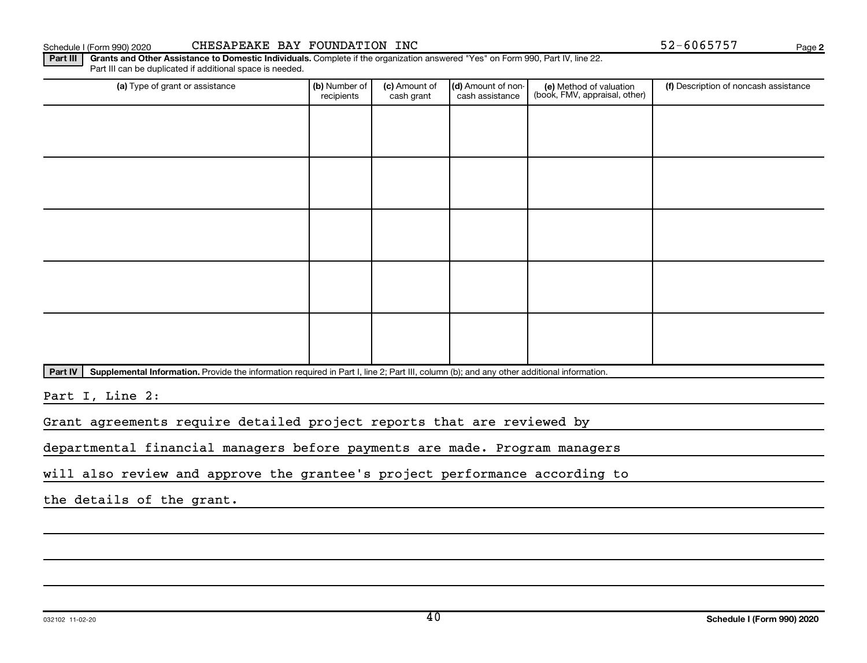Part III can be duplicated if additional space is needed.

Schedule I (Form 990) 2020 CHESAPEAKE BAY FOUNDATION INC  $52-6065757$  Page

(d) Amount of noncash assistance

(e) Method of valuation (book, FMV, appraisal, other)

(a) Type of grant or assistance **(b)** Number of  $|$  **(c)** Amount of  $|$  **(d)** Amount of non- $|$  **(e)** Method of valuation  $|$  **(f)** 

(c) Amount of cash grant

Part IV | Supplemental Information. Provide the information required in Part I, line 2; Part III, column (b); and any other additional information.

Part III | Grants and Other Assistance to Domestic Individuals. Complete if the organization answered "Yes" on Form 990, Part IV, line 22.

recipients

Part I, Line 2:

Grant agreements require detailed project reports that are reviewed by

departmental financial managers before payments are made. Program managers

will also review and approve the grantee's project performance according to

the details of the grant.

**2**

(f) Description of noncash assistance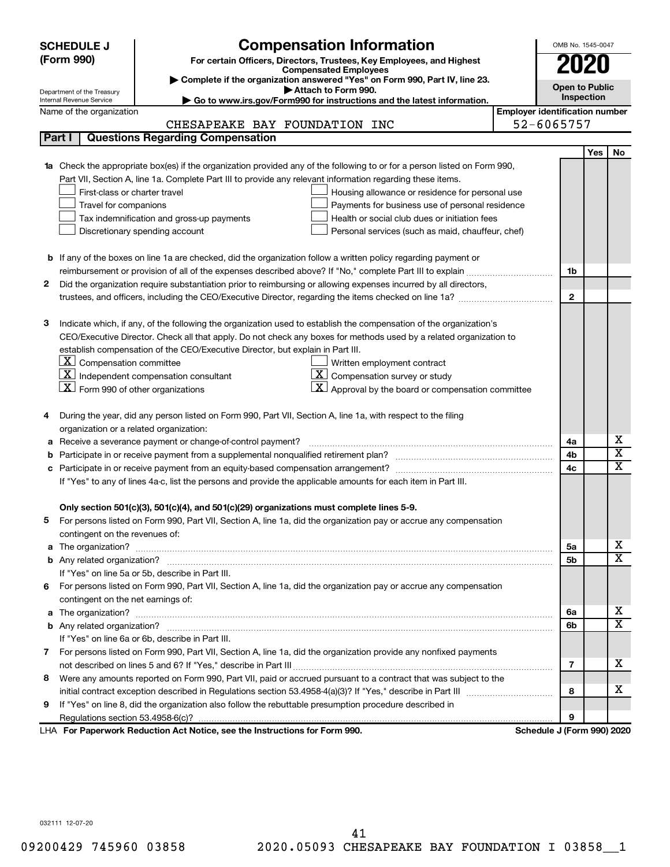| <b>SCHEDULE J</b>                                               | <b>Compensation Information</b>                                                                                        |                                       | OMB No. 1545-0047          |            |                         |  |  |
|-----------------------------------------------------------------|------------------------------------------------------------------------------------------------------------------------|---------------------------------------|----------------------------|------------|-------------------------|--|--|
| (Form 990)                                                      | For certain Officers, Directors, Trustees, Key Employees, and Highest                                                  |                                       | 2020                       |            |                         |  |  |
|                                                                 | <b>Compensated Employees</b>                                                                                           |                                       |                            |            |                         |  |  |
| Department of the Treasury                                      | Complete if the organization answered "Yes" on Form 990, Part IV, line 23.<br>Attach to Form 990.                      |                                       | <b>Open to Public</b>      |            |                         |  |  |
| Internal Revenue Service                                        | Go to www.irs.gov/Form990 for instructions and the latest information.                                                 |                                       | Inspection                 |            |                         |  |  |
| Name of the organization                                        |                                                                                                                        | <b>Employer identification number</b> |                            |            |                         |  |  |
|                                                                 | CHESAPEAKE BAY FOUNDATION INC                                                                                          |                                       | 52-6065757                 |            |                         |  |  |
| Part I                                                          | <b>Questions Regarding Compensation</b>                                                                                |                                       |                            |            |                         |  |  |
|                                                                 |                                                                                                                        |                                       |                            | <b>Yes</b> | No                      |  |  |
|                                                                 | Check the appropriate box(es) if the organization provided any of the following to or for a person listed on Form 990, |                                       |                            |            |                         |  |  |
|                                                                 | Part VII, Section A, line 1a. Complete Part III to provide any relevant information regarding these items.             |                                       |                            |            |                         |  |  |
| First-class or charter travel                                   | Housing allowance or residence for personal use                                                                        |                                       |                            |            |                         |  |  |
| Travel for companions                                           | Payments for business use of personal residence                                                                        |                                       |                            |            |                         |  |  |
|                                                                 | Health or social club dues or initiation fees<br>Tax indemnification and gross-up payments                             |                                       |                            |            |                         |  |  |
|                                                                 | Discretionary spending account<br>Personal services (such as maid, chauffeur, chef)                                    |                                       |                            |            |                         |  |  |
|                                                                 |                                                                                                                        |                                       |                            |            |                         |  |  |
|                                                                 | <b>b</b> If any of the boxes on line 1a are checked, did the organization follow a written policy regarding payment or |                                       |                            |            |                         |  |  |
|                                                                 |                                                                                                                        |                                       | 1b                         |            |                         |  |  |
| 2                                                               | Did the organization require substantiation prior to reimbursing or allowing expenses incurred by all directors,       |                                       |                            |            |                         |  |  |
|                                                                 |                                                                                                                        |                                       | $\mathbf{2}$               |            |                         |  |  |
| з                                                               | Indicate which, if any, of the following the organization used to establish the compensation of the organization's     |                                       |                            |            |                         |  |  |
|                                                                 | CEO/Executive Director. Check all that apply. Do not check any boxes for methods used by a related organization to     |                                       |                            |            |                         |  |  |
|                                                                 | establish compensation of the CEO/Executive Director, but explain in Part III.                                         |                                       |                            |            |                         |  |  |
| $\lfloor \underline{\textbf{X}} \rfloor$ Compensation committee | Written employment contract                                                                                            |                                       |                            |            |                         |  |  |
|                                                                 | $ \mathbf{X} $ Independent compensation consultant<br>$ \mathbf{X} $ Compensation survey or study                      |                                       |                            |            |                         |  |  |
| $ \mathbf{X} $ Form 990 of other organizations                  | $ \mathbf{X} $ Approval by the board or compensation committee                                                         |                                       |                            |            |                         |  |  |
|                                                                 |                                                                                                                        |                                       |                            |            |                         |  |  |
|                                                                 | During the year, did any person listed on Form 990, Part VII, Section A, line 1a, with respect to the filing           |                                       |                            |            |                         |  |  |
|                                                                 | organization or a related organization:                                                                                |                                       |                            |            |                         |  |  |
| а                                                               | Receive a severance payment or change-of-control payment?                                                              |                                       | 4a                         |            | х                       |  |  |
| b                                                               |                                                                                                                        |                                       | 4b                         |            | $\overline{\textbf{x}}$ |  |  |
| c                                                               |                                                                                                                        |                                       | 4c                         |            | $\mathbf x$             |  |  |
|                                                                 | If "Yes" to any of lines 4a-c, list the persons and provide the applicable amounts for each item in Part III.          |                                       |                            |            |                         |  |  |
|                                                                 |                                                                                                                        |                                       |                            |            |                         |  |  |
|                                                                 | Only section 501(c)(3), 501(c)(4), and 501(c)(29) organizations must complete lines 5-9.                               |                                       |                            |            |                         |  |  |
| 5                                                               | For persons listed on Form 990, Part VII, Section A, line 1a, did the organization pay or accrue any compensation      |                                       |                            |            |                         |  |  |
| contingent on the revenues of:                                  |                                                                                                                        |                                       |                            |            |                         |  |  |
| a                                                               |                                                                                                                        |                                       | 5a                         |            | х                       |  |  |
|                                                                 |                                                                                                                        |                                       | 5b                         |            | X                       |  |  |
|                                                                 | If "Yes" on line 5a or 5b, describe in Part III.                                                                       |                                       |                            |            |                         |  |  |
|                                                                 | 6 For persons listed on Form 990, Part VII, Section A, line 1a, did the organization pay or accrue any compensation    |                                       |                            |            |                         |  |  |
| contingent on the net earnings of:                              |                                                                                                                        |                                       |                            |            |                         |  |  |
| а                                                               |                                                                                                                        |                                       | 6а                         |            | х                       |  |  |
|                                                                 |                                                                                                                        |                                       | 6b                         |            | X                       |  |  |
|                                                                 | If "Yes" on line 6a or 6b, describe in Part III.                                                                       |                                       |                            |            |                         |  |  |
|                                                                 | 7 For persons listed on Form 990, Part VII, Section A, line 1a, did the organization provide any nonfixed payments     |                                       |                            |            |                         |  |  |
|                                                                 |                                                                                                                        |                                       | 7                          |            | x                       |  |  |
| 8                                                               | Were any amounts reported on Form 990, Part VII, paid or accrued pursuant to a contract that was subject to the        |                                       |                            |            |                         |  |  |
|                                                                 |                                                                                                                        |                                       | 8                          |            | x                       |  |  |
| 9                                                               | If "Yes" on line 8, did the organization also follow the rebuttable presumption procedure described in                 |                                       |                            |            |                         |  |  |
|                                                                 |                                                                                                                        |                                       | 9                          |            |                         |  |  |
|                                                                 | LHA For Paperwork Reduction Act Notice, see the Instructions for Form 990.                                             |                                       | Schedule J (Form 990) 2020 |            |                         |  |  |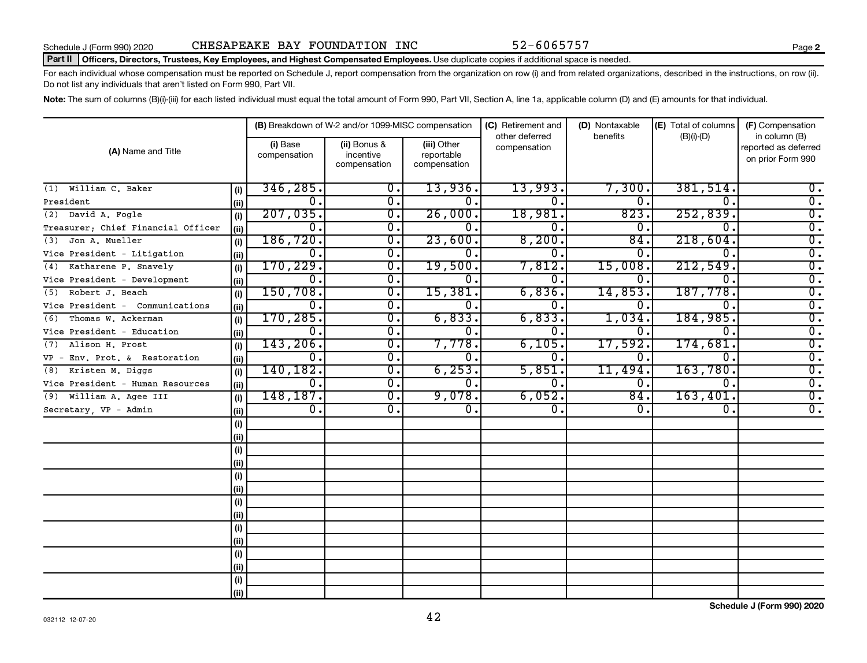#### Part II | Officers, Directors, Trustees, Key Employees, and Highest Compensated Employees. Use duplicate copies if additional space is needed.

For each individual whose compensation must be reported on Schedule J, report compensation from the organization on row (i) and from related organizations, described in the instructions, on row (ii). Do not list any individuals that aren't listed on Form 990, Part VII.

Note: The sum of columns (B)(i)-(iii) for each listed individual must equal the total amount of Form 990, Part VII, Section A, line 1a, applicable column (D) and (E) amounts for that individual.

|                                    |       |                          | (B) Breakdown of W-2 and/or 1099-MISC compensation |                                           | (C) Retirement and             | (D) Nontaxable | (E) Total of columns | (F) Compensation                                           |
|------------------------------------|-------|--------------------------|----------------------------------------------------|-------------------------------------------|--------------------------------|----------------|----------------------|------------------------------------------------------------|
| (A) Name and Title                 |       | (i) Base<br>compensation | (ii) Bonus &<br>incentive<br>compensation          | (iii) Other<br>reportable<br>compensation | other deferred<br>compensation | benefits       | $(B)(i)-(D)$         | in column (B)<br>reported as deferred<br>on prior Form 990 |
| William C. Baker<br>(1)            | (i)   | 346, 285.                | 0.                                                 | 13,936.                                   | 13,993.                        | 7,300          | 381,514.             | $0$ .                                                      |
| President                          | (ii)  | о.                       | $\overline{\mathbf{0}}$ .                          | Ο.                                        | 0.                             | 0.             | 0.                   | $\overline{0}$ .                                           |
| (2) David A. Fogle                 | (i)   | 207,035.                 | 0.                                                 | 26,000.                                   | 18,981.                        | 823            | 252,839.             | $\overline{0}$ .                                           |
| Treasurer; Chief Financial Officer | (ii)  | о.                       | $\overline{\mathfrak{o}}$ .                        | 0.                                        | 0                              | 0.             | 0.                   | $\overline{0}$ .                                           |
| Jon A. Mueller<br>(3)              | (i)   | 186, 720.                | $\overline{0}$ .                                   | 23,600.                                   | 8,200.                         | 84.            | 218,604.             | $\overline{0}$ .                                           |
| Vice President - Litigation        | (ii)  | О.                       | σ.                                                 | 0.                                        | 0.                             | 0.             | Ω.                   | $\overline{0}$ .                                           |
| Katharene P. Snavely<br>(4)        | (i)   | 170, 229.                | $\overline{0}$ .                                   | 19,500.                                   | 7,812.                         | 15,008.        | 212,549.             | $\overline{0}$ .                                           |
| Vice President - Development       | (ii)  | о.                       | $\overline{\mathfrak{o}}$ .                        | 0.                                        | 0.                             | Ο.             | 0.                   | $\overline{0}$ .                                           |
| Robert J. Beach<br>(5)             | (i)   | 150, 708.                | $\overline{0}$ .                                   | 15,381.                                   | 6,836.                         | 14,853         | 187,778.             | $\overline{0}$ .                                           |
| Vice President - Communications    | (i)   | о.                       | $\overline{0}$ .                                   | 0.                                        | 0.                             | Ω.             | 0.                   | $\overline{0}$ .                                           |
| Thomas W. Ackerman<br>(6)          | (i)   | 170, 285.                | $\overline{0}$ .                                   | 6,833.                                    | 6,833.                         | 1,034          | 184,985.             | $\overline{0}$ .                                           |
| Vice President - Education         | (ii)  | $\overline{0}$ .         | $\overline{0}$ .                                   | 0.                                        | 0.                             | 0.             | 0.                   | $\overline{0}$ .                                           |
| Alison H. Prost<br>(7)             | (i)   | 143, 206.                | σ.                                                 | 7,778.                                    | 6,105.                         | 17,592         | 174,681              | $\overline{0}$ .                                           |
| VP - Env. Prot. & Restoration      | (i)   | $\overline{0}$ .         | σ.                                                 | Ο.                                        | 0.                             | О.             | 0.                   | $\overline{0}$ .                                           |
| (8) Kristen M. Diggs               | (i)   | 140,182.                 | $\overline{\mathfrak{o}}$ .                        | 6, 253.                                   | 5,851.                         | 11,494         | 163,780.             | $\overline{0}$ .                                           |
| Vice President - Human Resources   | (ii)  | $\overline{0}$ .         | $\overline{\mathfrak{o}}$ .                        | 0.                                        | 0.                             | о.             | $\overline{0}$ .     | $\overline{0}$ .                                           |
| (9) William A. Agee III            | (i)   | 148,187.                 | $\overline{0}$ .                                   | 9,078.                                    | 6,052.                         | 84.            | 163,401.             | $\overline{0}$ .                                           |
| Secretary, VP - Admin              | (iii) | $\overline{0}$ .         | $\mathbf{0}$ .                                     | $\overline{0}$ .                          | О.                             | 0.             | 0.                   | $\overline{0}$ .                                           |
|                                    | (i)   |                          |                                                    |                                           |                                |                |                      |                                                            |
|                                    | (ii)  |                          |                                                    |                                           |                                |                |                      |                                                            |
|                                    | (i)   |                          |                                                    |                                           |                                |                |                      |                                                            |
|                                    | (ii)  |                          |                                                    |                                           |                                |                |                      |                                                            |
|                                    | (i)   |                          |                                                    |                                           |                                |                |                      |                                                            |
|                                    | (ii)  |                          |                                                    |                                           |                                |                |                      |                                                            |
|                                    | (i)   |                          |                                                    |                                           |                                |                |                      |                                                            |
|                                    | (ii)  |                          |                                                    |                                           |                                |                |                      |                                                            |
|                                    | (i)   |                          |                                                    |                                           |                                |                |                      |                                                            |
|                                    | (ii)  |                          |                                                    |                                           |                                |                |                      |                                                            |
|                                    | (i)   |                          |                                                    |                                           |                                |                |                      |                                                            |
|                                    | (ii)  |                          |                                                    |                                           |                                |                |                      |                                                            |
|                                    | (i)   |                          |                                                    |                                           |                                |                |                      |                                                            |
|                                    | (ii)  |                          |                                                    |                                           |                                |                |                      |                                                            |

**Schedule J (Form 990) 2020**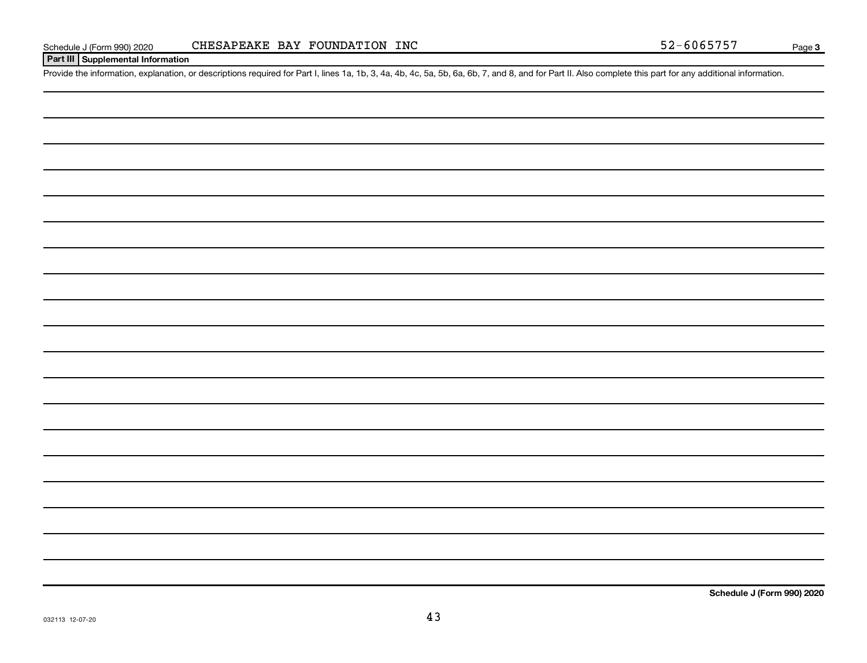#### **Part III Supplemental Information**

Provide the information, explanation, or descriptions required for Part I, lines 1a, 1b, 3, 4a, 4b, 4c, 5a, 5b, 6a, 6b, 7, and 8, and for Part II. Also complete this part for any additional information.

**Schedule J (Form 990) 2020**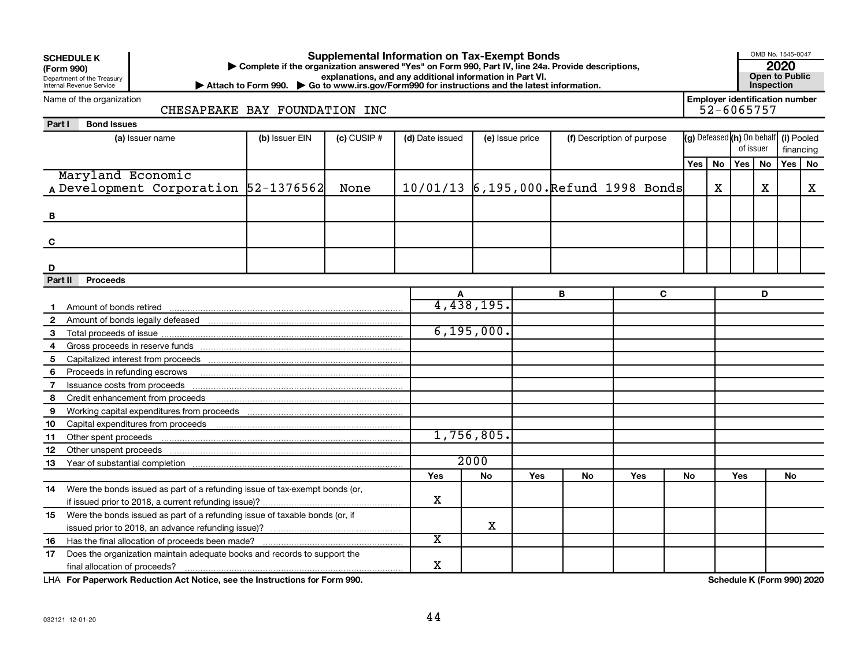|                | <b>Supplemental Information on Tax-Exempt Bonds</b><br><b>SCHEDULE K</b><br>Complete if the organization answered "Yes" on Form 990, Part IV, line 24a. Provide descriptions,<br>(Form 990)<br>explanations, and any additional information in Part VI.<br>Department of the Treasury<br>▶ Attach to Form 990. ▶ Go to www.irs.gov/Form990 for instructions and the latest information.<br>Internal Revenue Service |                |               |                                       |                 |     |    |                                                     |   |     |    |                                       |           |     | OMB No. 1545-0047<br><b>Open to Public</b> |  |
|----------------|---------------------------------------------------------------------------------------------------------------------------------------------------------------------------------------------------------------------------------------------------------------------------------------------------------------------------------------------------------------------------------------------------------------------|----------------|---------------|---------------------------------------|-----------------|-----|----|-----------------------------------------------------|---|-----|----|---------------------------------------|-----------|-----|--------------------------------------------|--|
|                | Name of the organization<br>CHESAPEAKE BAY FOUNDATION INC                                                                                                                                                                                                                                                                                                                                                           |                |               |                                       |                 |     |    | <b>Employer identification number</b><br>52-6065757 |   |     |    |                                       |           |     |                                            |  |
| Part I         | <b>Bond Issues</b>                                                                                                                                                                                                                                                                                                                                                                                                  |                |               |                                       |                 |     |    |                                                     |   |     |    |                                       |           |     |                                            |  |
|                | (a) Issuer name                                                                                                                                                                                                                                                                                                                                                                                                     | (b) Issuer EIN | $(c)$ CUSIP # | (d) Date issued                       | (e) Issue price |     |    | (f) Description of purpose                          |   |     |    | (g) Defeased (h) On behalf (i) Pooled |           |     |                                            |  |
|                |                                                                                                                                                                                                                                                                                                                                                                                                                     |                |               |                                       |                 |     |    |                                                     |   |     |    |                                       | of issuer |     | financing                                  |  |
|                |                                                                                                                                                                                                                                                                                                                                                                                                                     |                |               |                                       |                 |     |    |                                                     |   | Yes | No | Yes                                   | <b>No</b> | Yes | No                                         |  |
|                | Maryland Economic                                                                                                                                                                                                                                                                                                                                                                                                   |                |               |                                       |                 |     |    |                                                     |   |     |    |                                       |           |     |                                            |  |
|                | A Development Corporation 52-1376562                                                                                                                                                                                                                                                                                                                                                                                |                | None          | 10/01/13 6,195,000. Refund 1998 Bonds |                 |     |    |                                                     |   |     | X  |                                       | х         |     | x                                          |  |
|                |                                                                                                                                                                                                                                                                                                                                                                                                                     |                |               |                                       |                 |     |    |                                                     |   |     |    |                                       |           |     |                                            |  |
| в              |                                                                                                                                                                                                                                                                                                                                                                                                                     |                |               |                                       |                 |     |    |                                                     |   |     |    |                                       |           |     |                                            |  |
|                |                                                                                                                                                                                                                                                                                                                                                                                                                     |                |               |                                       |                 |     |    |                                                     |   |     |    |                                       |           |     |                                            |  |
| C              |                                                                                                                                                                                                                                                                                                                                                                                                                     |                |               |                                       |                 |     |    |                                                     |   |     |    |                                       |           |     |                                            |  |
|                |                                                                                                                                                                                                                                                                                                                                                                                                                     |                |               |                                       |                 |     |    |                                                     |   |     |    |                                       |           |     |                                            |  |
| D              |                                                                                                                                                                                                                                                                                                                                                                                                                     |                |               |                                       |                 |     |    |                                                     |   |     |    |                                       |           |     |                                            |  |
| Part II        | <b>Proceeds</b>                                                                                                                                                                                                                                                                                                                                                                                                     |                |               |                                       |                 |     |    |                                                     |   |     |    |                                       |           |     |                                            |  |
|                |                                                                                                                                                                                                                                                                                                                                                                                                                     |                |               |                                       |                 |     | В  |                                                     | C |     |    |                                       | D         |     |                                            |  |
| $\mathbf 1$    |                                                                                                                                                                                                                                                                                                                                                                                                                     |                |               |                                       | 4,438,195.      |     |    |                                                     |   |     |    |                                       |           |     |                                            |  |
| 2              |                                                                                                                                                                                                                                                                                                                                                                                                                     |                |               |                                       |                 |     |    |                                                     |   |     |    |                                       |           |     |                                            |  |
| 3              |                                                                                                                                                                                                                                                                                                                                                                                                                     |                |               |                                       | 6, 195, 000.    |     |    |                                                     |   |     |    |                                       |           |     |                                            |  |
| 4              |                                                                                                                                                                                                                                                                                                                                                                                                                     |                |               |                                       |                 |     |    |                                                     |   |     |    |                                       |           |     |                                            |  |
| 5              |                                                                                                                                                                                                                                                                                                                                                                                                                     |                |               |                                       |                 |     |    |                                                     |   |     |    |                                       |           |     |                                            |  |
| 6              | Proceeds in refunding escrows                                                                                                                                                                                                                                                                                                                                                                                       |                |               |                                       |                 |     |    |                                                     |   |     |    |                                       |           |     |                                            |  |
| $\overline{7}$ | Issuance costs from proceeds                                                                                                                                                                                                                                                                                                                                                                                        |                |               |                                       |                 |     |    |                                                     |   |     |    |                                       |           |     |                                            |  |
| 8              |                                                                                                                                                                                                                                                                                                                                                                                                                     |                |               |                                       |                 |     |    |                                                     |   |     |    |                                       |           |     |                                            |  |
| 9              |                                                                                                                                                                                                                                                                                                                                                                                                                     |                |               |                                       |                 |     |    |                                                     |   |     |    |                                       |           |     |                                            |  |
| 10             |                                                                                                                                                                                                                                                                                                                                                                                                                     |                |               |                                       |                 |     |    |                                                     |   |     |    |                                       |           |     |                                            |  |
| 11             | Other spent proceeds                                                                                                                                                                                                                                                                                                                                                                                                |                |               |                                       | 1,756,805.      |     |    |                                                     |   |     |    |                                       |           |     |                                            |  |
| 12             |                                                                                                                                                                                                                                                                                                                                                                                                                     |                |               |                                       |                 |     |    |                                                     |   |     |    |                                       |           |     |                                            |  |
| 13             |                                                                                                                                                                                                                                                                                                                                                                                                                     |                |               |                                       | 2000            |     |    |                                                     |   |     |    |                                       |           |     |                                            |  |
|                |                                                                                                                                                                                                                                                                                                                                                                                                                     |                |               | <b>Yes</b>                            | <b>No</b>       | Yes | No | Yes                                                 |   | No  |    | Yes                                   |           | No  |                                            |  |
| 14             | Were the bonds issued as part of a refunding issue of tax-exempt bonds (or,                                                                                                                                                                                                                                                                                                                                         |                |               |                                       |                 |     |    |                                                     |   |     |    |                                       |           |     |                                            |  |
|                |                                                                                                                                                                                                                                                                                                                                                                                                                     |                |               | x                                     |                 |     |    |                                                     |   |     |    |                                       |           |     |                                            |  |
| 15             | Were the bonds issued as part of a refunding issue of taxable bonds (or, if                                                                                                                                                                                                                                                                                                                                         |                |               |                                       |                 |     |    |                                                     |   |     |    |                                       |           |     |                                            |  |
|                |                                                                                                                                                                                                                                                                                                                                                                                                                     |                |               |                                       | X               |     |    |                                                     |   |     |    |                                       |           |     |                                            |  |
| 16             | Has the final allocation of proceeds been made?                                                                                                                                                                                                                                                                                                                                                                     |                |               | X                                     |                 |     |    |                                                     |   |     |    |                                       |           |     |                                            |  |
| 17             | Does the organization maintain adequate books and records to support the                                                                                                                                                                                                                                                                                                                                            |                |               |                                       |                 |     |    |                                                     |   |     |    |                                       |           |     |                                            |  |
|                | final allocation of proceeds?                                                                                                                                                                                                                                                                                                                                                                                       |                |               | x                                     |                 |     |    |                                                     |   |     |    |                                       |           |     |                                            |  |

**For Paperwork Reduction Act Notice, see the Instructions for Form 990. Schedule K (Form 990) 2020** LHA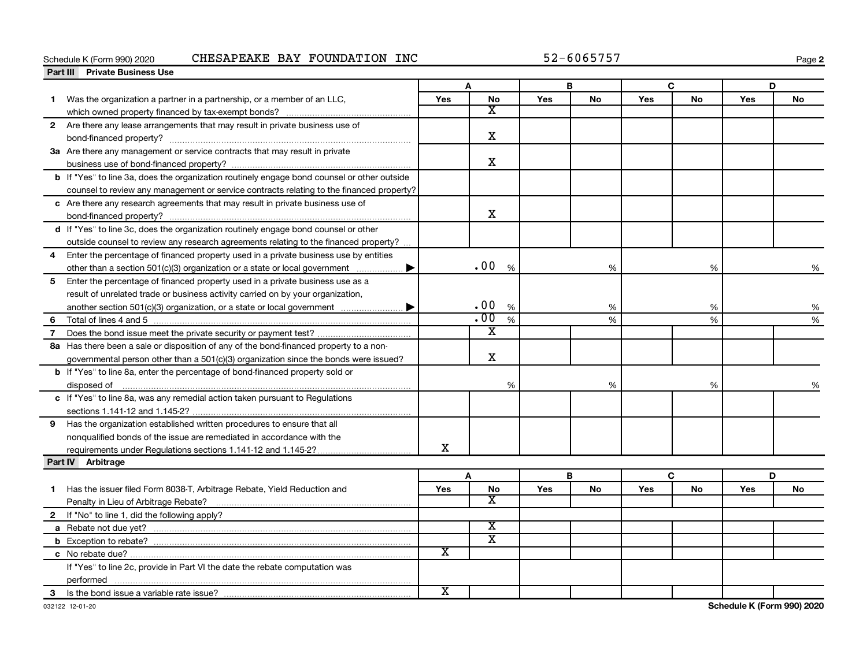#### Schedule K (Form 990) 2020 CHESAPEAKE BAY FOUNDATION INC 52-6065757

**2**

|   | <b>Private Business Use</b><br>Part III                                                     |                         |                         |      |            |           |     |           |     |           |
|---|---------------------------------------------------------------------------------------------|-------------------------|-------------------------|------|------------|-----------|-----|-----------|-----|-----------|
|   |                                                                                             |                         |                         |      | в          |           |     | C         |     | D         |
| 1 | Was the organization a partner in a partnership, or a member of an LLC,                     | Yes                     | <b>No</b>               |      | <b>Yes</b> | <b>No</b> | Yes | No        | Yes | No        |
|   |                                                                                             |                         | X                       |      |            |           |     |           |     |           |
|   | 2 Are there any lease arrangements that may result in private business use of               |                         |                         |      |            |           |     |           |     |           |
|   |                                                                                             |                         | X                       |      |            |           |     |           |     |           |
|   | 3a Are there any management or service contracts that may result in private                 |                         |                         |      |            |           |     |           |     |           |
|   |                                                                                             |                         | $\mathbf X$             |      |            |           |     |           |     |           |
|   | b If "Yes" to line 3a, does the organization routinely engage bond counsel or other outside |                         |                         |      |            |           |     |           |     |           |
|   | counsel to review any management or service contracts relating to the financed property?    |                         |                         |      |            |           |     |           |     |           |
|   | c Are there any research agreements that may result in private business use of              |                         |                         |      |            |           |     |           |     |           |
|   |                                                                                             |                         | X                       |      |            |           |     |           |     |           |
|   | d If "Yes" to line 3c, does the organization routinely engage bond counsel or other         |                         |                         |      |            |           |     |           |     |           |
|   | outside counsel to review any research agreements relating to the financed property?        |                         |                         |      |            |           |     |           |     |           |
| 4 | Enter the percentage of financed property used in a private business use by entities        |                         |                         |      |            |           |     |           |     |           |
|   | other than a section $501(c)(3)$ organization or a state or local government $\ldots$       |                         | .00                     | %    |            | %         |     | %         |     | %         |
| 5 | Enter the percentage of financed property used in a private business use as a               |                         |                         |      |            |           |     |           |     |           |
|   | result of unrelated trade or business activity carried on by your organization,             |                         |                         |      |            |           |     |           |     |           |
|   |                                                                                             |                         | .00                     | $\%$ | %          |           | %   |           |     | %         |
| 6 |                                                                                             |                         | $\overline{.00}$        | %    |            | %         | %   |           |     | %         |
| 7 |                                                                                             |                         | х                       |      |            |           |     |           |     |           |
|   | 8a Has there been a sale or disposition of any of the bond-financed property to a non-      |                         |                         |      |            |           |     |           |     |           |
|   | governmental person other than a 501(c)(3) organization since the bonds were issued?        |                         | X                       |      |            |           |     |           |     |           |
|   | b If "Yes" to line 8a, enter the percentage of bond-financed property sold or               |                         |                         |      |            |           |     |           |     |           |
|   | disposed of <u>www.communications.communications.communications.com</u>                     |                         |                         | %    |            | %         |     | %         |     |           |
|   | c If "Yes" to line 8a, was any remedial action taken pursuant to Regulations                |                         |                         |      |            |           |     |           |     |           |
|   |                                                                                             |                         |                         |      |            |           |     |           |     |           |
| 9 | Has the organization established written procedures to ensure that all                      |                         |                         |      |            |           |     |           |     |           |
|   | nonqualified bonds of the issue are remediated in accordance with the                       |                         |                         |      |            |           |     |           |     |           |
|   |                                                                                             | X                       |                         |      |            |           |     |           |     |           |
|   | Part IV Arbitrage                                                                           |                         |                         |      |            |           |     |           |     |           |
|   |                                                                                             |                         | A                       |      | B          |           |     | C         |     | D         |
| 1 | Has the issuer filed Form 8038-T, Arbitrage Rebate, Yield Reduction and                     | Yes                     | <b>No</b>               |      | Yes        | <b>No</b> | Yes | <b>No</b> | Yes | <b>No</b> |
|   |                                                                                             |                         | X                       |      |            |           |     |           |     |           |
|   | 2 If "No" to line 1, did the following apply?                                               |                         |                         |      |            |           |     |           |     |           |
|   |                                                                                             |                         | X                       |      |            |           |     |           |     |           |
|   |                                                                                             |                         | $\overline{\textbf{x}}$ |      |            |           |     |           |     |           |
|   |                                                                                             | $\overline{\mathbf{x}}$ |                         |      |            |           |     |           |     |           |
|   | If "Yes" to line 2c, provide in Part VI the date the rebate computation was                 |                         |                         |      |            |           |     |           |     |           |
|   |                                                                                             |                         |                         |      |            |           |     |           |     |           |
| 3 | Is the bond issue a variable rate issue?                                                    | $\overline{\text{x}}$   |                         |      |            |           |     |           |     |           |

**Schedule K (Form 990) 2020**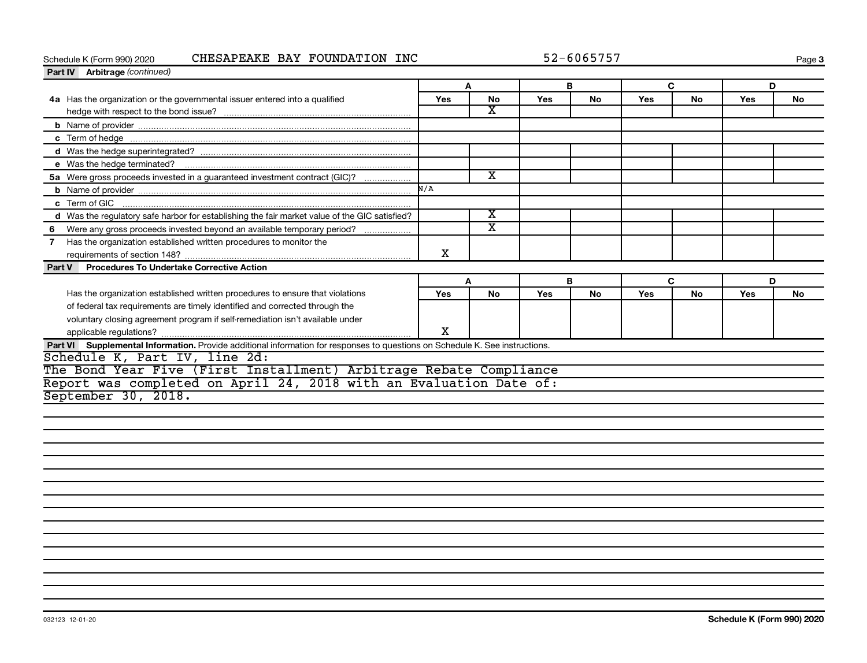#### Schedule K (Form 990) 2020 CHESAPEAKE BAY FOUNDATION INC 52-6065757

**Page 3** 

| Part IV Arbitrage (continued)                                                                                                            |            |           |     |           |     |           |            |           |
|------------------------------------------------------------------------------------------------------------------------------------------|------------|-----------|-----|-----------|-----|-----------|------------|-----------|
|                                                                                                                                          | A          |           |     | В         |     | C         | D          |           |
| 4a Has the organization or the governmental issuer entered into a qualified                                                              | <b>Yes</b> | <b>No</b> | Yes | <b>No</b> | Yes | No        | <b>Yes</b> | No        |
|                                                                                                                                          |            | x         |     |           |     |           |            |           |
|                                                                                                                                          |            |           |     |           |     |           |            |           |
|                                                                                                                                          |            |           |     |           |     |           |            |           |
|                                                                                                                                          |            |           |     |           |     |           |            |           |
|                                                                                                                                          |            |           |     |           |     |           |            |           |
| 5a Were gross proceeds invested in a guaranteed investment contract (GIC)?                                                               |            | x         |     |           |     |           |            |           |
|                                                                                                                                          | N/A        |           |     |           |     |           |            |           |
| c Term of GIC                                                                                                                            |            |           |     |           |     |           |            |           |
| d Was the regulatory safe harbor for establishing the fair market value of the GIC satisfied?                                            |            | x         |     |           |     |           |            |           |
| Were any gross proceeds invested beyond an available temporary period?<br>6                                                              |            | X         |     |           |     |           |            |           |
| Has the organization established written procedures to monitor the                                                                       |            |           |     |           |     |           |            |           |
|                                                                                                                                          | x          |           |     |           |     |           |            |           |
| <b>Procedures To Undertake Corrective Action</b><br>Part V                                                                               |            |           |     |           |     |           |            |           |
|                                                                                                                                          |            |           |     |           |     |           |            |           |
|                                                                                                                                          | A          |           |     | в         |     | C         | D          |           |
| Has the organization established written procedures to ensure that violations                                                            | <b>Yes</b> | <b>No</b> | Yes | <b>No</b> | Yes | <b>No</b> | <b>Yes</b> | <b>No</b> |
| of federal tax requirements are timely identified and corrected through the                                                              |            |           |     |           |     |           |            |           |
| voluntary closing agreement program if self-remediation isn't available under                                                            |            |           |     |           |     |           |            |           |
|                                                                                                                                          | X          |           |     |           |     |           |            |           |
| Part VI Supplemental Information. Provide additional information for responses to questions on Schedule K. See instructions.             |            |           |     |           |     |           |            |           |
|                                                                                                                                          |            |           |     |           |     |           |            |           |
| Schedule K, Part IV, line 2d:                                                                                                            |            |           |     |           |     |           |            |           |
| The Bond Year Five (First Installment) Arbitrage Rebate Compliance<br>Report was completed on April 24, 2018 with an Evaluation Date of: |            |           |     |           |     |           |            |           |
| September 30, 2018.                                                                                                                      |            |           |     |           |     |           |            |           |
|                                                                                                                                          |            |           |     |           |     |           |            |           |
|                                                                                                                                          |            |           |     |           |     |           |            |           |
|                                                                                                                                          |            |           |     |           |     |           |            |           |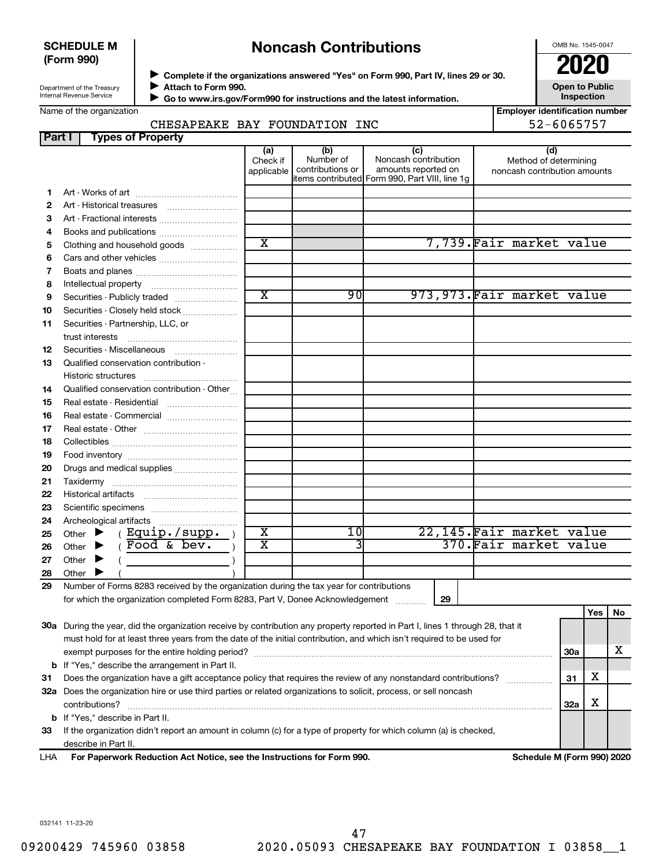#### **SCHEDULE M (Form 990)**

# **Noncash Contributions**

OMB No. 1545-0047

Department of the Treasury Internal Revenue Service

◆ Complete if the organizations answered "Yes" on Form 990, Part IV, lines 29 or 30.<br>● Complete if the organizations answered "Yes" on Form 990, Part IV, lines 29 or 30. **Attach to Form 990.**  $\blacktriangleright$ 

 **Go to www.irs.gov/Form990 for instructions and the latest information.** J

**Inspection Employer identification number**

**Open to Public**

## Name of the organization

CHESAPEAKE BAY FOUNDATION INC  $\vert$  52-6065757

|    | <b>Types of Property</b><br>Part I                                                                                             |                               |                                      |                                                                                                      |                                                              |            |     |    |
|----|--------------------------------------------------------------------------------------------------------------------------------|-------------------------------|--------------------------------------|------------------------------------------------------------------------------------------------------|--------------------------------------------------------------|------------|-----|----|
|    |                                                                                                                                | (a)<br>Check if<br>applicable | (b)<br>Number of<br>contributions or | (c)<br>Noncash contribution<br>amounts reported on<br>items contributed Form 990, Part VIII, line 1g | (d)<br>Method of determining<br>noncash contribution amounts |            |     |    |
| 1. |                                                                                                                                |                               |                                      |                                                                                                      |                                                              |            |     |    |
| 2  | Art - Historical treasures                                                                                                     |                               |                                      |                                                                                                      |                                                              |            |     |    |
| 3  | Art - Fractional interests                                                                                                     |                               |                                      |                                                                                                      |                                                              |            |     |    |
| 4  |                                                                                                                                |                               |                                      |                                                                                                      |                                                              |            |     |    |
| 5  | Clothing and household goods                                                                                                   | $\overline{\texttt{x}}$       |                                      |                                                                                                      | 7,739. Fair market value                                     |            |     |    |
| 6  |                                                                                                                                |                               |                                      |                                                                                                      |                                                              |            |     |    |
| 7  |                                                                                                                                |                               |                                      |                                                                                                      |                                                              |            |     |    |
| 8  |                                                                                                                                |                               |                                      |                                                                                                      |                                                              |            |     |    |
| 9  | Securities - Publicly traded                                                                                                   | $\overline{\text{x}}$         | 90                                   |                                                                                                      | 973, 973. Fair market value                                  |            |     |    |
| 10 | Securities - Closely held stock                                                                                                |                               |                                      |                                                                                                      |                                                              |            |     |    |
| 11 | Securities - Partnership, LLC, or                                                                                              |                               |                                      |                                                                                                      |                                                              |            |     |    |
| 12 | Securities - Miscellaneous                                                                                                     |                               |                                      |                                                                                                      |                                                              |            |     |    |
| 13 | Qualified conservation contribution -                                                                                          |                               |                                      |                                                                                                      |                                                              |            |     |    |
| 14 | Qualified conservation contribution - Other                                                                                    |                               |                                      |                                                                                                      |                                                              |            |     |    |
| 15 |                                                                                                                                |                               |                                      |                                                                                                      |                                                              |            |     |    |
| 16 | Real estate - Commercial                                                                                                       |                               |                                      |                                                                                                      |                                                              |            |     |    |
| 17 |                                                                                                                                |                               |                                      |                                                                                                      |                                                              |            |     |    |
| 18 |                                                                                                                                |                               |                                      |                                                                                                      |                                                              |            |     |    |
| 19 |                                                                                                                                |                               |                                      |                                                                                                      |                                                              |            |     |    |
| 20 | Drugs and medical supplies                                                                                                     |                               |                                      |                                                                                                      |                                                              |            |     |    |
| 21 |                                                                                                                                |                               |                                      |                                                                                                      |                                                              |            |     |    |
| 22 |                                                                                                                                |                               |                                      |                                                                                                      |                                                              |            |     |    |
| 23 |                                                                                                                                |                               |                                      |                                                                                                      |                                                              |            |     |    |
| 24 |                                                                                                                                |                               |                                      |                                                                                                      |                                                              |            |     |    |
| 25 | (Equip./supp.<br>Other $\blacktriangleright$                                                                                   | $\overline{\text{x}}$         | 10                                   |                                                                                                      | 22,145. Fair market value                                    |            |     |    |
| 26 | $Food \&$ bev.<br>Other $\blacktriangleright$                                                                                  | $\overline{\textbf{x}}$       | 3                                    |                                                                                                      | 370. Fair market value                                       |            |     |    |
| 27 | Other $\blacktriangleright$                                                                                                    |                               |                                      |                                                                                                      |                                                              |            |     |    |
| 28 | Other $\blacktriangleright$                                                                                                    |                               |                                      |                                                                                                      |                                                              |            |     |    |
| 29 | Number of Forms 8283 received by the organization during the tax year for contributions                                        |                               |                                      |                                                                                                      |                                                              |            |     |    |
|    | for which the organization completed Form 8283, Part V, Donee Acknowledgement                                                  |                               |                                      | 29                                                                                                   |                                                              |            |     |    |
|    |                                                                                                                                |                               |                                      |                                                                                                      |                                                              |            | Yes | No |
|    | 30a During the year, did the organization receive by contribution any property reported in Part I, lines 1 through 28, that it |                               |                                      |                                                                                                      |                                                              |            |     |    |
|    | must hold for at least three years from the date of the initial contribution, and which isn't required to be used for          |                               |                                      |                                                                                                      |                                                              |            |     |    |
|    |                                                                                                                                |                               |                                      |                                                                                                      |                                                              | <b>30a</b> |     | x  |
|    | <b>b</b> If "Yes," describe the arrangement in Part II.                                                                        |                               |                                      |                                                                                                      |                                                              |            |     |    |
| 31 | Does the organization have a gift acceptance policy that requires the review of any nonstandard contributions?                 |                               |                                      |                                                                                                      |                                                              | 31         | х   |    |
|    | 32a Does the organization hire or use third parties or related organizations to solicit, process, or sell noncash              |                               |                                      |                                                                                                      |                                                              |            |     |    |
|    | contributions?                                                                                                                 |                               |                                      |                                                                                                      |                                                              | 32a        | х   |    |
|    | <b>b</b> If "Yes," describe in Part II.                                                                                        |                               |                                      |                                                                                                      |                                                              |            |     |    |
| 33 | If the organization didn't report an amount in column (c) for a type of property for which column (a) is checked,              |                               |                                      |                                                                                                      |                                                              |            |     |    |
|    | describe in Part II.                                                                                                           |                               |                                      |                                                                                                      |                                                              |            |     |    |

**For Paperwork Reduction Act Notice, see the Instructions for Form 990. Schedule M (Form 990) 2020** LHA

032141 11-23-20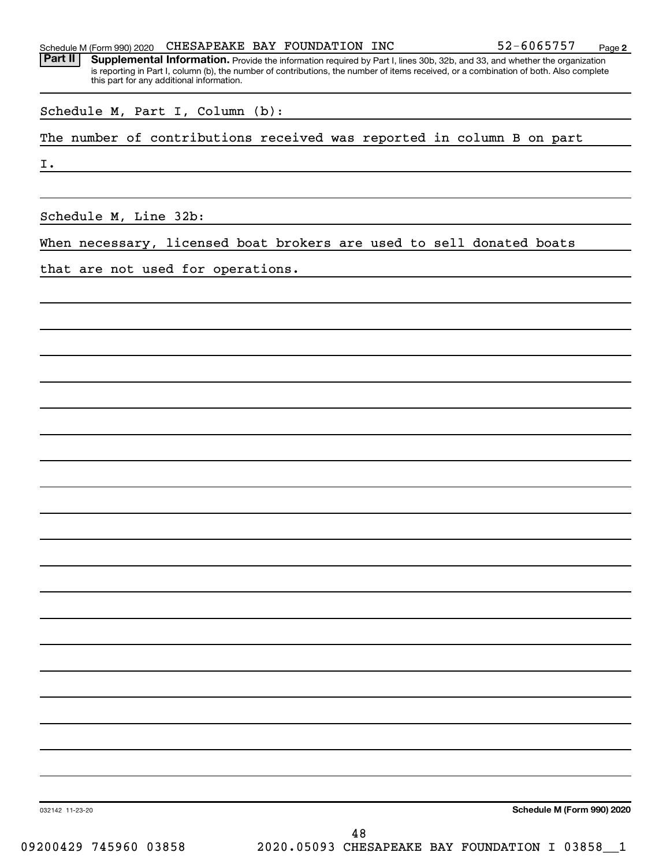|  | Schedule M (Form 990) 2020 | CHESAPEAKE BAY FOUNDATION INC |  |  |  | 52-6065757 | Page |  |
|--|----------------------------|-------------------------------|--|--|--|------------|------|--|
|--|----------------------------|-------------------------------|--|--|--|------------|------|--|

**2** Part II | Supplemental Information. Provide the information required by Part I, lines 30b, 32b, and 33, and whether the organization is reporting in Part I, column (b), the number of contributions, the number of items received, or a combination of both. Also complete this part for any additional information.

| Schedule M, Part I, Column (b): |  |  |  |
|---------------------------------|--|--|--|
|---------------------------------|--|--|--|

The number of contributions received was reported in column B on part

I.

Schedule M, Line 32b:

When necessary, licensed boat brokers are used to sell donated boats

that are not used for operations.

**Schedule M (Form 990) 2020**

032142 11-23-20

09200429 745960 03858 2020.05093 CHESAPEAKE BAY FOUNDATION I 03858 1 48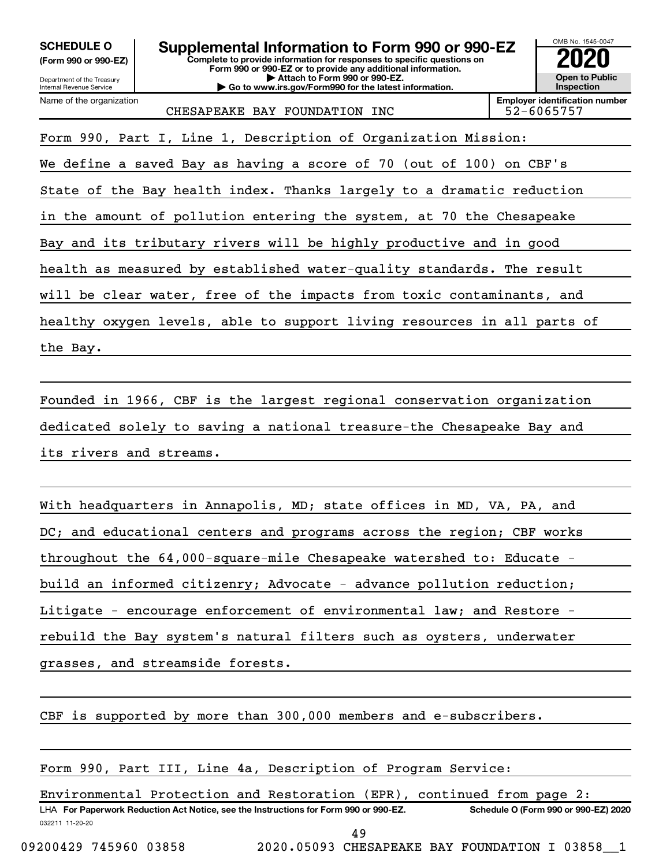| <b>SCHEDULE O</b><br>(Form 990 or 990-EZ)<br>Department of the Treasury<br><b>Internal Revenue Service</b> | Supplemental Information to Form 990 or 990-EZ<br>Complete to provide information for responses to specific questions on<br>Form 990 or 990-EZ or to provide any additional information.<br>Attach to Form 990 or 990-EZ.<br>Go to www.irs.gov/Form990 for the latest information. |  | OMB No. 1545-0047<br><b>Open to Public</b><br>Inspection |
|------------------------------------------------------------------------------------------------------------|------------------------------------------------------------------------------------------------------------------------------------------------------------------------------------------------------------------------------------------------------------------------------------|--|----------------------------------------------------------|
| Name of the organization                                                                                   | CHESAPEAKE BAY FOUNDATION INC                                                                                                                                                                                                                                                      |  | <b>Emplover identification number</b><br>52-6065757      |
|                                                                                                            | Form 990, Part I, Line 1, Description of Organization Mission:                                                                                                                                                                                                                     |  |                                                          |
| We define a saved Bay as having a score of 70 (out of 100) on CBF's                                        |                                                                                                                                                                                                                                                                                    |  |                                                          |
| State of the Bay health index. Thanks largely to a dramatic reduction                                      |                                                                                                                                                                                                                                                                                    |  |                                                          |
| in the amount of pollution entering the system, at 70 the Chesapeake                                       |                                                                                                                                                                                                                                                                                    |  |                                                          |
| Bay and its tributary rivers will be highly productive and in good                                         |                                                                                                                                                                                                                                                                                    |  |                                                          |
|                                                                                                            | health as measured by established water-quality standards. The result                                                                                                                                                                                                              |  |                                                          |
| will be clear water, free of the impacts from toxic contaminants, and                                      |                                                                                                                                                                                                                                                                                    |  |                                                          |
| healthy oxygen levels, able to support living resources in all parts of                                    |                                                                                                                                                                                                                                                                                    |  |                                                          |
| the Bay.                                                                                                   |                                                                                                                                                                                                                                                                                    |  |                                                          |

Founded in 1966, CBF is the largest regional conservation organization dedicated solely to saving a national treasure-the Chesapeake Bay and its rivers and streams.

With headquarters in Annapolis, MD; state offices in MD, VA, PA, and DC; and educational centers and programs across the region; CBF works throughout the 64,000-square-mile Chesapeake watershed to: Educate build an informed citizenry; Advocate - advance pollution reduction; Litigate - encourage enforcement of environmental law; and Restore rebuild the Bay system's natural filters such as oysters, underwater grasses, and streamside forests.

CBF is supported by more than 300,000 members and e-subscribers.

Form 990, Part III, Line 4a, Description of Program Service:

Environmental Protection and Restoration (EPR), continued from page 2:

032211 11-20-20 **For Paperwork Reduction Act Notice, see the Instructions for Form 990 or 990-EZ. Schedule O (Form 990 or 990-EZ) 2020** LHA 49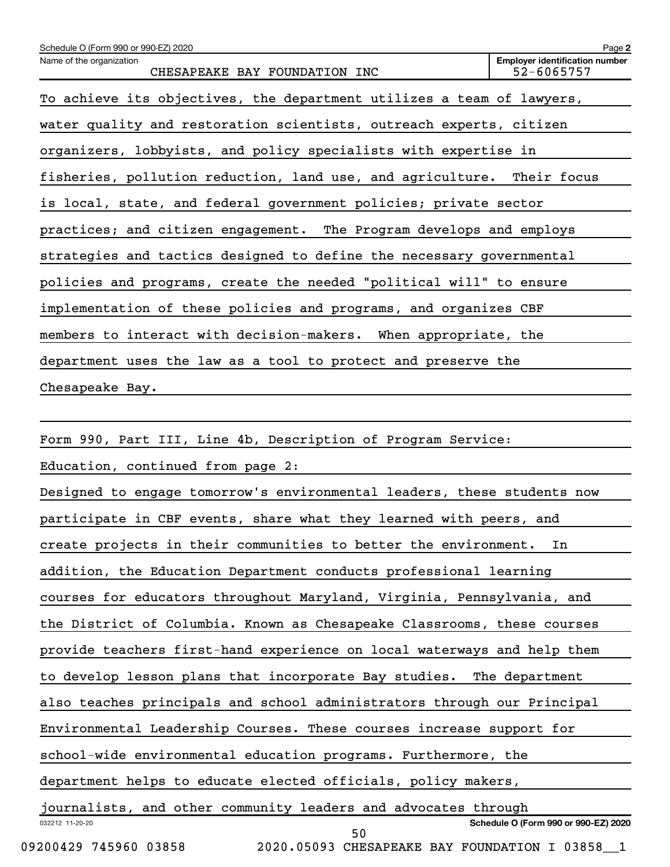| Schedule O (Form 990 or 990-EZ) 2020                                    | Page 2                                              |
|-------------------------------------------------------------------------|-----------------------------------------------------|
| Name of the organization<br>CHESAPEAKE BAY FOUNDATION INC               | <b>Employer identification number</b><br>52-6065757 |
| To achieve its objectives, the department utilizes a team of lawyers,   |                                                     |
| water quality and restoration scientists, outreach experts, citizen     |                                                     |
| organizers, lobbyists, and policy specialists with expertise in         |                                                     |
| fisheries, pollution reduction, land use, and agriculture. Their focus  |                                                     |
| is local, state, and federal government policies; private sector        |                                                     |
| practices; and citizen engagement. The Program develops and employs     |                                                     |
| strategies and tactics designed to define the necessary governmental    |                                                     |
| policies and programs, create the needed "political will" to ensure     |                                                     |
| implementation of these policies and programs, and organizes CBF        |                                                     |
| members to interact with decision-makers. When appropriate, the         |                                                     |
| department uses the law as a tool to protect and preserve the           |                                                     |
| Chesapeake Bay.                                                         |                                                     |
|                                                                         |                                                     |
| Form 990, Part III, Line 4b, Description of Program Service:            |                                                     |
| Education, continued from page 2:                                       |                                                     |
| Designed to engage tomorrow's environmental leaders, these students now |                                                     |
| participate in CBF events, share what they learned with peers, and      |                                                     |
| create projects in their communities to better the environment.         | In                                                  |
| addition, the Education Department conducts professional learning       |                                                     |
| courses for educators throughout Maryland, Virginia, Pennsylvania, and  |                                                     |
| the District of Columbia. Known as Chesapeake Classrooms, these courses |                                                     |
| provide teachers first-hand experience on local waterways and help them |                                                     |
| to develop lesson plans that incorporate Bay studies.                   | The department                                      |

also teaches principals and school administrators through our Principal

Environmental Leadership Courses. These courses increase support for

school-wide environmental education programs. Furthermore, the

department helps to educate elected officials, policy makers,

032212 11-20-20 **Schedule O (Form 990 or 990-EZ) 2020** journalists, and other community leaders and advocates through 50

09200429 745960 03858 2020.05093 CHESAPEAKE BAY FOUNDATION I 03858 1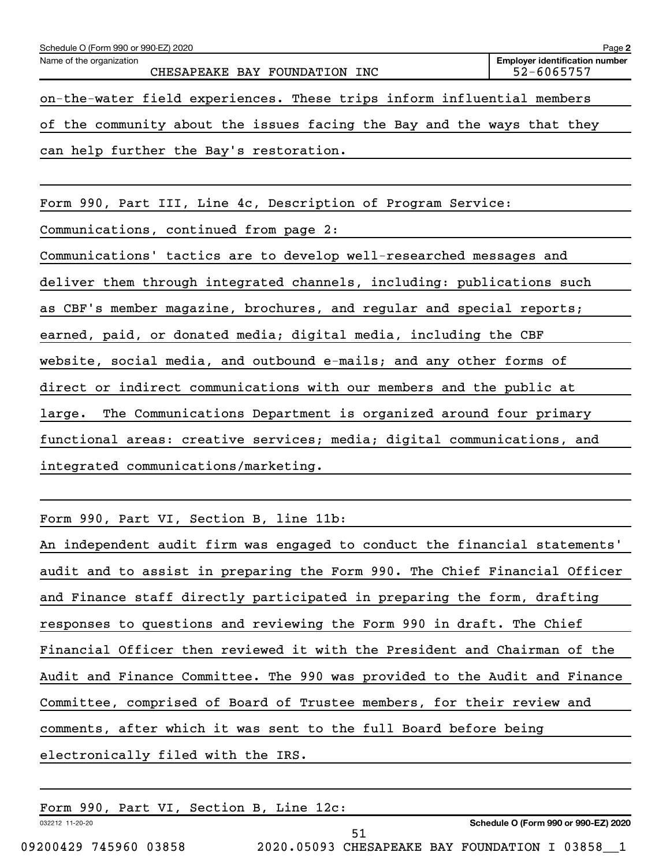| Schedule O (Form 990 or 990-EZ) 2020                                     | Page 2                                              |
|--------------------------------------------------------------------------|-----------------------------------------------------|
| Name of the organization<br>CHESAPEAKE BAY FOUNDATION INC                | <b>Employer identification number</b><br>52-6065757 |
| on-the-water field experiences. These trips inform influential members   |                                                     |
| of the community about the issues facing the Bay and the ways that they  |                                                     |
| can help further the Bay's restoration.                                  |                                                     |
|                                                                          |                                                     |
| Form 990, Part III, Line 4c, Description of Program Service:             |                                                     |
| Communications, continued from page 2:                                   |                                                     |
| Communications' tactics are to develop well-researched messages and      |                                                     |
| deliver them through integrated channels, including: publications such   |                                                     |
| as CBF's member magazine, brochures, and regular and special reports;    |                                                     |
| earned, paid, or donated media; digital media, including the CBF         |                                                     |
| website, social media, and outbound e-mails; and any other forms of      |                                                     |
| direct or indirect communications with our members and the public at     |                                                     |
| The Communications Department is organized around four primary<br>large. |                                                     |
| functional areas: creative services; media; digital communications, and  |                                                     |
| integrated communications/marketing.                                     |                                                     |
|                                                                          |                                                     |

Form 990, Part VI, Section B, line 11b:

| An independent audit firm was engaged to conduct the financial statements' |
|----------------------------------------------------------------------------|
| audit and to assist in preparing the Form 990. The Chief Financial Officer |
| and Finance staff directly participated in preparing the form, drafting    |
| responses to questions and reviewing the Form 990 in draft. The Chief      |
| Financial Officer then reviewed it with the President and Chairman of the  |
| Audit and Finance Committee. The 990 was provided to the Audit and Finance |
| Committee, comprised of Board of Trustee members, for their review and     |
| comments, after which it was sent to the full Board before being           |
| electronically filed with the IRS.                                         |

032212 11-20-20 Form 990, Part VI, Section B, Line 12c:

**Schedule O (Form 990 or 990-EZ) 2020**

09200429 745960 03858 2020.05093 CHESAPEAKE BAY FOUNDATION I 03858\_1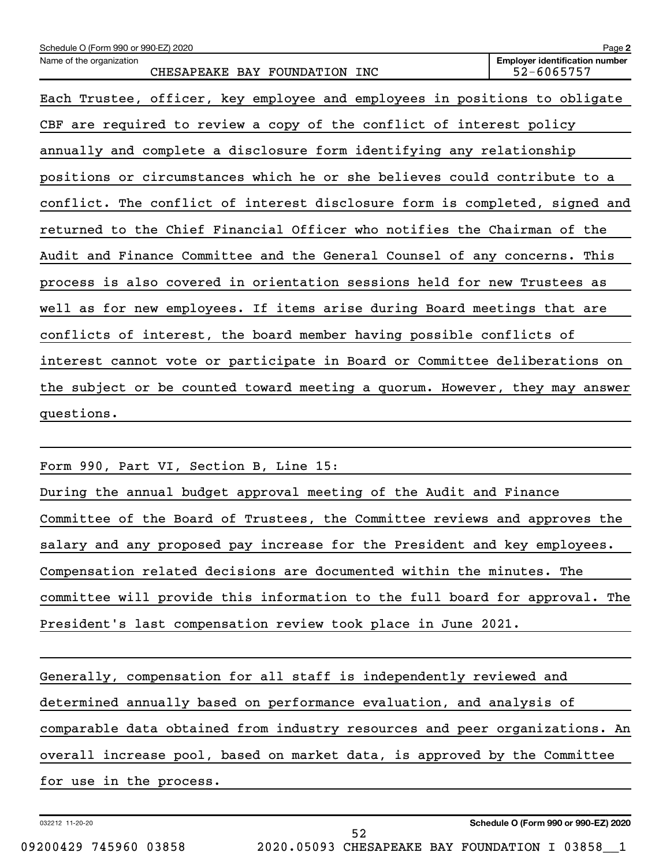| Schedule O (Form 990 or 990-EZ) 2020                                        | Page 2                                              |
|-----------------------------------------------------------------------------|-----------------------------------------------------|
| Name of the organization<br>CHESAPEAKE BAY FOUNDATION INC                   | <b>Employer identification number</b><br>52-6065757 |
| Each Trustee, officer, key employee and employees in positions to obligate  |                                                     |
| CBF are required to review a copy of the conflict of interest policy        |                                                     |
| annually and complete a disclosure form identifying any relationship        |                                                     |
| positions or circumstances which he or she believes could contribute to a   |                                                     |
| conflict. The conflict of interest disclosure form is completed, signed and |                                                     |
| returned to the Chief Financial Officer who notifies the Chairman of the    |                                                     |
| Audit and Finance Committee and the General Counsel of any concerns. This   |                                                     |
| process is also covered in orientation sessions held for new Trustees as    |                                                     |
| well as for new employees. If items arise during Board meetings that are    |                                                     |
| conflicts of interest, the board member having possible conflicts of        |                                                     |
| interest cannot vote or participate in Board or Committee deliberations on  |                                                     |
| the subject or be counted toward meeting a quorum. However, they may answer |                                                     |
| questions.                                                                  |                                                     |
|                                                                             |                                                     |

Form 990, Part VI, Section B, Line 15:

During the annual budget approval meeting of the Audit and Finance Committee of the Board of Trustees, the Committee reviews and approves the salary and any proposed pay increase for the President and key employees. Compensation related decisions are documented within the minutes. The committee will provide this information to the full board for approval. The President's last compensation review took place in June 2021.

Generally, compensation for all staff is independently reviewed and determined annually based on performance evaluation, and analysis of comparable data obtained from industry resources and peer organizations. An overall increase pool, based on market data, is approved by the Committee for use in the process.

52

032212 11-20-20